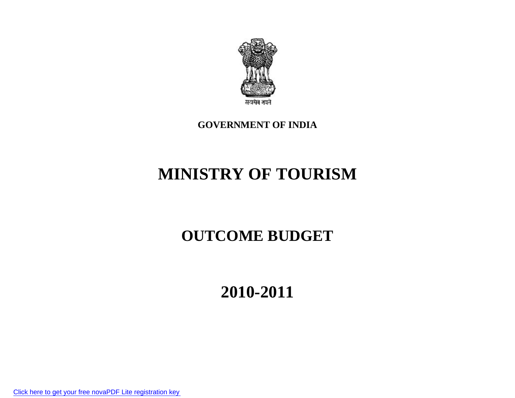# **GOVERNMENT OF INDIA**

# **MINISTRY OF TOURISM**

# **OUTCOME BUDGET**

**2010-2011**

[Click here to get your free novaPDF Lite registration key](http://www.novapdf.com/free-registration.php?src=34)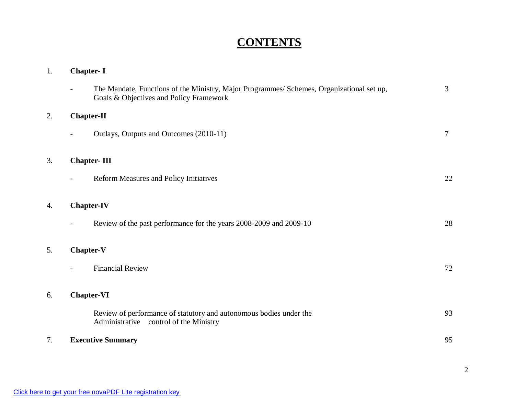# **CONTENTS**

| 1. | <b>Chapter-I</b>                                                                                                                     |        |
|----|--------------------------------------------------------------------------------------------------------------------------------------|--------|
|    | The Mandate, Functions of the Ministry, Major Programmes/ Schemes, Organizational set up,<br>Goals & Objectives and Policy Framework | 3      |
| 2. | <b>Chapter-II</b>                                                                                                                    |        |
|    | Outlays, Outputs and Outcomes (2010-11)                                                                                              | $\tau$ |
| 3. | <b>Chapter-III</b>                                                                                                                   |        |
|    | Reform Measures and Policy Initiatives                                                                                               | 22     |
| 4. | <b>Chapter-IV</b>                                                                                                                    |        |
|    | Review of the past performance for the years 2008-2009 and 2009-10                                                                   | 28     |
| 5. | <b>Chapter-V</b>                                                                                                                     |        |
|    | <b>Financial Review</b>                                                                                                              | 72     |
| 6. | <b>Chapter-VI</b>                                                                                                                    |        |
|    | Review of performance of statutory and autonomous bodies under the<br>Administrative control of the Ministry                         | 93     |
| 7. | <b>Executive Summary</b>                                                                                                             | 95     |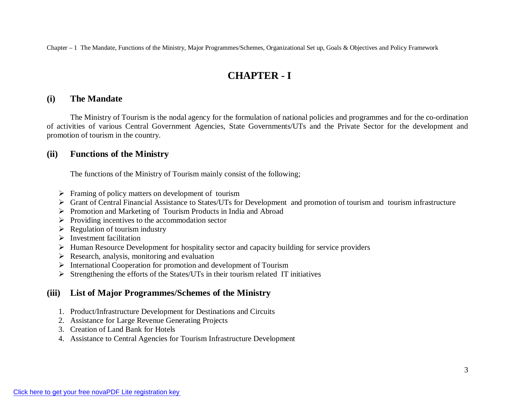# **CHAPTER - I**

#### **(i) The Mandate**

The Ministry of Tourism is the nodal agency for the formulation of national policies and programmes and for the co-ordination of activities of various Central Government Agencies, State Governments/UTs and the Private Sector for the development and promotion of tourism in the country.

### **(ii) Functions of the Ministry**

The functions of the Ministry of Tourism mainly consist of the following;

- $\triangleright$  Framing of policy matters on development of tourism
- Grant of Central Financial Assistance to States/UTs for Development and promotion of tourism and tourism infrastructure
- $\triangleright$  Promotion and Marketing of Tourism Products in India and Abroad
- $\triangleright$  Providing incentives to the accommodation sector
- $\triangleright$  Regulation of tourism industry
- $\triangleright$  Investment facilitation
- $\triangleright$  Human Resource Development for hospitality sector and capacity building for service providers
- $\triangleright$  Research, analysis, monitoring and evaluation
- $\triangleright$  International Cooperation for promotion and development of Tourism
- $\triangleright$  Strengthening the efforts of the States/UTs in their tourism related IT initiatives

### **(iii) List of Major Programmes/Schemes of the Ministry**

- 1. Product/Infrastructure Development for Destinations and Circuits
- 2. Assistance for Large Revenue Generating Projects
- 3. Creation of Land Bank for Hotels
- 4. Assistance to Central Agencies for Tourism Infrastructure Development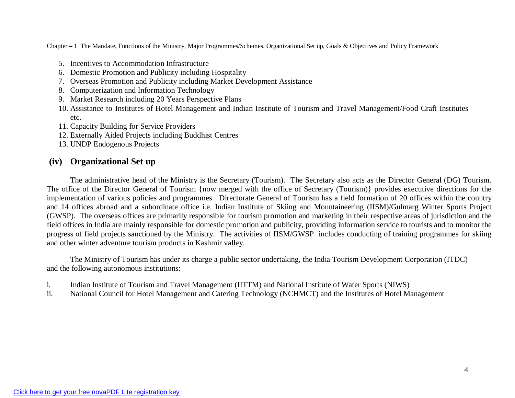- 5. Incentives to Accommodation Infrastructure
- 6. Domestic Promotion and Publicity including Hospitality
- 7. Overseas Promotion and Publicity including Market Development Assistance
- 8. Computerization and Information Technology
- 9. Market Research including 20 Years Perspective Plans
- 10. Assistance to Institutes of Hotel Management and Indian Institute of Tourism and Travel Management/Food Craft Institutes etc.
- 11. Capacity Building for Service Providers
- 12. Externally Aided Projects including Buddhist Centres
- 13. UNDP Endogenous Projects

### **(iv) Organizational Set up**

The administrative head of the Ministry is the Secretary (Tourism). The Secretary also acts as the Director General (DG) Tourism. The office of the Director General of Tourism {now merged with the office of Secretary (Tourism)} provides executive directions for the implementation of various policies and programmes. Directorate General of Tourism has a field formation of 20 offices within the country and 14 offices abroad and a subordinate office i.e. Indian Institute of Skiing and Mountaineering (IISM)/Gulmarg Winter Sports Project (GWSP). The overseas offices are primarily responsible for tourism promotion and marketing in their respective areas of jurisdiction and the field offices in India are mainly responsible for domestic promotion and publicity, providing information service to tourists and to monitor the progress of field projects sanctioned by the Ministry. The activities of IISM/GWSP includes conducting of training programmes for skiing and other winter adventure tourism products in Kashmir valley.

The Ministry of Tourism has under its charge a public sector undertaking, the India Tourism Development Corporation (ITDC) and the following autonomous institutions:

- i. Indian Institute of Tourism and Travel Management (IITTM) and National Institute of Water Sports (NIWS)
- ii. National Council for Hotel Management and Catering Technology (NCHMCT) and the Institutes of Hotel Management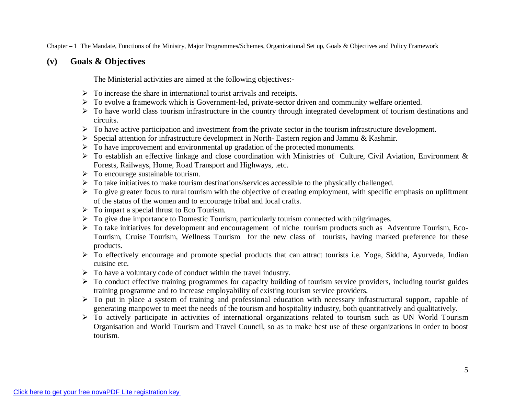#### **(v) Goals & Objectives**

The Ministerial activities are aimed at the following objectives:-

- $\triangleright$  To increase the share in international tourist arrivals and receipts.
- To evolve a framework which is Government-led, private-sector driven and community welfare oriented.
- $\triangleright$  To have world class tourism infrastructure in the country through integrated development of tourism destinations and circuits.
- $\triangleright$  To have active participation and investment from the private sector in the tourism infrastructure development.
- $\triangleright$  Special attention for infrastructure development in North-Eastern region and Jammu & Kashmir.
- $\triangleright$  To have improvement and environmental up gradation of the protected monuments.
- $\triangleright$  To establish an effective linkage and close coordination with Ministries of Culture, Civil Aviation, Environment & Forests, Railways, Home, Road Transport and Highways, .etc.
- $\triangleright$  To encourage sustainable tourism.
- $\triangleright$  To take initiatives to make tourism destinations/services accessible to the physically challenged.
- $\triangleright$  To give greater focus to rural tourism with the objective of creating employment, with specific emphasis on upliftment of the status of the women and to encourage tribal and local crafts.
- $\triangleright$  To impart a special thrust to Eco Tourism.
- $\triangleright$  To give due importance to Domestic Tourism, particularly tourism connected with pilgrimages.
- To take initiatives for development and encouragement of niche tourism products such as Adventure Tourism, Eco-Tourism, Cruise Tourism, Wellness Tourism for the new class of tourists, having marked preference for these products.
- $\triangleright$  To effectively encourage and promote special products that can attract tourists i.e. Yoga, Siddha, Ayurveda, Indian cuisine etc.
- $\triangleright$  To have a voluntary code of conduct within the travel industry.
- $\triangleright$  To conduct effective training programmes for capacity building of tourism service providers, including tourist guides training programme and to increase employability of existing tourism service providers.
- To put in place a system of training and professional education with necessary infrastructural support, capable of generating manpower to meet the needs of the tourism and hospitality industry, both quantitatively and qualitatively.
- $\triangleright$  To actively participate in activities of international organizations related to tourism such as UN World Tourism Organisation and World Tourism and Travel Council, so as to make best use of these organizations in order to boost tourism.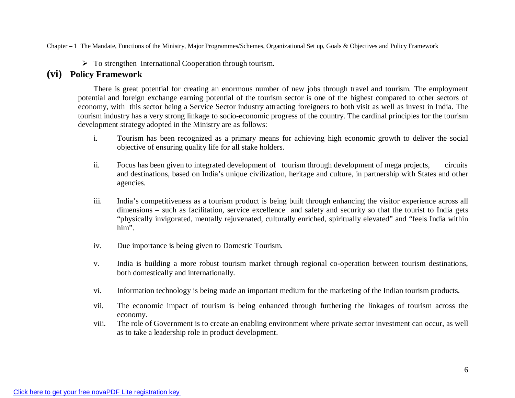$\triangleright$  To strengthen International Cooperation through tourism.

#### **(vi) Policy Framework**

There is great potential for creating an enormous number of new jobs through travel and tourism. The employment potential and foreign exchange earning potential of the tourism sector is one of the highest compared to other sectors of economy, with this sector being a Service Sector industry attracting foreigners to both visit as well as invest in India. The tourism industry has a very strong linkage to socio-economic progress of the country. The cardinal principles for the tourism development strategy adopted in the Ministry are as follows:

- i. Tourism has been recognized as a primary means for achieving high economic growth to deliver the social objective of ensuring quality life for all stake holders.
- ii. Focus has been given to integrated development of tourism through development of mega projects, circuits and destinations, based on India's unique civilization, heritage and culture, in partnership with States and other agencies.
- iii. India's competitiveness as a tourism product is being built through enhancing the visitor experience across all dimensions – such as facilitation, service excellence and safety and security so that the tourist to India gets "physically invigorated, mentally rejuvenated, culturally enriched, spiritually elevated" and "feels India within him".
- iv. Due importance is being given to Domestic Tourism.
- v. India is building a more robust tourism market through regional co-operation between tourism destinations, both domestically and internationally.
- vi. Information technology is being made an important medium for the marketing of the Indian tourism products.
- vii. The economic impact of tourism is being enhanced through furthering the linkages of tourism across the economy.
- viii. The role of Government is to create an enabling environment where private sector investment can occur, as well as to take a leadership role in product development.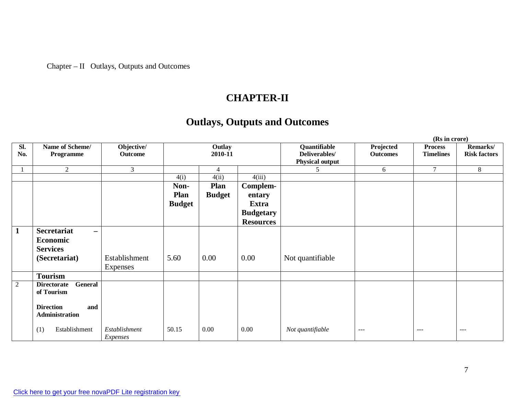## Chapter – II Outlays, Outputs and Outcomes

# **CHAPTER-II**

# **Outlays, Outputs and Outcomes**

|                |                                                |                |               |                   |                  | (Rs in crore)                 |                      |                  |                                 |  |
|----------------|------------------------------------------------|----------------|---------------|-------------------|------------------|-------------------------------|----------------------|------------------|---------------------------------|--|
| Sl.            | Name of Scheme/                                | Objective/     |               | Outlay<br>2010-11 |                  | Quantifiable<br>Deliverables/ | Projected            | <b>Process</b>   | Remarks/<br><b>Risk factors</b> |  |
| No.            | Programme                                      | <b>Outcome</b> |               |                   |                  | <b>Physical output</b>        | <b>Outcomes</b>      | <b>Timelines</b> |                                 |  |
|                | 2                                              | 3              |               | $\overline{4}$    |                  | 5                             | 6                    | $\tau$           | 8                               |  |
|                |                                                |                | 4(i)          | 4(ii)             | 4(iii)           |                               |                      |                  |                                 |  |
|                |                                                |                | Non-          | <b>Plan</b>       | Complem-         |                               |                      |                  |                                 |  |
|                |                                                |                | Plan          | <b>Budget</b>     | entary           |                               |                      |                  |                                 |  |
|                |                                                |                | <b>Budget</b> |                   | <b>Extra</b>     |                               |                      |                  |                                 |  |
|                |                                                |                |               |                   | <b>Budgetary</b> |                               |                      |                  |                                 |  |
|                |                                                |                |               |                   | <b>Resources</b> |                               |                      |                  |                                 |  |
| $\mathbf{1}$   | <b>Secretariat</b><br>$\overline{\phantom{m}}$ |                |               |                   |                  |                               |                      |                  |                                 |  |
|                | Economic                                       |                |               |                   |                  |                               |                      |                  |                                 |  |
|                | <b>Services</b>                                |                |               |                   |                  |                               |                      |                  |                                 |  |
|                | (Secretariat)                                  | Establishment  | 5.60          | 0.00              | 0.00             | Not quantifiable              |                      |                  |                                 |  |
|                |                                                | Expenses       |               |                   |                  |                               |                      |                  |                                 |  |
|                | <b>Tourism</b>                                 |                |               |                   |                  |                               |                      |                  |                                 |  |
| $\overline{2}$ | General<br><b>Directorate</b>                  |                |               |                   |                  |                               |                      |                  |                                 |  |
|                | of Tourism                                     |                |               |                   |                  |                               |                      |                  |                                 |  |
|                | <b>Direction</b><br>and                        |                |               |                   |                  |                               |                      |                  |                                 |  |
|                | Administration                                 |                |               |                   |                  |                               |                      |                  |                                 |  |
|                |                                                |                |               |                   |                  |                               |                      |                  |                                 |  |
|                | Establishment<br>(1)                           | Establishment  | 50.15         | 0.00              | 0.00             | Not quantifiable              | $\sim$ $\sim$ $\sim$ | $- - -$          | $- - -$                         |  |
|                |                                                | Expenses       |               |                   |                  |                               |                      |                  |                                 |  |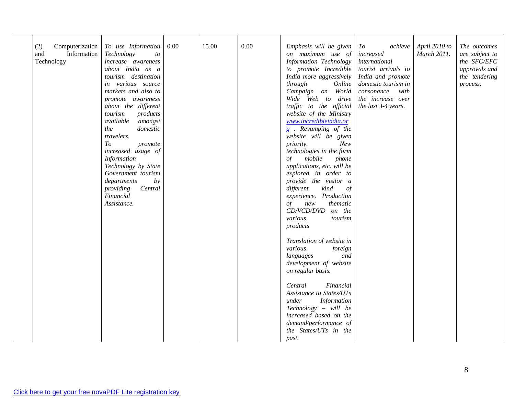| 15.00<br>0.00<br>(2)<br>Computerization<br>To use Information<br>0.00<br>Emphasis will be given<br>April 2010 to<br>$\it To$<br>achieve<br>The outcomes<br>March 2011.<br>and<br><b>Information</b><br>Technology<br>on maximum use of<br>increased<br>are subject to<br>to<br>Technology<br><b>Information Technology</b><br>the SFC/EFC<br>increase awareness<br>international<br>about India as a<br>to promote Incredible<br>tourist arrivals to<br>approvals and<br>tourism destination<br>India more aggressively<br>India and promote<br>the tendering<br>in various source<br>through<br>domestic tourism in<br>Online<br>process.<br>markets and also to<br>Campaign on World<br>consonance<br>with<br>Wide Web to<br>the increase over<br>drive<br>promote awareness<br>about the different<br>traffic to the official<br>the last 3-4 years.<br>website of the Ministry<br>tourism<br>products<br>www.incredibleindia.or<br>available<br>amongst<br>g . Revamping of the<br>the<br>domestic<br>travelers.<br>website will be given<br>To<br>New<br>priority.<br>promote<br>technologies in the form<br>increased usage of<br>Information<br>mobile<br>phone<br>οf<br>Technology by State<br>applications, etc. will be<br>Government tourism<br>explored in order to<br>departments<br>provide the visitor a<br>by<br>providing<br>Central<br>different<br>kind<br>$\circ f$<br>Financial<br>experience. Production<br>Assistance.<br>thematic<br>$\sigma f$<br>new<br>CD/VCD/DVD on the<br>various<br>tourism<br>products<br>Translation of website in<br>various<br>foreign<br>and<br>languages<br>development of website<br>on regular basis.<br>Central<br>Financial<br>Assistance to States/UTs<br>under<br><b>Information</b><br>Technology – will be<br>increased based on the<br>demand/performance of<br>the States/UTs in the |  |  |       |  |  |
|----------------------------------------------------------------------------------------------------------------------------------------------------------------------------------------------------------------------------------------------------------------------------------------------------------------------------------------------------------------------------------------------------------------------------------------------------------------------------------------------------------------------------------------------------------------------------------------------------------------------------------------------------------------------------------------------------------------------------------------------------------------------------------------------------------------------------------------------------------------------------------------------------------------------------------------------------------------------------------------------------------------------------------------------------------------------------------------------------------------------------------------------------------------------------------------------------------------------------------------------------------------------------------------------------------------------------------------------------------------------------------------------------------------------------------------------------------------------------------------------------------------------------------------------------------------------------------------------------------------------------------------------------------------------------------------------------------------------------------------------------------------------------------------------------------------------------------------------------|--|--|-------|--|--|
|                                                                                                                                                                                                                                                                                                                                                                                                                                                                                                                                                                                                                                                                                                                                                                                                                                                                                                                                                                                                                                                                                                                                                                                                                                                                                                                                                                                                                                                                                                                                                                                                                                                                                                                                                                                                                                                    |  |  | past. |  |  |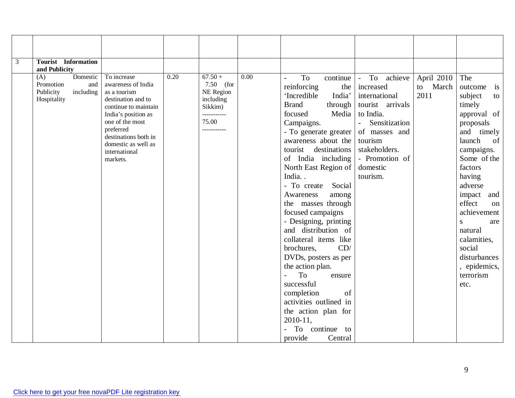| 3 | <b>Tourist</b> Information |                                        |      |                      |                   |                                              |                               |                  |                            |
|---|----------------------------|----------------------------------------|------|----------------------|-------------------|----------------------------------------------|-------------------------------|------------------|----------------------------|
|   | and Publicity<br>Domestic  | To increase                            | 0.20 | $67.50 +$            | $\overline{0.00}$ |                                              |                               |                  |                            |
|   | (A)<br>Promotion<br>and    | awareness of India                     |      | $7.50$ (for          |                   | To<br>continue                               | $-$ To<br>achieve             | April 2010       | The                        |
|   | including<br>Publicity     | as a tourism                           |      | NE Region            |                   | reinforcing<br>the                           | increased                     | to March<br>2011 | outcome<br>is              |
|   | Hospitality                | destination and to                     |      | including            |                   | 'Incredible<br>India'<br><b>Brand</b>        | international                 |                  | subject<br>to              |
|   |                            | continue to maintain                   |      | Sikkim)              |                   | through<br>Media<br>focused                  | tourist arrivals<br>to India. |                  | timely                     |
|   |                            | India's position as<br>one of the most |      | ___________<br>75.00 |                   |                                              | Sensitization                 |                  | approval of                |
|   |                            | preferred                              |      | ___________          |                   | Campaigns.                                   | $\sim$                        |                  | proposals                  |
|   |                            | destinations both in                   |      |                      |                   | - To generate greater<br>awareness about the | of masses and<br>tourism      |                  | and timely<br>launch<br>of |
|   |                            | domestic as well as                    |      |                      |                   | tourist destinations                         | stakeholders.                 |                  |                            |
|   |                            | international                          |      |                      |                   | of India including                           | - Promotion of                |                  | campaigns.<br>Some of the  |
|   |                            | markets.                               |      |                      |                   | North East Region of                         | domestic                      |                  | factors                    |
|   |                            |                                        |      |                      |                   | India                                        | tourism.                      |                  | having                     |
|   |                            |                                        |      |                      |                   | - To create Social                           |                               |                  | adverse                    |
|   |                            |                                        |      |                      |                   | Awareness<br>among                           |                               |                  | impact<br>and              |
|   |                            |                                        |      |                      |                   | the masses through                           |                               |                  | effect<br>$\alpha$         |
|   |                            |                                        |      |                      |                   | focused campaigns                            |                               |                  | achievement                |
|   |                            |                                        |      |                      |                   | - Designing, printing                        |                               |                  | <sub>S</sub><br>are        |
|   |                            |                                        |      |                      |                   | and distribution of                          |                               |                  | natural                    |
|   |                            |                                        |      |                      |                   | collateral items like                        |                               |                  | calamities,                |
|   |                            |                                        |      |                      |                   | CD/<br>brochures,                            |                               |                  | social                     |
|   |                            |                                        |      |                      |                   | DVDs, posters as per                         |                               |                  | disturbances               |
|   |                            |                                        |      |                      |                   | the action plan.                             |                               |                  | , epidemics,               |
|   |                            |                                        |      |                      |                   | To<br>$\overline{a}$<br>ensure               |                               |                  | terrorism                  |
|   |                            |                                        |      |                      |                   | successful                                   |                               |                  | etc.                       |
|   |                            |                                        |      |                      |                   | completion<br>of                             |                               |                  |                            |
|   |                            |                                        |      |                      |                   | activities outlined in                       |                               |                  |                            |
|   |                            |                                        |      |                      |                   | the action plan for                          |                               |                  |                            |
|   |                            |                                        |      |                      |                   | 2010-11,                                     |                               |                  |                            |
|   |                            |                                        |      |                      |                   | continue to<br>To                            |                               |                  |                            |
|   |                            |                                        |      |                      |                   | provide<br>Central                           |                               |                  |                            |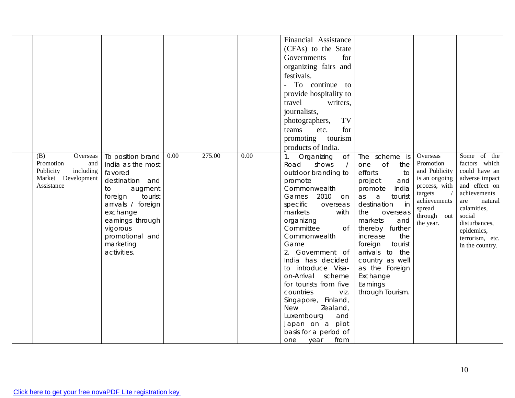| (B)<br>Overseas                                                                | To position brand                                                                                                                                                                                       | 0.00 | 275.00 | 0.00 | Financial Assistance<br>(CFAs) to the State<br>for<br>Governments<br>organizing fairs and<br>festivals.<br>To continue to<br>provide hospitality to<br>travel<br>writers,<br>journalists,<br>TV<br>photographers,<br>for<br>etc.<br>teams<br>tourism<br>promoting<br>products of India.<br>1. Organizing<br><b>of</b>                                                                                                                                                                     | The scheme is                                                                                                                                                                                                                                                                                                                   | Overseas                                                                                                                         | Some of the                                                                                                                                                                                       |
|--------------------------------------------------------------------------------|---------------------------------------------------------------------------------------------------------------------------------------------------------------------------------------------------------|------|--------|------|-------------------------------------------------------------------------------------------------------------------------------------------------------------------------------------------------------------------------------------------------------------------------------------------------------------------------------------------------------------------------------------------------------------------------------------------------------------------------------------------|---------------------------------------------------------------------------------------------------------------------------------------------------------------------------------------------------------------------------------------------------------------------------------------------------------------------------------|----------------------------------------------------------------------------------------------------------------------------------|---------------------------------------------------------------------------------------------------------------------------------------------------------------------------------------------------|
| Promotion<br>and<br>Publicity<br>including<br>Market Development<br>Assistance | India as the most<br>favored<br>destination and<br>augment<br>to<br>foreign<br>tourist<br>arrivals / foreign<br>exchange<br>earnings through<br>vigorous<br>promotional and<br>marketing<br>activities. |      |        |      | Road<br>shows<br>$\sqrt{ }$<br>outdoor branding to<br>promote<br>Commonwealth<br>Games<br>2010<br>on.<br>specific<br>overseas<br>markets<br>with<br>organizing<br>Committee<br>0f<br>Commonwealth<br>Game<br>2. Government of<br>India has decided<br>to introduce Visa-<br>on-Arrival<br>scheme<br>for tourists from five<br>countries<br>viz.<br>Singapore, Finland,<br><b>New</b><br>Zealand,<br>Luxembourg<br>and<br>Japan on a pilot<br>basis for a period of<br>from<br>one<br>year | $\circ$ of<br>one<br>the<br>efforts<br>to<br>and<br>project<br>India<br>promote<br>tourist<br>as<br>a<br>destination<br>in<br>the<br>overseas<br>markets<br>and<br>thereby further<br>the<br>increase<br>foreign<br>tourist<br>arrivals to the<br>country as well<br>as the Foreign<br>Exchange<br>Earnings<br>through Tourism. | Promotion<br>and Publicity<br>is an ongoing<br>process, with<br>targets<br>achievements<br>spread<br>through<br>out<br>the year. | factors which<br>could have an<br>adverse impact<br>and effect on<br>achievements<br>natural<br>are<br>calamities,<br>social<br>disturbances,<br>epidemics,<br>terrorism, etc.<br>in the country. |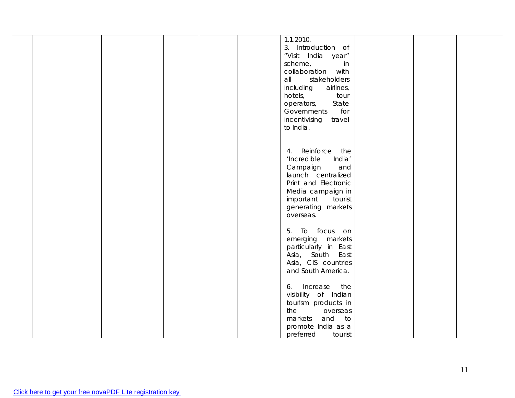|  |  |  | 1.1.2010.              |  |  |
|--|--|--|------------------------|--|--|
|  |  |  |                        |  |  |
|  |  |  | 3. Introduction of     |  |  |
|  |  |  | "Visit India year"     |  |  |
|  |  |  | scheme,<br>in          |  |  |
|  |  |  |                        |  |  |
|  |  |  | collaboration with     |  |  |
|  |  |  | all<br>stakeholders    |  |  |
|  |  |  | including<br>airlines, |  |  |
|  |  |  | hotels,<br>tour        |  |  |
|  |  |  |                        |  |  |
|  |  |  | State<br>operators,    |  |  |
|  |  |  | for<br>Governments     |  |  |
|  |  |  | incentivising travel   |  |  |
|  |  |  | to India.              |  |  |
|  |  |  |                        |  |  |
|  |  |  |                        |  |  |
|  |  |  |                        |  |  |
|  |  |  | Reinforce<br>the<br>4. |  |  |
|  |  |  | India'<br>'Incredible  |  |  |
|  |  |  | Campaign<br>and        |  |  |
|  |  |  | launch centralized     |  |  |
|  |  |  |                        |  |  |
|  |  |  | Print and Electronic   |  |  |
|  |  |  | Media campaign in      |  |  |
|  |  |  | important<br>tourist   |  |  |
|  |  |  | generating markets     |  |  |
|  |  |  |                        |  |  |
|  |  |  | overseas.              |  |  |
|  |  |  |                        |  |  |
|  |  |  | 5. To focus on         |  |  |
|  |  |  | emerging markets       |  |  |
|  |  |  |                        |  |  |
|  |  |  | particularly in East   |  |  |
|  |  |  | Asia, South East       |  |  |
|  |  |  | Asia, CIS countries    |  |  |
|  |  |  | and South America.     |  |  |
|  |  |  |                        |  |  |
|  |  |  | the                    |  |  |
|  |  |  | Increase<br>6.         |  |  |
|  |  |  | visibility of Indian   |  |  |
|  |  |  | tourism products in    |  |  |
|  |  |  | the<br>overseas        |  |  |
|  |  |  | and to<br>markets      |  |  |
|  |  |  |                        |  |  |
|  |  |  | promote India as a     |  |  |
|  |  |  | preferred<br>tourist   |  |  |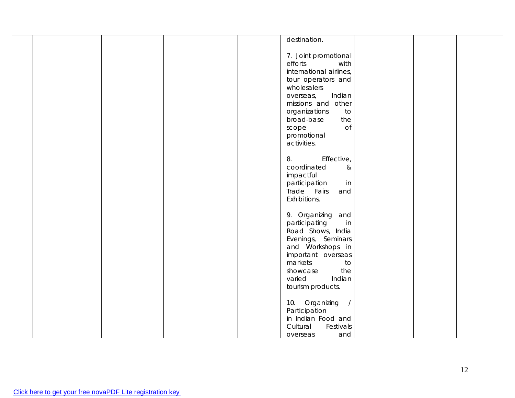|  |  |  | destination.            |  |  |
|--|--|--|-------------------------|--|--|
|  |  |  |                         |  |  |
|  |  |  |                         |  |  |
|  |  |  | 7. Joint promotional    |  |  |
|  |  |  | efforts<br>with         |  |  |
|  |  |  |                         |  |  |
|  |  |  | international airlines, |  |  |
|  |  |  | tour operators and      |  |  |
|  |  |  | wholesalers             |  |  |
|  |  |  |                         |  |  |
|  |  |  | Indian<br>overseas,     |  |  |
|  |  |  | missions and other      |  |  |
|  |  |  | organizations<br>to     |  |  |
|  |  |  |                         |  |  |
|  |  |  | the<br>broad-base       |  |  |
|  |  |  | <b>of</b><br>scope      |  |  |
|  |  |  | promotional             |  |  |
|  |  |  | activities.             |  |  |
|  |  |  |                         |  |  |
|  |  |  |                         |  |  |
|  |  |  | Effective,<br>8.        |  |  |
|  |  |  | coordinated<br>$\&$     |  |  |
|  |  |  |                         |  |  |
|  |  |  | impactful               |  |  |
|  |  |  | participation<br>in     |  |  |
|  |  |  | Trade Fairs<br>and      |  |  |
|  |  |  |                         |  |  |
|  |  |  | Exhibitions.            |  |  |
|  |  |  |                         |  |  |
|  |  |  | 9. Organizing and       |  |  |
|  |  |  | participating<br>in     |  |  |
|  |  |  |                         |  |  |
|  |  |  | Road Shows, India       |  |  |
|  |  |  | Evenings, Seminars      |  |  |
|  |  |  | and Workshops in        |  |  |
|  |  |  |                         |  |  |
|  |  |  | important overseas      |  |  |
|  |  |  | markets<br>to           |  |  |
|  |  |  | the<br>showcase         |  |  |
|  |  |  | varied<br>Indian        |  |  |
|  |  |  |                         |  |  |
|  |  |  | tourism products.       |  |  |
|  |  |  |                         |  |  |
|  |  |  | 10. Organizing /        |  |  |
|  |  |  |                         |  |  |
|  |  |  | Participation           |  |  |
|  |  |  | in Indian Food and      |  |  |
|  |  |  | Cultural<br>Festivals   |  |  |
|  |  |  | and                     |  |  |
|  |  |  | overseas                |  |  |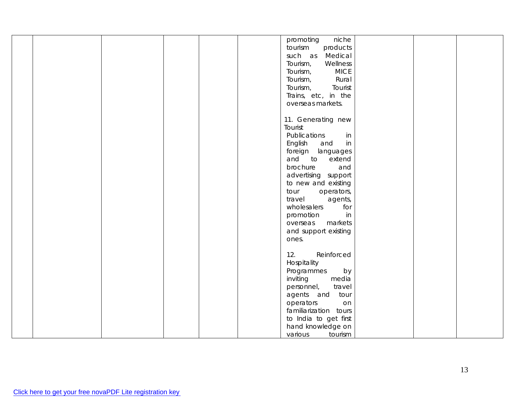|  |  |  | niche<br>promoting      |  |  |
|--|--|--|-------------------------|--|--|
|  |  |  | tourism<br>products     |  |  |
|  |  |  | such as<br>Medical      |  |  |
|  |  |  | Tourism,<br>Wellness    |  |  |
|  |  |  | <b>MICE</b><br>Tourism, |  |  |
|  |  |  | Rural<br>Tourism,       |  |  |
|  |  |  |                         |  |  |
|  |  |  | Tourism,<br>Tourist     |  |  |
|  |  |  | Trains, etc, in the     |  |  |
|  |  |  | overseas markets.       |  |  |
|  |  |  |                         |  |  |
|  |  |  | 11. Generating new      |  |  |
|  |  |  | Tourist                 |  |  |
|  |  |  |                         |  |  |
|  |  |  | Publications<br>in      |  |  |
|  |  |  | English<br>in<br>and    |  |  |
|  |  |  | foreign languages       |  |  |
|  |  |  | and to<br>extend        |  |  |
|  |  |  | brochure<br>and         |  |  |
|  |  |  | advertising support     |  |  |
|  |  |  |                         |  |  |
|  |  |  | to new and existing     |  |  |
|  |  |  | operators,<br>tour      |  |  |
|  |  |  | travel<br>agents,       |  |  |
|  |  |  | wholesalers<br>for      |  |  |
|  |  |  | promotion<br>in         |  |  |
|  |  |  | markets<br>overseas     |  |  |
|  |  |  |                         |  |  |
|  |  |  | and support existing    |  |  |
|  |  |  | ones.                   |  |  |
|  |  |  |                         |  |  |
|  |  |  | 12.<br>Reinforced       |  |  |
|  |  |  | Hospitality             |  |  |
|  |  |  | by<br>Programmes        |  |  |
|  |  |  | media<br>inviting       |  |  |
|  |  |  | travel<br>personnel,    |  |  |
|  |  |  |                         |  |  |
|  |  |  | agents and<br>tour      |  |  |
|  |  |  | operators<br>on         |  |  |
|  |  |  | familiarization tours   |  |  |
|  |  |  | to India to get first   |  |  |
|  |  |  | hand knowledge on       |  |  |
|  |  |  | various<br>tourism      |  |  |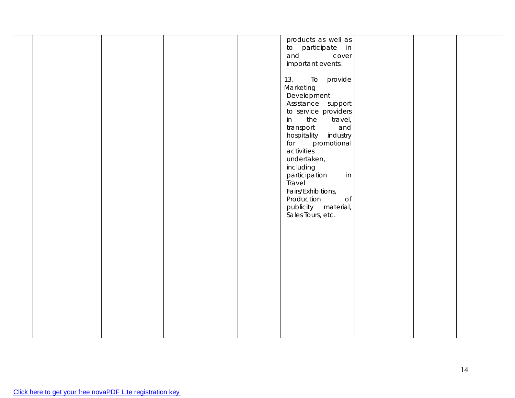|  |  |  | products as well as     |  |  |
|--|--|--|-------------------------|--|--|
|  |  |  | to participate in       |  |  |
|  |  |  |                         |  |  |
|  |  |  | and<br>cover            |  |  |
|  |  |  | important events.       |  |  |
|  |  |  |                         |  |  |
|  |  |  | 13.<br>To provide       |  |  |
|  |  |  | Marketing               |  |  |
|  |  |  | Development             |  |  |
|  |  |  | Assistance support      |  |  |
|  |  |  |                         |  |  |
|  |  |  | to service providers    |  |  |
|  |  |  | the<br>travel,<br>in    |  |  |
|  |  |  | transport<br>and        |  |  |
|  |  |  | hospitality industry    |  |  |
|  |  |  | promotional<br>for      |  |  |
|  |  |  | activities              |  |  |
|  |  |  | undertaken,             |  |  |
|  |  |  | including               |  |  |
|  |  |  | in                      |  |  |
|  |  |  | participation           |  |  |
|  |  |  | Travel                  |  |  |
|  |  |  | Fairs/Exhibitions,      |  |  |
|  |  |  | Production<br>$\circ$ f |  |  |
|  |  |  | publicity material,     |  |  |
|  |  |  | Sales Tours, etc.       |  |  |
|  |  |  |                         |  |  |
|  |  |  |                         |  |  |
|  |  |  |                         |  |  |
|  |  |  |                         |  |  |
|  |  |  |                         |  |  |
|  |  |  |                         |  |  |
|  |  |  |                         |  |  |
|  |  |  |                         |  |  |
|  |  |  |                         |  |  |
|  |  |  |                         |  |  |
|  |  |  |                         |  |  |
|  |  |  |                         |  |  |
|  |  |  |                         |  |  |
|  |  |  |                         |  |  |
|  |  |  |                         |  |  |
|  |  |  |                         |  |  |
|  |  |  |                         |  |  |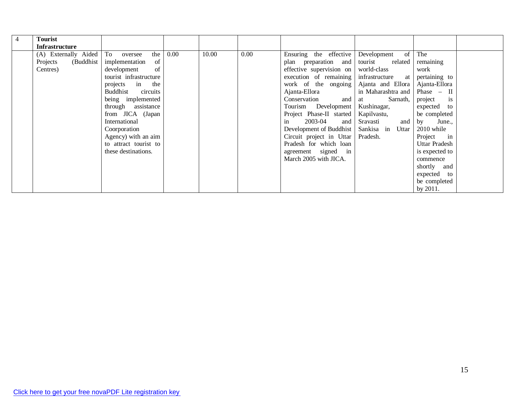| Tourist<br><b>Infrastructure</b> |                        |      |       |      |                          |                         |                |  |
|----------------------------------|------------------------|------|-------|------|--------------------------|-------------------------|----------------|--|
| (A) Externally Aided To oversee  | the                    | 0.00 | 10.00 | 0.00 | Ensuring the effective   | $\sigma$<br>Development | The            |  |
| Projects<br>(Buddhist            | of<br>implementation   |      |       |      | plan preparation and     | tourist<br>related      | remaining      |  |
| Centres)                         | of<br>development      |      |       |      | effective supervision on | world-class             | work           |  |
|                                  | tourist infrastructure |      |       |      | execution of remaining   | infrastructure at       | pertaining to  |  |
|                                  | projects in the        |      |       |      | work of the ongoing      | Ajanta and Ellora       | Ajanta-Ellora  |  |
|                                  | Buddhist<br>circuits   |      |       |      | Ajanta-Ellora            | in Maharashtra and      | Phase $-$ II   |  |
|                                  | being implemented      |      |       |      | and<br>Conservation      | Sarnath,<br>at          | is<br>project  |  |
|                                  | through assistance     |      |       |      | Tourism Development      | Kushinagar,             | expected to    |  |
|                                  | from JICA (Japan       |      |       |      | Project Phase-II started | Kapilvastu,             | be completed   |  |
|                                  | International          |      |       |      | in<br>2003-04<br>and     | and<br>Sravasti         | by June.,      |  |
|                                  | Coorporation           |      |       |      | Development of Buddhist  | Sankisa in Uttar        | $2010$ while   |  |
|                                  | Agency) with an aim    |      |       |      | Circuit project in Uttar | Pradesh.                | Project in     |  |
|                                  | to attract tourist to  |      |       |      | Pradesh for which loan   |                         | Uttar Pradesh  |  |
|                                  | these destinations.    |      |       |      | agreement signed in      |                         | is expected to |  |
|                                  |                        |      |       |      | March 2005 with JICA.    |                         | commence       |  |
|                                  |                        |      |       |      |                          |                         | shortly and    |  |
|                                  |                        |      |       |      |                          |                         | expected to    |  |
|                                  |                        |      |       |      |                          |                         | be completed   |  |
|                                  |                        |      |       |      |                          |                         | by 2011.       |  |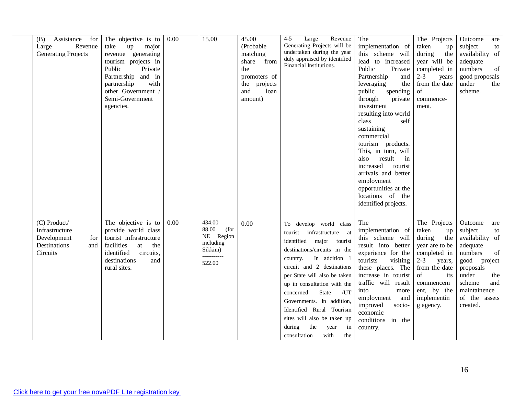| Assistance for<br>(B)<br>Revenue<br>Large<br><b>Generating Projects</b>                 | The objective is to<br>take<br>up<br>major<br>revenue generating<br>tourism projects in<br>Public<br>Private<br>Partnership and in<br>with<br>partnership<br>other Government /<br>Semi-Government<br>agencies. | 0.00 | 15.00                                                                                 | 45.00<br>(Probable<br>matching<br>share from<br>the<br>promoters of<br>projects<br>the<br>and<br>loan<br>amount) | Large<br>Revenue<br>4-5<br>Generating Projects will be<br>undertaken during the year<br>duly appraised by identified<br>Financial Institutions.                                                                                                                                                                                                                                                                              | The<br>implementation of<br>this scheme will<br>lead to increased<br>Public<br>Private<br>Partnership<br>and<br>leveraging<br>the<br>public<br>spending<br>through<br>private<br>investment<br>resulting into world<br>class<br>self<br>sustaining<br>commercial<br>tourism products.<br>This, in turn, will<br>result<br>in<br>also<br>increased<br>tourist<br>arrivals and better<br>employment<br>opportunities at the<br>locations of the<br>identified projects. | The Projects<br>taken<br>up<br>during<br>the<br>year will be<br>completed in<br>$2 - 3$<br>years<br>from the date<br>of<br>commence-<br>ment.                                             | Outcome<br>are<br>subject<br>to<br>availability of<br>adequate<br>of<br>numbers<br>good proposals<br>under<br>the<br>scheme.                                                               |
|-----------------------------------------------------------------------------------------|-----------------------------------------------------------------------------------------------------------------------------------------------------------------------------------------------------------------|------|---------------------------------------------------------------------------------------|------------------------------------------------------------------------------------------------------------------|------------------------------------------------------------------------------------------------------------------------------------------------------------------------------------------------------------------------------------------------------------------------------------------------------------------------------------------------------------------------------------------------------------------------------|-----------------------------------------------------------------------------------------------------------------------------------------------------------------------------------------------------------------------------------------------------------------------------------------------------------------------------------------------------------------------------------------------------------------------------------------------------------------------|-------------------------------------------------------------------------------------------------------------------------------------------------------------------------------------------|--------------------------------------------------------------------------------------------------------------------------------------------------------------------------------------------|
| (C) Product/<br>Infrastructure<br>Development<br>for<br>Destinations<br>and<br>Circuits | The objective is $\overline{to}$<br>provide world class<br>tourist infrastructure<br>facilities<br>at<br>the<br>identified<br>circuits,<br>destinations<br>and<br>rural sites.                                  | 0.00 | 434.00<br>88.00<br>(for<br>NE Region<br>including<br>Sikkim)<br>-----------<br>522.00 | 0.00                                                                                                             | To develop world class<br>tourist infrastructure at<br>identified major tourist<br>destinations/circuits in the<br>In addition 1<br>country.<br>circuit and 2 destinations<br>per State will also be taken<br>up in consultation with the<br>/UT<br>concerned<br>State<br>Governments. In addition,<br>Identified Rural Tourism<br>sites will also be taken up<br>during<br>the<br>in<br>year<br>consultation<br>with<br>the | The<br>implementation of<br>this scheme will<br>result into better<br>experience for the<br>tourists<br>visiting<br>these places. The<br>increase in tourist<br>traffic will result<br>into<br>more<br>employment<br>and<br>improved<br>socio-<br>economic<br>conditions in the<br>country.                                                                                                                                                                           | The Projects<br>taken<br>up<br>during<br>the<br>year are to be<br>completed in<br>$2 - 3$<br>years,<br>from the date<br>of<br>its<br>commencem<br>ent, by the<br>implementin<br>g agency. | Outcome<br>are<br>subject<br>to<br>availability of<br>adequate<br>of<br>numbers<br>good project<br>proposals<br>under<br>the<br>scheme<br>and<br>maintainence<br>of the assets<br>created. |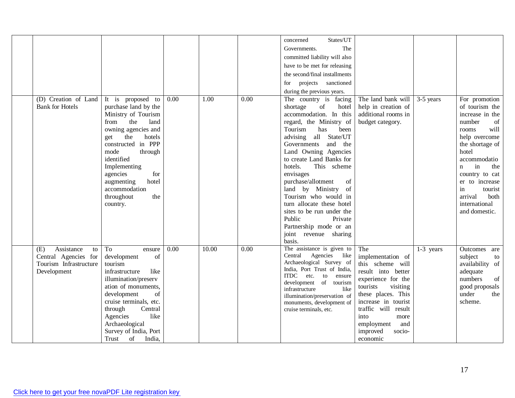| (D) Creation of Land<br><b>Bank for Hotels</b>                                           | It is proposed to<br>purchase land by the<br>Ministry of Tourism<br>the<br>from<br>land<br>owning agencies and<br>the<br>hotels<br>get<br>constructed in PPP<br>mode<br>through<br>identified<br>Implementing<br>agencies<br>for<br>hotel<br>augmenting<br>accommodation<br>throughout<br>the<br>country. | 0.00 | 1.00  | 0.00 | States/UT<br>concerned<br>The<br>Governments.<br>committed liability will also<br>have to be met for releasing<br>the second/final installments<br>projects sanctioned<br>for<br>during the previous years.<br>The country is facing<br>shortage<br>of<br>hotel<br>accommodation. In this<br>regard, the Ministry of<br>Tourism<br>has<br>been<br>all State/UT<br>advising<br>Governments<br>and the<br>Land Owning Agencies<br>to create Land Banks for<br>hotels.<br>This scheme<br>envisages<br>purchase/allotment<br>of<br>land by Ministry<br>of<br>Tourism who would in<br>turn allocate these hotel<br>sites to be run under the<br>Public<br>Private | The land bank will<br>help in creation of<br>additional rooms in<br>budget category.                                                                                                                                                                        | 3-5 years   | For promotion<br>of tourism the<br>increase in the<br>number<br>of<br>will<br>rooms<br>help overcome<br>the shortage of<br>hotel<br>accommodatio<br>in<br>the<br>$\mathbf{n}$<br>country to cat<br>er to increase<br>in<br>tourist<br>arrival<br>both<br>international<br>and domestic. |
|------------------------------------------------------------------------------------------|-----------------------------------------------------------------------------------------------------------------------------------------------------------------------------------------------------------------------------------------------------------------------------------------------------------|------|-------|------|--------------------------------------------------------------------------------------------------------------------------------------------------------------------------------------------------------------------------------------------------------------------------------------------------------------------------------------------------------------------------------------------------------------------------------------------------------------------------------------------------------------------------------------------------------------------------------------------------------------------------------------------------------------|-------------------------------------------------------------------------------------------------------------------------------------------------------------------------------------------------------------------------------------------------------------|-------------|-----------------------------------------------------------------------------------------------------------------------------------------------------------------------------------------------------------------------------------------------------------------------------------------|
| Assistance<br>(E)<br>to<br>Central Agencies for<br>Tourism Infrastructure<br>Development | To<br>ensure<br>of<br>development<br>tourism<br>like<br>infrastructure<br>illumination/preserv<br>ation of monuments,<br>development<br>of<br>cruise terminals, etc.<br>Central<br>through<br>Agencies<br>like<br>Archaeological<br>Survey of India, Port<br>of India,<br>Trust                           | 0.00 | 10.00 | 0.00 | Partnership mode or an<br>joint revenue sharing<br>basis.<br>The assistance is given to<br>Central<br>Agencies like<br>Archaeological Survey of<br>India, Port Trust of India,<br>ITDC etc.<br>to<br>ensure<br>development of tourism<br>infrastructure<br>like<br>illumination/preservation of<br>monuments, development of<br>cruise terminals, etc.                                                                                                                                                                                                                                                                                                       | The<br>implementation of<br>this scheme will<br>result into better<br>experience for the<br>tourists<br>visiting<br>these places. This<br>increase in tourist<br>traffic will result<br>into<br>more<br>employment<br>and<br>improved<br>socio-<br>economic | $1-3$ years | Outcomes<br>are<br>subject<br>to<br>availability of<br>adequate<br>of<br>numbers<br>good proposals<br>under<br>the<br>scheme.                                                                                                                                                           |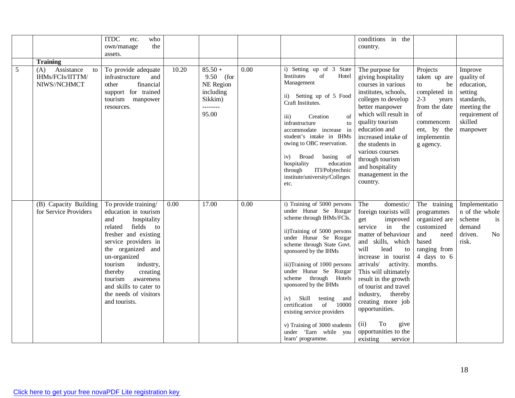| 5 | <b>Training</b><br>Assistance<br>(A)<br>to<br>IHMs/FCIs/IITTM/<br>NIWS//NCHMCT | <b>ITDC</b><br>etc.<br>who<br>own/manage<br>the<br>assets.<br>To provide adequate<br>infrastructure<br>and<br>financial<br>other<br>support for trained<br>tourism<br>manpower<br>resources. | 10.20             | $85.50 +$<br>9.50 (for<br>NE Region<br>including<br>Sikkim)<br>--------<br>95.00 | 0.00 | i) Setting up of 3<br>State<br>Institutes<br>of<br>Hotel<br>Management<br>ii) Setting up of 5 Food<br>Craft Institutes.<br>iii)<br>Creation<br>$\sigma$ f<br>infrastructure<br>to | conditions in the<br>country.<br>The purpose for<br>giving hospitality<br>courses in various<br>institutes, schools,<br>colleges to develop<br>better manpower<br>which will result in<br>quality tourism | Projects<br>taken up are<br>be<br>to<br>completed in<br>$2 - 3$<br>years<br>from the date<br>of | Improve<br>quality of<br>education,<br>setting<br>standards,<br>meeting the<br>requirement of |
|---|--------------------------------------------------------------------------------|----------------------------------------------------------------------------------------------------------------------------------------------------------------------------------------------|-------------------|----------------------------------------------------------------------------------|------|-----------------------------------------------------------------------------------------------------------------------------------------------------------------------------------|-----------------------------------------------------------------------------------------------------------------------------------------------------------------------------------------------------------|-------------------------------------------------------------------------------------------------|-----------------------------------------------------------------------------------------------|
|   |                                                                                |                                                                                                                                                                                              |                   |                                                                                  |      |                                                                                                                                                                                   |                                                                                                                                                                                                           |                                                                                                 |                                                                                               |
|   |                                                                                |                                                                                                                                                                                              |                   |                                                                                  |      |                                                                                                                                                                                   |                                                                                                                                                                                                           |                                                                                                 |                                                                                               |
|   |                                                                                |                                                                                                                                                                                              |                   |                                                                                  |      |                                                                                                                                                                                   |                                                                                                                                                                                                           |                                                                                                 |                                                                                               |
|   |                                                                                |                                                                                                                                                                                              |                   |                                                                                  |      |                                                                                                                                                                                   |                                                                                                                                                                                                           |                                                                                                 |                                                                                               |
|   |                                                                                |                                                                                                                                                                                              |                   |                                                                                  |      |                                                                                                                                                                                   |                                                                                                                                                                                                           |                                                                                                 |                                                                                               |
|   |                                                                                |                                                                                                                                                                                              |                   |                                                                                  |      |                                                                                                                                                                                   |                                                                                                                                                                                                           |                                                                                                 |                                                                                               |
|   |                                                                                |                                                                                                                                                                                              |                   |                                                                                  |      |                                                                                                                                                                                   |                                                                                                                                                                                                           |                                                                                                 |                                                                                               |
|   |                                                                                |                                                                                                                                                                                              |                   |                                                                                  |      |                                                                                                                                                                                   |                                                                                                                                                                                                           |                                                                                                 |                                                                                               |
|   |                                                                                |                                                                                                                                                                                              |                   |                                                                                  |      |                                                                                                                                                                                   |                                                                                                                                                                                                           |                                                                                                 |                                                                                               |
|   |                                                                                |                                                                                                                                                                                              |                   |                                                                                  |      |                                                                                                                                                                                   |                                                                                                                                                                                                           |                                                                                                 |                                                                                               |
|   |                                                                                |                                                                                                                                                                                              |                   |                                                                                  |      |                                                                                                                                                                                   |                                                                                                                                                                                                           | commencem                                                                                       | skilled                                                                                       |
|   |                                                                                |                                                                                                                                                                                              |                   |                                                                                  |      | accommodate increase in                                                                                                                                                           | education and                                                                                                                                                                                             | ent, by the                                                                                     | manpower                                                                                      |
|   |                                                                                |                                                                                                                                                                                              |                   |                                                                                  |      | student's intake in IHMs                                                                                                                                                          | increased intake of                                                                                                                                                                                       | implementin                                                                                     |                                                                                               |
|   |                                                                                |                                                                                                                                                                                              |                   |                                                                                  |      | owing to OBC reservation.                                                                                                                                                         | the students in                                                                                                                                                                                           | g agency.                                                                                       |                                                                                               |
|   |                                                                                |                                                                                                                                                                                              |                   |                                                                                  |      | iv) Broad                                                                                                                                                                         | various courses                                                                                                                                                                                           |                                                                                                 |                                                                                               |
|   |                                                                                |                                                                                                                                                                                              |                   |                                                                                  |      | basing of<br>hospitality<br>education                                                                                                                                             | through tourism                                                                                                                                                                                           |                                                                                                 |                                                                                               |
|   |                                                                                |                                                                                                                                                                                              |                   |                                                                                  |      | ITI/Polytechnic<br>through                                                                                                                                                        | and hospitality                                                                                                                                                                                           |                                                                                                 |                                                                                               |
|   |                                                                                |                                                                                                                                                                                              |                   |                                                                                  |      | institute/university/Colleges                                                                                                                                                     | management in the                                                                                                                                                                                         |                                                                                                 |                                                                                               |
|   |                                                                                |                                                                                                                                                                                              |                   |                                                                                  |      | etc.                                                                                                                                                                              | country.                                                                                                                                                                                                  |                                                                                                 |                                                                                               |
|   |                                                                                |                                                                                                                                                                                              |                   |                                                                                  |      |                                                                                                                                                                                   |                                                                                                                                                                                                           |                                                                                                 |                                                                                               |
|   | (B) Capacity Building                                                          | To provide training/                                                                                                                                                                         | $\overline{0.00}$ | 17.00                                                                            | 0.00 | i) Training of 5000 persons                                                                                                                                                       | The<br>domestic/                                                                                                                                                                                          | The training                                                                                    | Implementatio                                                                                 |
|   | for Service Providers                                                          | education in tourism                                                                                                                                                                         |                   |                                                                                  |      | under Hunar Se Rozgar                                                                                                                                                             | foreign tourists will                                                                                                                                                                                     | programmes                                                                                      | n of the whole                                                                                |
|   |                                                                                | hospitality<br>and                                                                                                                                                                           |                   |                                                                                  |      | scheme through IHMs/FCIs.                                                                                                                                                         | improved<br>get                                                                                                                                                                                           | organized are                                                                                   | scheme<br>is                                                                                  |
|   |                                                                                | fields to<br>related                                                                                                                                                                         |                   |                                                                                  |      |                                                                                                                                                                                   | in the<br>service                                                                                                                                                                                         | customized                                                                                      | demand                                                                                        |
|   |                                                                                | fresher and existing                                                                                                                                                                         |                   |                                                                                  |      | ii)Training of 5000 persons                                                                                                                                                       | matter of behaviour                                                                                                                                                                                       | and<br>need                                                                                     | driven.<br>No                                                                                 |
|   |                                                                                | service providers in                                                                                                                                                                         |                   |                                                                                  |      | under Hunar Se Rozgar<br>scheme through State Govt.                                                                                                                               | and skills, which                                                                                                                                                                                         | based                                                                                           | risk.                                                                                         |
|   |                                                                                | the organized and                                                                                                                                                                            |                   |                                                                                  |      |                                                                                                                                                                                   | will<br>lead<br>to                                                                                                                                                                                        | ranging from                                                                                    |                                                                                               |
|   |                                                                                | un-organized                                                                                                                                                                                 |                   |                                                                                  |      |                                                                                                                                                                                   | increase in tourist                                                                                                                                                                                       | 4 days to 6                                                                                     |                                                                                               |
|   |                                                                                | tourism<br>industry,                                                                                                                                                                         |                   |                                                                                  |      | iii)Training of 1000 persons                                                                                                                                                      | arrivals/<br>activity.                                                                                                                                                                                    | months.                                                                                         |                                                                                               |
|   |                                                                                | thereby<br>creating                                                                                                                                                                          |                   |                                                                                  |      |                                                                                                                                                                                   |                                                                                                                                                                                                           |                                                                                                 |                                                                                               |
|   |                                                                                |                                                                                                                                                                                              |                   |                                                                                  |      |                                                                                                                                                                                   |                                                                                                                                                                                                           |                                                                                                 |                                                                                               |
|   |                                                                                |                                                                                                                                                                                              |                   |                                                                                  |      |                                                                                                                                                                                   |                                                                                                                                                                                                           |                                                                                                 |                                                                                               |
|   |                                                                                |                                                                                                                                                                                              |                   |                                                                                  |      | iv)                                                                                                                                                                               |                                                                                                                                                                                                           |                                                                                                 |                                                                                               |
|   |                                                                                |                                                                                                                                                                                              |                   |                                                                                  |      | certification<br>of 10000                                                                                                                                                         |                                                                                                                                                                                                           |                                                                                                 |                                                                                               |
|   |                                                                                |                                                                                                                                                                                              |                   |                                                                                  |      | existing service providers                                                                                                                                                        |                                                                                                                                                                                                           |                                                                                                 |                                                                                               |
|   |                                                                                |                                                                                                                                                                                              |                   |                                                                                  |      |                                                                                                                                                                                   |                                                                                                                                                                                                           |                                                                                                 |                                                                                               |
|   |                                                                                |                                                                                                                                                                                              |                   |                                                                                  |      | under 'Earn while you                                                                                                                                                             | opportunities to the                                                                                                                                                                                      |                                                                                                 |                                                                                               |
|   |                                                                                |                                                                                                                                                                                              |                   |                                                                                  |      |                                                                                                                                                                                   |                                                                                                                                                                                                           |                                                                                                 |                                                                                               |
|   |                                                                                | tourism<br>awareness<br>and skills to cater to<br>the needs of visitors<br>and tourists.                                                                                                     |                   |                                                                                  |      | sponsored by the IHMs<br>under Hunar Se Rozgar<br>scheme through Hotels<br>sponsored by the IHMs<br>Skill<br>testing and<br>v) Training of 3000 students                          | This will ultimately<br>result in the growth<br>of tourist and travel<br>industry, thereby<br>creating more job<br>opportunities.<br>To<br>(ii)<br>give                                                   |                                                                                                 |                                                                                               |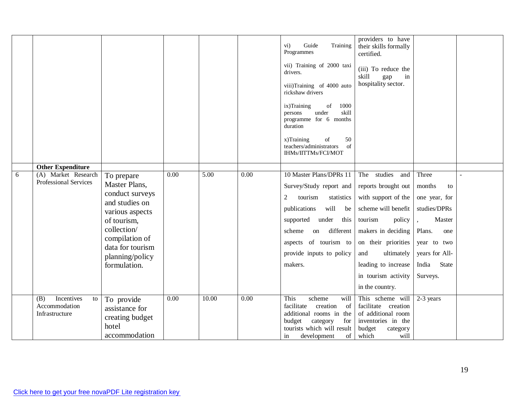|   |                                                            |                                                                           |      |       |      | Guide<br>Training<br>$\overline{\text{vi}}$ )<br>Programmes<br>vii) Training of 2000 taxi<br>drivers.<br>viii)Training of 4000 auto<br>rickshaw drivers<br>ix)Training<br>of<br>1000<br>skill<br>under<br>persons<br>programme for 6 months<br>duration<br>x)Training<br>$% \left( \left( \mathcal{A},\mathcal{A}\right) \right) =\left( \mathcal{A},\mathcal{A}\right)$ of<br>50<br>teachers/administrators<br>of<br>IHMs/IITTMs/FCI/MOT | providers to have<br>their skills formally<br>certified.<br>(iii) To reduce the<br>skill<br>gap<br>in<br>hospitality sector. |                |  |
|---|------------------------------------------------------------|---------------------------------------------------------------------------|------|-------|------|-------------------------------------------------------------------------------------------------------------------------------------------------------------------------------------------------------------------------------------------------------------------------------------------------------------------------------------------------------------------------------------------------------------------------------------------|------------------------------------------------------------------------------------------------------------------------------|----------------|--|
| 6 | <b>Other Expenditure</b><br>(A) Market Research            | To prepare                                                                | 0.00 | 5.00  | 0.00 | 10 Master Plans/DPRs 11                                                                                                                                                                                                                                                                                                                                                                                                                   | The studies<br>and                                                                                                           | Three          |  |
|   | Professional Services                                      | Master Plans,                                                             |      |       |      | Survey/Study report and                                                                                                                                                                                                                                                                                                                                                                                                                   | reports brought out                                                                                                          | months<br>to   |  |
|   |                                                            | conduct surveys<br>and studies on                                         |      |       |      | $\overline{2}$<br>tourism<br>statistics                                                                                                                                                                                                                                                                                                                                                                                                   | with support of the                                                                                                          | one year, for  |  |
|   |                                                            | various aspects                                                           |      |       |      | will be<br>publications                                                                                                                                                                                                                                                                                                                                                                                                                   | scheme will benefit                                                                                                          | studies/DPRs   |  |
|   |                                                            | of tourism,                                                               |      |       |      | supported under this                                                                                                                                                                                                                                                                                                                                                                                                                      | tourism<br>policy                                                                                                            | Master         |  |
|   |                                                            | collection/                                                               |      |       |      | different<br>scheme<br>on                                                                                                                                                                                                                                                                                                                                                                                                                 | makers in deciding                                                                                                           | Plans.<br>one  |  |
|   |                                                            | compilation of<br>data for tourism                                        |      |       |      | aspects of tourism to                                                                                                                                                                                                                                                                                                                                                                                                                     | on their priorities                                                                                                          | year to two    |  |
|   |                                                            | planning/policy                                                           |      |       |      | provide inputs to policy                                                                                                                                                                                                                                                                                                                                                                                                                  | ultimately<br>and                                                                                                            | years for All- |  |
|   |                                                            | formulation.                                                              |      |       |      | makers.                                                                                                                                                                                                                                                                                                                                                                                                                                   | leading to increase                                                                                                          | India<br>State |  |
|   |                                                            |                                                                           |      |       |      |                                                                                                                                                                                                                                                                                                                                                                                                                                           | in tourism activity                                                                                                          | Surveys.       |  |
|   |                                                            |                                                                           |      |       |      |                                                                                                                                                                                                                                                                                                                                                                                                                                           | in the country.                                                                                                              |                |  |
|   | Incentives<br>(B)<br>to<br>Accommodation<br>Infrastructure | To provide<br>assistance for<br>creating budget<br>hotel<br>accommodation | 0.00 | 10.00 | 0.00 | This<br>scheme<br>will<br>facilitate<br>creation<br>of<br>additional rooms in the<br>budget<br>category<br>for<br>tourists which will result<br>of<br>development<br>in                                                                                                                                                                                                                                                                   | This scheme will<br>facilitate creation<br>of additional room<br>inventories in the<br>budget<br>category<br>will<br>which   | 2-3 years      |  |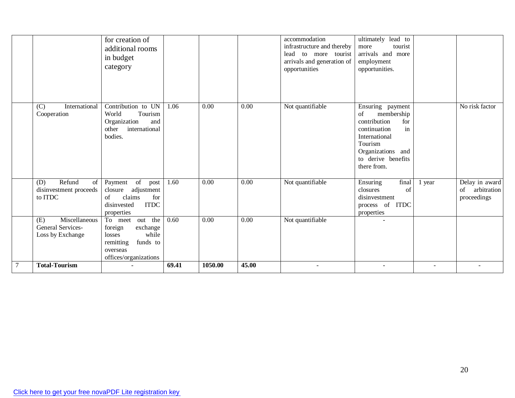|                                                                | for creation of<br>additional rooms<br>in budget<br>category                                                            |       |         |       | accommodation<br>infrastructure and thereby<br>lead to more tourist<br>arrivals and generation of<br>opportunities | ultimately lead to<br>tourist<br>more<br>arrivals and more<br>employment<br>opportunities.                                                                              |        |                                                    |
|----------------------------------------------------------------|-------------------------------------------------------------------------------------------------------------------------|-------|---------|-------|--------------------------------------------------------------------------------------------------------------------|-------------------------------------------------------------------------------------------------------------------------------------------------------------------------|--------|----------------------------------------------------|
| International<br>(C)<br>Cooperation                            | Contribution to UN<br>Tourism<br>World<br>Organization<br>and<br>international<br>other<br>bodies.                      | 1.06  | 0.00    | 0.00  | Not quantifiable                                                                                                   | Ensuring payment<br>of<br>membership<br>contribution<br>for<br>in<br>continuation<br>International<br>Tourism<br>Organizations and<br>to derive benefits<br>there from. |        | No risk factor                                     |
| Refund<br>(D)<br>$\sigma$<br>disinvestment proceeds<br>to ITDC | of<br>Payment<br>post<br>adjustment<br>closure<br>claims<br>for<br>of<br><b>ITDC</b><br>disinvested<br>properties       | 1.60  | 0.00    | 0.00  | Not quantifiable                                                                                                   | final<br>Ensuring<br>of<br>closures<br>disinvestment<br>process of ITDC<br>properties                                                                                   | year   | Delay in award<br>arbitration<br>of<br>proceedings |
| Miscellaneous<br>(E)<br>General Services-<br>Loss by Exchange  | To meet out the<br>exchange<br>foreign<br>while<br>losses<br>remitting<br>funds to<br>overseas<br>offices/organizations | 0.60  | 0.00    | 0.00  | Not quantifiable                                                                                                   | ÷                                                                                                                                                                       |        |                                                    |
| <b>Total-Tourism</b>                                           |                                                                                                                         | 69.41 | 1050.00 | 45.00 | $\overline{\phantom{a}}$                                                                                           | $\sim$                                                                                                                                                                  | $\sim$ |                                                    |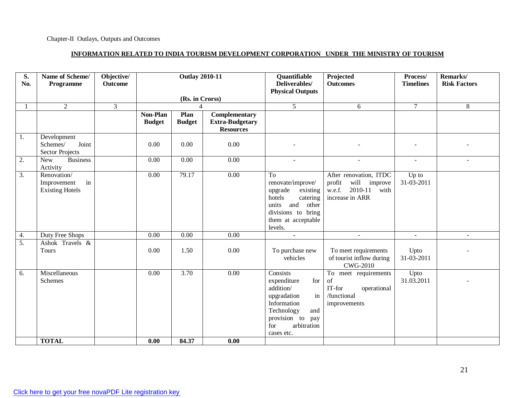#### **INFORMATION RELATED TO INDIA TOURISM DEVELOPMENT CORPORATION UNDER THE MINISTRY OF TOURISM**

| S.<br>No.        | Name of Scheme/<br>Programme                               | Objective/<br><b>Outcome</b> | <b>Outlay 2010-11</b>     |                       | Quantifiable<br>Deliverables/<br><b>Physical Outputs</b>    | Projected<br><b>Outcomes</b>                                                                                                                                    | Process/<br><b>Timelines</b>                                                                        | Remarks/<br><b>Risk Factors</b> |        |
|------------------|------------------------------------------------------------|------------------------------|---------------------------|-----------------------|-------------------------------------------------------------|-----------------------------------------------------------------------------------------------------------------------------------------------------------------|-----------------------------------------------------------------------------------------------------|---------------------------------|--------|
|                  |                                                            |                              |                           | (Rs. in Crorss)       |                                                             |                                                                                                                                                                 |                                                                                                     |                                 |        |
| $\mathbf{1}$     | 2                                                          | $\overline{3}$               |                           | $\boldsymbol{\Delta}$ |                                                             | $5^{\circ}$                                                                                                                                                     | 6                                                                                                   | $7\phantom{.0}$                 | 8      |
|                  |                                                            |                              | Non-Plan<br><b>Budget</b> | Plan<br><b>Budget</b> | Complementary<br><b>Extra-Budgetary</b><br><b>Resources</b> |                                                                                                                                                                 |                                                                                                     |                                 |        |
| 1.               | Development<br>Schemes/<br>Joint<br><b>Sector Projects</b> |                              | 0.00                      | 0.00                  | 0.00                                                        |                                                                                                                                                                 |                                                                                                     |                                 |        |
| $\overline{2}$ . | <b>Business</b><br><b>New</b><br>Activity                  |                              | 0.00                      | 0.00                  | 0.00                                                        | $\blacksquare$                                                                                                                                                  | $\blacksquare$                                                                                      | $\sim$                          | $\sim$ |
| 3.               | Renovation/<br>in<br>Improvement<br><b>Existing Hotels</b> |                              | 0.00                      | 79.17                 | 0.00                                                        | To<br>renovate/improve/<br>upgrade<br>existing<br>hotels<br>catering<br>and<br>units<br>other<br>divisions to bring<br>them at acceptable<br>levels.            | After renovation, ITDC<br>will<br>profit<br>improve<br>2010-11<br>w.e.f.<br>with<br>increase in ARR | Up to<br>31-03-2011             |        |
| 4.               | Duty Free Shops                                            |                              | 0.00                      | $\overline{0.00}$     | $\overline{0.00}$                                           | $\mathbb{Z}^2$                                                                                                                                                  | ÷.                                                                                                  | $\sim$                          | $\sim$ |
| $\overline{5}$ . | Ashok Travels &<br>Tours                                   |                              | 0.00                      | 1.50                  | 0.00                                                        | To purchase new<br>vehicles                                                                                                                                     | To meet requirements<br>of tourist inflow during<br><b>CWG-2010</b>                                 | Upto<br>31-03-2011              |        |
| 6.               | Miscellaneous<br><b>Schemes</b>                            |                              | $\overline{0.00}$         | 3.70                  | 0.00                                                        | Consists<br>for<br>expenditure<br>addition/<br>in<br>upgradation<br>Information<br>Technology<br>and<br>provision to<br>pay<br>arbitration<br>for<br>cases etc. | To meet requirements<br>of<br>IT-for<br>operational<br>/functional<br>improvements                  | Upto<br>31.03.2011              |        |
|                  | <b>TOTAL</b>                                               |                              | 0.00                      | 84.37                 | 0.00                                                        |                                                                                                                                                                 |                                                                                                     |                                 |        |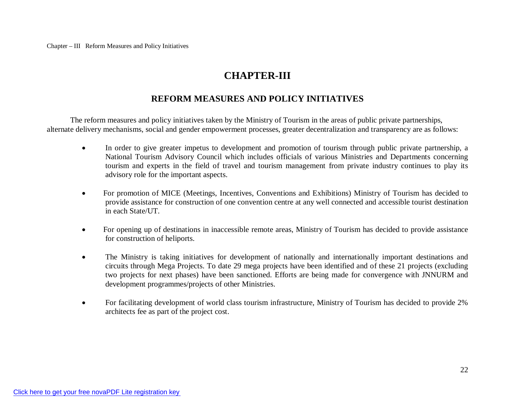# **CHAPTER-III**

### **REFORM MEASURES AND POLICY INITIATIVES**

The reform measures and policy initiatives taken by the Ministry of Tourism in the areas of public private partnerships, alternate delivery mechanisms, social and gender empowerment processes, greater decentralization and transparency are as follows:

- In order to give greater impetus to development and promotion of tourism through public private partnership, a National Tourism Advisory Council which includes officials of various Ministries and Departments concerning tourism and experts in the field of travel and tourism management from private industry continues to play its advisory role for the important aspects.
- For promotion of MICE (Meetings, Incentives, Conventions and Exhibitions) Ministry of Tourism has decided to provide assistance for construction of one convention centre at any well connected and accessible tourist destination in each State/UT.
- For opening up of destinations in inaccessible remote areas, Ministry of Tourism has decided to provide assistance for construction of heliports.
- The Ministry is taking initiatives for development of nationally and internationally important destinations and circuits through Mega Projects. To date 29 mega projects have been identified and of these 21 projects (excluding two projects for next phases) have been sanctioned. Efforts are being made for convergence with JNNURM and development programmes/projects of other Ministries.
- For facilitating development of world class tourism infrastructure, Ministry of Tourism has decided to provide 2% architects fee as part of the project cost.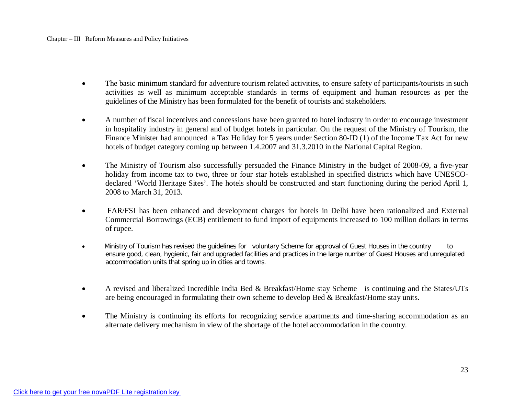- The basic minimum standard for adventure tourism related activities, to ensure safety of participants/tourists in such activities as well as minimum acceptable standards in terms of equipment and human resources as per the guidelines of the Ministry has been formulated for the benefit of tourists and stakeholders.
- A number of fiscal incentives and concessions have been granted to hotel industry in order to encourage investment in hospitality industry in general and of budget hotels in particular. On the request of the Ministry of Tourism, the Finance Minister had announced a Tax Holiday for 5 years under Section 80-ID (1) of the Income Tax Act for new hotels of budget category coming up between 1.4.2007 and 31.3.2010 in the National Capital Region.
- The Ministry of Tourism also successfully persuaded the Finance Ministry in the budget of 2008-09, a five-year holiday from income tax to two, three or four star hotels established in specified districts which have UNESCOdeclared 'World Heritage Sites'. The hotels should be constructed and start functioning during the period April 1, 2008 to March 31, 2013.
- FAR/FSI has been enhanced and development charges for hotels in Delhi have been rationalized and External Commercial Borrowings (ECB) entitlement to fund import of equipments increased to 100 million dollars in terms of rupee.
- Ministry of Tourism has revised the guidelines for voluntary Scheme for approval of Guest Houses in the country to ensure good, clean, hygienic, fair and upgraded facilities and practices in the large number of Guest Houses and unregulated accommodation units that spring up in cities and towns.
- A revised and liberalized Incredible India Bed & Breakfast/Home stay Scheme is continuing and the States/UTs are being encouraged in formulating their own scheme to develop Bed & Breakfast/Home stay units.
- The Ministry is continuing its efforts for recognizing service apartments and time-sharing accommodation as an alternate delivery mechanism in view of the shortage of the hotel accommodation in the country.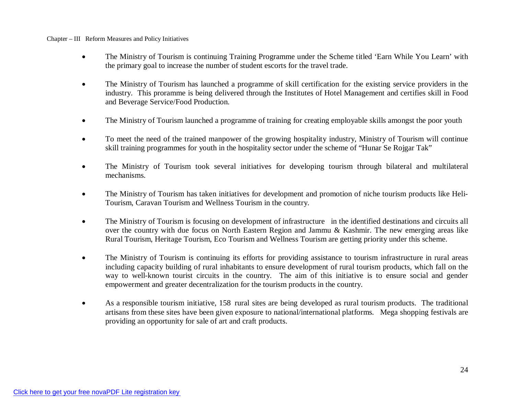- The Ministry of Tourism is continuing Training Programme under the Scheme titled 'Earn While You Learn' with the primary goal to increase the number of student escorts for the travel trade.
- The Ministry of Tourism has launched a programme of skill certification for the existing service providers in the industry. This proramme is being delivered through the Institutes of Hotel Management and certifies skill in Food and Beverage Service/Food Production.
- The Ministry of Tourism launched a programme of training for creating employable skills amongst the poor youth
- To meet the need of the trained manpower of the growing hospitality industry, Ministry of Tourism will continue skill training programmes for youth in the hospitality sector under the scheme of "Hunar Se Rojgar Tak"
- The Ministry of Tourism took several initiatives for developing tourism through bilateral and multilateral mechanisms.
- The Ministry of Tourism has taken initiatives for development and promotion of niche tourism products like Heli-Tourism, Caravan Tourism and Wellness Tourism in the country.
- The Ministry of Tourism is focusing on development of infrastructure in the identified destinations and circuits all over the country with due focus on North Eastern Region and Jammu & Kashmir. The new emerging areas like Rural Tourism, Heritage Tourism, Eco Tourism and Wellness Tourism are getting priority under this scheme.
- The Ministry of Tourism is continuing its efforts for providing assistance to tourism infrastructure in rural areas including capacity building of rural inhabitants to ensure development of rural tourism products, which fall on the way to well-known tourist circuits in the country. The aim of this initiative is to ensure social and gender empowerment and greater decentralization for the tourism products in the country.
- As a responsible tourism initiative, 158 rural sites are being developed as rural tourism products. The traditional artisans from these sites have been given exposure to national/international platforms. Mega shopping festivals are providing an opportunity for sale of art and craft products.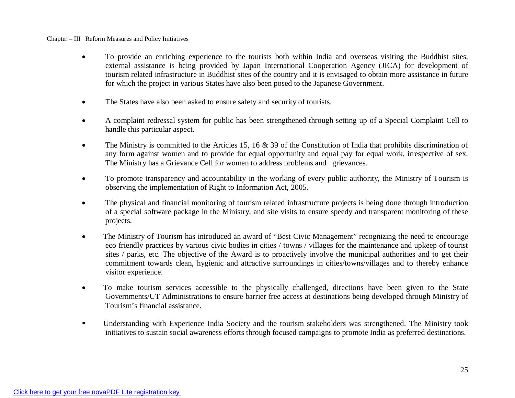- To provide an enriching experience to the tourists both within India and overseas visiting the Buddhist sites, external assistance is being provided by Japan International Cooperation Agency (JICA) for development of tourism related infrastructure in Buddhist sites of the country and it is envisaged to obtain more assistance in future for which the project in various States have also been posed to the Japanese Government.
- The States have also been asked to ensure safety and security of tourists.
- A complaint redressal system for public has been strengthened through setting up of a Special Complaint Cell to handle this particular aspect.
- The Ministry is committed to the Articles 15, 16  $\&$  39 of the Constitution of India that prohibits discrimination of any form against women and to provide for equal opportunity and equal pay for equal work, irrespective of sex. The Ministry has a Grievance Cell for women to address problems and grievances.
- To promote transparency and accountability in the working of every public authority, the Ministry of Tourism is observing the implementation of Right to Information Act, 2005.
- The physical and financial monitoring of tourism related infrastructure projects is being done through introduction of a special software package in the Ministry, and site visits to ensure speedy and transparent monitoring of these projects.
- The Ministry of Tourism has introduced an award of "Best Civic Management" recognizing the need to encourage eco friendly practices by various civic bodies in cities / towns / villages for the maintenance and upkeep of tourist sites / parks, etc. The objective of the Award is to proactively involve the municipal authorities and to get their commitment towards clean, hygienic and attractive surroundings in cities/towns/villages and to thereby enhance visitor experience.
- To make tourism services accessible to the physically challenged, directions have been given to the State Governments/UT Administrations to ensure barrier free access at destinations being developed through Ministry of Tourism's financial assistance.
- Understanding with Experience India Society and the tourism stakeholders was strengthened. The Ministry took initiatives to sustain social awareness efforts through focused campaigns to promote India as preferred destinations.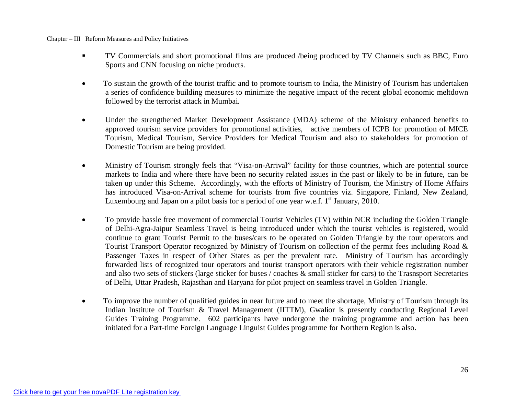- TV Commercials and short promotional films are produced /being produced by TV Channels such as BBC, Euro Sports and CNN focusing on niche products.
- To sustain the growth of the tourist traffic and to promote tourism to India, the Ministry of Tourism has undertaken a series of confidence building measures to minimize the negative impact of the recent global economic meltdown followed by the terrorist attack in Mumbai.
- Under the strengthened Market Development Assistance (MDA) scheme of the Ministry enhanced benefits to approved tourism service providers for promotional activities, active members of ICPB for promotion of MICE Tourism, Medical Tourism, Service Providers for Medical Tourism and also to stakeholders for promotion of Domestic Tourism are being provided.
- Ministry of Tourism strongly feels that "Visa-on-Arrival" facility for those countries, which are potential source markets to India and where there have been no security related issues in the past or likely to be in future, can be taken up under this Scheme. Accordingly, with the efforts of Ministry of Tourism, the Ministry of Home Affairs has introduced Visa-on-Arrival scheme for tourists from five countries viz. Singapore, Finland, New Zealand, Luxembourg and Japan on a pilot basis for a period of one year w.e.f.  $1<sup>st</sup>$  January, 2010.
- To provide hassle free movement of commercial Tourist Vehicles (TV) within NCR including the Golden Triangle of Delhi-Agra-Jaipur Seamless Travel is being introduced under which the tourist vehicles is registered, would continue to grant Tourist Permit to the buses/cars to be operated on Golden Triangle by the tour operators and Tourist Transport Operator recognized by Ministry of Tourism on collection of the permit fees including Road & Passenger Taxes in respect of Other States as per the prevalent rate. Ministry of Tourism has accordingly forwarded lists of recognized tour operators and tourist transport operators with their vehicle registration number and also two sets of stickers (large sticker for buses / coaches & small sticker for cars) to the Trasnsport Secretaries of Delhi, Uttar Pradesh, Rajasthan and Haryana for pilot project on seamless travel in Golden Triangle.
- To improve the number of qualified guides in near future and to meet the shortage, Ministry of Tourism through its Indian Institute of Tourism & Travel Management (IITTM), Gwalior is presently conducting Regional Level Guides Training Programme. 602 participants have undergone the training programme and action has been initiated for a Part-time Foreign Language Linguist Guides programme for Northern Region is also.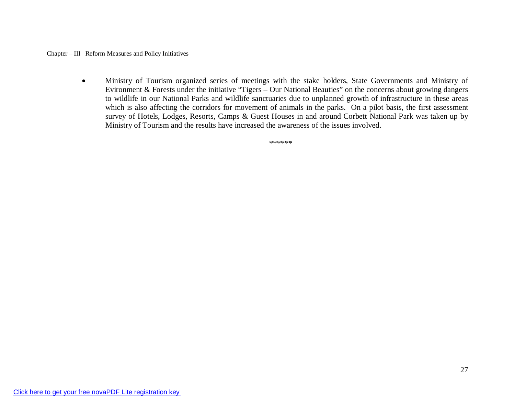Ministry of Tourism organized series of meetings with the stake holders, State Governments and Ministry of Evironment & Forests under the initiative "Tigers – Our National Beauties" on the concerns about growing dangers to wildlife in our National Parks and wildlife sanctuaries due to unplanned growth of infrastructure in these areas which is also affecting the corridors for movement of animals in the parks. On a pilot basis, the first assessment survey of Hotels, Lodges, Resorts, Camps & Guest Houses in and around Corbett National Park was taken up by Ministry of Tourism and the results have increased the awareness of the issues involved.

\*\*\*\*\*\*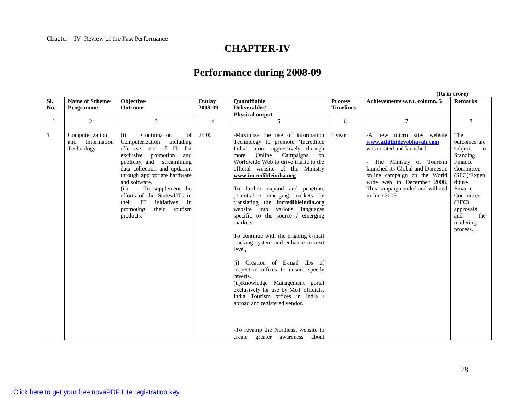# **CHAPTER-IV**

## **Performance during 2008-09**

**(Rs in crore) Sl. No. Name of Scheme/ Programme Objective/ Outcome Outlay 2008-09 Quantifiable Deliverables/ Physical output Process Timelines Achievements w.r.t. column. 5 Remarks** 1 2 3 4 5 6 7 8 1 Computerization and Information Technology (i) Continuation of Computerization including effective use of IT for exclusive promotion and publicity, and streamlining data collection and updation through appropriate hardware and software. (ii) To supplement the efforts of the States/UTs in<br>their IT initiatives in initiatives in promoting their tourism products. 25.00 -Maximize the use of Information Technology to promote 'Incredible India' more aggressively through more Online Campaigns on Worldwide Web to drive traffic to the official website of the Ministry **www.incredibleindia.org** To further expand and penetrate potential / emerging markets by translating the **incredibleindia.org** website into various languages specific to the source / emerging markets. To continue with the ongoing e-mail tracking system and enhance to next level, (i) Creation of E-mail IDs of respective offices to ensure speedy reverts. (ii)Knowledge Management portal exclusively for use by MoT officials, India Tourism offices in India / abroad and registered vendor. -To revamp the Northeast website to create greater awareness about 1 year | -A new micro site/ website **www.athithidevobhavah.com** was created and launched. - The Ministry of Tourism launched its Global and Domestic online campaign on the World wide web in December 2008. This campaign ended and will end in June 2009. The outcomes are subject to Standing Finance Committee (SFC)/Expen diture Finance Committee (EFC) approvals and the tendering process.

28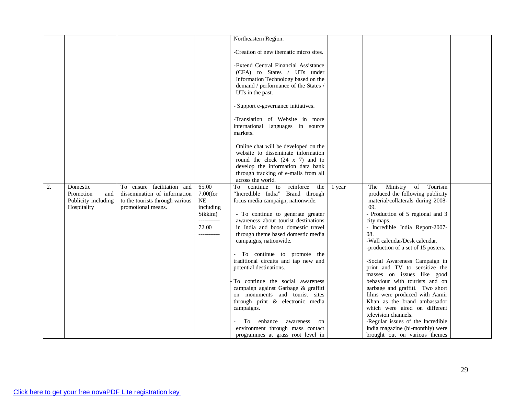|    |                     |                                 |             | Northeastern Region.                   |        |                                     |  |
|----|---------------------|---------------------------------|-------------|----------------------------------------|--------|-------------------------------------|--|
|    |                     |                                 |             |                                        |        |                                     |  |
|    |                     |                                 |             | -Creation of new thematic micro sites. |        |                                     |  |
|    |                     |                                 |             |                                        |        |                                     |  |
|    |                     |                                 |             | -Extend Central Financial Assistance   |        |                                     |  |
|    |                     |                                 |             | (CFA) to States / UTs under            |        |                                     |  |
|    |                     |                                 |             | Information Technology based on the    |        |                                     |  |
|    |                     |                                 |             | demand / performance of the States /   |        |                                     |  |
|    |                     |                                 |             | UTs in the past.                       |        |                                     |  |
|    |                     |                                 |             |                                        |        |                                     |  |
|    |                     |                                 |             | - Support e-governance initiatives.    |        |                                     |  |
|    |                     |                                 |             |                                        |        |                                     |  |
|    |                     |                                 |             | -Translation of Website in more        |        |                                     |  |
|    |                     |                                 |             | international languages in source      |        |                                     |  |
|    |                     |                                 |             | markets.                               |        |                                     |  |
|    |                     |                                 |             |                                        |        |                                     |  |
|    |                     |                                 |             | Online chat will be developed on the   |        |                                     |  |
|    |                     |                                 |             | website to disseminate information     |        |                                     |  |
|    |                     |                                 |             | round the clock $(24 \times 7)$ and to |        |                                     |  |
|    |                     |                                 |             | develop the information data bank      |        |                                     |  |
|    |                     |                                 |             | through tracking of e-mails from all   |        |                                     |  |
|    |                     |                                 |             | across the world.                      |        |                                     |  |
| 2. | Domestic            | To ensure facilitation and      | 65.00       | continue to reinforce<br>To<br>the     | 1 year | of Tourism<br>Ministry<br>The       |  |
|    | Promotion<br>and    | dissemination of information    | $7.00$ (for | "Incredible India" Brand through       |        | produced the following publicity    |  |
|    | Publicity including | to the tourists through various | $\rm NE$    | focus media campaign, nationwide.      |        | material/collaterals during 2008-   |  |
|    | Hospitality         | promotional means.              | including   |                                        |        | 09.                                 |  |
|    |                     |                                 | Sikkim)     | - To continue to generate greater      |        | - Production of 5 regional and 3    |  |
|    |                     |                                 | ----------- | awareness about tourist destinations   |        | city maps.                          |  |
|    |                     |                                 | 72.00       | in India and boost domestic travel     |        | - Incredible India Report-2007-     |  |
|    |                     |                                 | ----------- | through theme based domestic media     |        | 08.                                 |  |
|    |                     |                                 |             | campaigns, nationwide.                 |        | -Wall calendar/Desk calendar.       |  |
|    |                     |                                 |             |                                        |        | -production of a set of 15 posters. |  |
|    |                     |                                 |             | - To continue to promote the           |        |                                     |  |
|    |                     |                                 |             | traditional circuits and tap new and   |        | -Social Awareness Campaign in       |  |
|    |                     |                                 |             | potential destinations.                |        | print and TV to sensitize the       |  |
|    |                     |                                 |             |                                        |        | masses on issues like good          |  |
|    |                     |                                 |             | To continue the social awareness       |        | behaviour with tourists and on      |  |
|    |                     |                                 |             | campaign against Garbage & graffiti    |        | garbage and graffiti. Two short     |  |
|    |                     |                                 |             | on monuments and tourist sites         |        | films were produced with Aamir      |  |
|    |                     |                                 |             | through print & electronic media       |        | Khan as the brand ambassador        |  |
|    |                     |                                 |             | campaigns.                             |        | which were aired on different       |  |
|    |                     |                                 |             |                                        |        | television channels.                |  |
|    |                     |                                 |             | enhance<br>awareness<br>To<br>on       |        | -Regular issues of the Incredible   |  |
|    |                     |                                 |             | environment through mass contact       |        | India magazine (bi-monthly) were    |  |
|    |                     |                                 |             | programmes at grass root level in      |        | brought out on various themes       |  |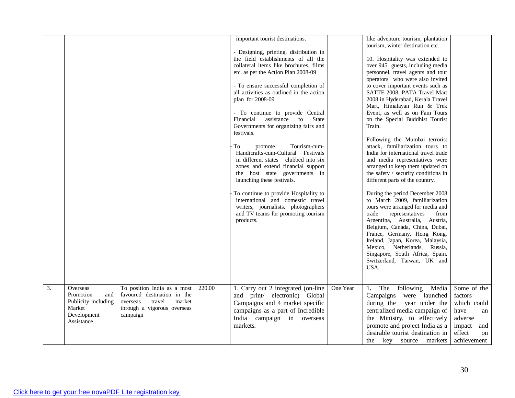|    |                     |                              |        | important tourist destinations.<br>- Designing, printing, distribution in<br>the field establishments of all the  |          | like adventure tourism, plantation<br>tourism, winter destination etc.<br>10. Hospitality was extended to |               |
|----|---------------------|------------------------------|--------|-------------------------------------------------------------------------------------------------------------------|----------|-----------------------------------------------------------------------------------------------------------|---------------|
|    |                     |                              |        | collateral items like brochures, films                                                                            |          | over 945 guests, including media                                                                          |               |
|    |                     |                              |        | etc. as per the Action Plan 2008-09                                                                               |          | personnel, travel agents and tour                                                                         |               |
|    |                     |                              |        |                                                                                                                   |          |                                                                                                           |               |
|    |                     |                              |        |                                                                                                                   |          | operators who were also invited                                                                           |               |
|    |                     |                              |        | - To ensure successful completion of                                                                              |          | to cover important events such as                                                                         |               |
|    |                     |                              |        | all activities as outlined in the action                                                                          |          | SATTE 2008, PATA Travel Mart                                                                              |               |
|    |                     |                              |        | plan for 2008-09                                                                                                  |          | 2008 in Hyderabad, Kerala Travel                                                                          |               |
|    |                     |                              |        |                                                                                                                   |          | Mart, Himalayan Run & Trek                                                                                |               |
|    |                     |                              |        | - To continue to provide Central                                                                                  |          | Event, as well as on Fam Tours                                                                            |               |
|    |                     |                              |        | assistance<br>State<br>Financial<br>to                                                                            |          | on the Special Buddhist Tourist                                                                           |               |
|    |                     |                              |        | Governments for organizing fairs and                                                                              |          | Train.                                                                                                    |               |
|    |                     |                              |        | festivals.                                                                                                        |          |                                                                                                           |               |
|    |                     |                              |        | To<br>Tourism-cum-                                                                                                |          | Following the Mumbai terrorist<br>attack, familiarization tours to                                        |               |
|    |                     |                              |        | promote<br>Handicrafts-cum-Cultural Festivals                                                                     |          | India for international travel trade                                                                      |               |
|    |                     |                              |        | in different states clubbed into six                                                                              |          | and media representatives were                                                                            |               |
|    |                     |                              |        | zones and extend financial support                                                                                |          | arranged to keep them updated on                                                                          |               |
|    |                     |                              |        | the host state governments in                                                                                     |          | the safety / security conditions in                                                                       |               |
|    |                     |                              |        | launching these festivals.                                                                                        |          | different parts of the country.                                                                           |               |
|    |                     |                              |        |                                                                                                                   |          |                                                                                                           |               |
|    |                     |                              |        | To continue to provide Hospitality to<br>international and domestic travel<br>writers, journalists, photographers |          | During the period December 2008<br>to March 2009, familiarization<br>tours were arranged for media and    |               |
|    |                     |                              |        | and TV teams for promoting tourism                                                                                |          | trade<br>representatives<br>from                                                                          |               |
|    |                     |                              |        | products.                                                                                                         |          | Argentina, Australia, Austria,<br>Belgium, Canada, China, Dubai,                                          |               |
|    |                     |                              |        |                                                                                                                   |          | France, Germany, Hong Kong,                                                                               |               |
|    |                     |                              |        |                                                                                                                   |          | Ireland, Japan, Korea, Malaysia,                                                                          |               |
|    |                     |                              |        |                                                                                                                   |          | Mexico, Netherlands, Russia,                                                                              |               |
|    |                     |                              |        |                                                                                                                   |          | Singapore, South Africa, Spain,                                                                           |               |
|    |                     |                              |        |                                                                                                                   |          | Switzerland, Taiwan, UK and                                                                               |               |
|    |                     |                              |        |                                                                                                                   |          | USA.                                                                                                      |               |
|    |                     |                              |        |                                                                                                                   |          |                                                                                                           |               |
| 3. | Overseas            | To position India as a most  | 220.00 | 1. Carry out 2 integrated (on-line                                                                                | One Year | The following<br>Media<br>1.                                                                              | Some of the   |
|    | Promotion<br>and    | favoured destination in the  |        | and print/ electronic) Global                                                                                     |          | Campaigns were launched                                                                                   | factors       |
|    | Publicity including | overseas<br>travel<br>market |        | Campaigns and 4 market specific                                                                                   |          | during the year under the                                                                                 | which could   |
|    | Market              | through a vigorous overseas  |        | campaigns as a part of Incredible                                                                                 |          | centralized media campaign of                                                                             | have<br>an    |
|    | Development         | campaign                     |        | India campaign in overseas                                                                                        |          | the Ministry, to effectively                                                                              | adverse       |
|    | Assistance          |                              |        | markets.                                                                                                          |          |                                                                                                           |               |
|    |                     |                              |        |                                                                                                                   |          | promote and project India as a                                                                            | impact<br>and |
|    |                     |                              |        |                                                                                                                   |          | desirable tourist destination in                                                                          | effect<br>on  |
|    |                     |                              |        |                                                                                                                   |          | key source markets<br>the                                                                                 | achievement   |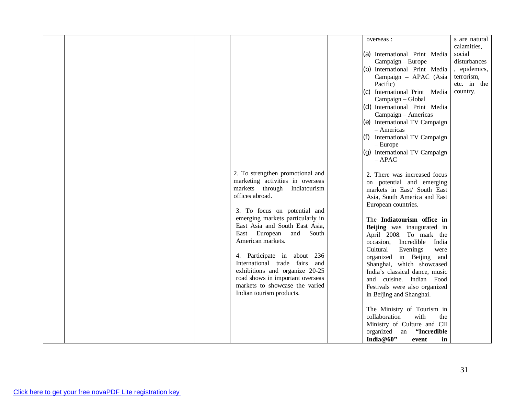|  |  | 2. To strengthen promotional and<br>marketing activities in overseas<br>markets through Indiatourism<br>offices abroad.<br>3. To focus on potential and<br>emerging markets particularly in<br>East Asia and South East Asia,                          | overseas :<br>(a) International Print Media<br>Campaign - Europe<br>(b) International Print Media<br>Campaign - APAC (Asia<br>Pacific)<br>(c) International Print Media<br>Campaign - Global<br>(d) International Print Media<br>Campaign - Americas<br>(e) International TV Campaign<br>- Americas<br>(f) International TV Campaign<br>$-$ Europe<br>(g) International TV Campaign<br>$-$ APAC<br>2. There was increased focus<br>on potential and emerging<br>markets in East/ South East<br>Asia, South America and East<br>European countries.<br>The Indiatourism office in | s are natural<br>calamities,<br>social<br>disturbances<br>, epidemics,<br>terrorism,<br>etc. in the<br>country. |
|--|--|--------------------------------------------------------------------------------------------------------------------------------------------------------------------------------------------------------------------------------------------------------|----------------------------------------------------------------------------------------------------------------------------------------------------------------------------------------------------------------------------------------------------------------------------------------------------------------------------------------------------------------------------------------------------------------------------------------------------------------------------------------------------------------------------------------------------------------------------------|-----------------------------------------------------------------------------------------------------------------|
|  |  | East European and<br>South<br>American markets.<br>4. Participate in about 236<br>International trade fairs<br>and<br>exhibitions and organize 20-25<br>road shows in important overseas<br>markets to showcase the varied<br>Indian tourism products. | Beijing was inaugurated in<br>April 2008. To mark the<br>occasion, Incredible<br>India<br>Cultural<br>Evenings<br>were<br>organized in Beijing and<br>Shanghai, which showcased<br>India's classical dance, music<br>and cuisine. Indian Food<br>Festivals were also organized<br>in Beijing and Shanghai.<br>The Ministry of Tourism in<br>collaboration<br>with<br>the<br>Ministry of Culture and CII<br>"Incredible<br>organized an<br>India@60"<br>event<br>in                                                                                                               |                                                                                                                 |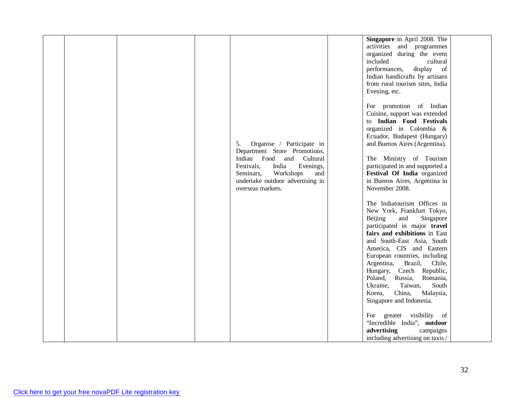|  |  |                                  | Singapore in April 2008. The     |  |
|--|--|----------------------------------|----------------------------------|--|
|  |  |                                  |                                  |  |
|  |  |                                  | activities and programmes        |  |
|  |  |                                  | organized during the event       |  |
|  |  |                                  | included<br>cultural             |  |
|  |  |                                  | performances,<br>display of      |  |
|  |  |                                  | Indian handicrafts by artisans   |  |
|  |  |                                  | from rural tourism sites, India  |  |
|  |  |                                  | Evening, etc.                    |  |
|  |  |                                  |                                  |  |
|  |  |                                  |                                  |  |
|  |  |                                  | For promotion of Indian          |  |
|  |  |                                  | Cuisine, support was extended    |  |
|  |  |                                  | to Indian Food Festivals         |  |
|  |  |                                  | organized in Colombia &          |  |
|  |  |                                  | Ecuador, Budapest (Hungary)      |  |
|  |  | 5.<br>Organise / Participate in  | and Buenos Aires (Argentina).    |  |
|  |  | Department Store Promotions,     |                                  |  |
|  |  | Indian<br>Food<br>and Cultural   | The Ministry of Tourism          |  |
|  |  | Festivals,<br>India<br>Evenings, | participated in and supported a  |  |
|  |  |                                  |                                  |  |
|  |  | Seminars,<br>Workshops<br>and    | Festival Of India organized      |  |
|  |  | undertake outdoor advertising in | in Buenos Aires, Argentina in    |  |
|  |  | overseas markets.                | November 2008.                   |  |
|  |  |                                  |                                  |  |
|  |  |                                  | The Indiatourism Offices in      |  |
|  |  |                                  | New York, Frankfurt Tokyo,       |  |
|  |  |                                  | Beijing<br>and<br>Singapore      |  |
|  |  |                                  | participated in major travel     |  |
|  |  |                                  | fairs and exhibitions in East    |  |
|  |  |                                  | and South-East Asia, South       |  |
|  |  |                                  |                                  |  |
|  |  |                                  | America, CIS and Eastern         |  |
|  |  |                                  | European countries, including    |  |
|  |  |                                  | Argentina,<br>Brazil,<br>Chile,  |  |
|  |  |                                  | Hungary, Czech Republic,         |  |
|  |  |                                  | Poland,<br>Russia,<br>Romania,   |  |
|  |  |                                  | Ukraine,<br>Taiwan,<br>South     |  |
|  |  |                                  | China,<br>Malaysia,<br>Korea,    |  |
|  |  |                                  | Singapore and Indonesia.         |  |
|  |  |                                  |                                  |  |
|  |  |                                  |                                  |  |
|  |  |                                  | greater visibility of<br>For     |  |
|  |  |                                  | "Incredible India", outdoor      |  |
|  |  |                                  | advertising<br>campaigns         |  |
|  |  |                                  | including advertising on taxis / |  |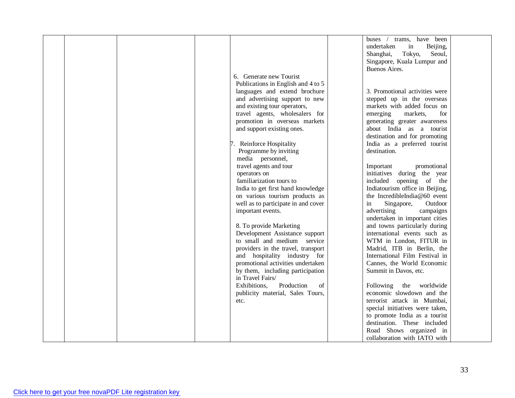|  |                                     | trams, have been<br>buses $\sqrt{ }$ |  |
|--|-------------------------------------|--------------------------------------|--|
|  |                                     | undertaken<br>in<br>Beijing,         |  |
|  |                                     | Seoul,<br>Shanghai,<br>Tokyo,        |  |
|  |                                     | Singapore, Kuala Lumpur and          |  |
|  |                                     | Buenos Aires.                        |  |
|  |                                     |                                      |  |
|  | 6. Generate new Tourist             |                                      |  |
|  | Publications in English and 4 to 5  |                                      |  |
|  | languages and extend brochure       | 3. Promotional activities were       |  |
|  | and advertising support to new      | stepped up in the overseas           |  |
|  | and existing tour operators,        | markets with added focus on          |  |
|  | travel agents, wholesalers for      | emerging<br>markets,<br>for          |  |
|  | promotion in overseas markets       | generating greater awareness         |  |
|  | and support existing ones.          | about India as a tourist             |  |
|  |                                     | destination and for promoting        |  |
|  | 7. Reinforce Hospitality            | India as a preferred tourist         |  |
|  | Programme by inviting               | destination.                         |  |
|  |                                     |                                      |  |
|  | media personnel,                    |                                      |  |
|  | travel agents and tour              | Important<br>promotional             |  |
|  | operators on                        | initiatives during the year          |  |
|  | familiarization tours to            | included opening of the              |  |
|  | India to get first hand knowledge   | Indiatourism office in Beijing,      |  |
|  | on various tourism products as      | the IncredibleIndia@60 event         |  |
|  | well as to participate in and cover | Singapore,<br>Outdoor<br>in          |  |
|  | important events.                   | advertising<br>campaigns             |  |
|  |                                     | undertaken in important cities       |  |
|  | 8. To provide Marketing             | and towns particularly during        |  |
|  | Development Assistance support      | international events such as         |  |
|  | to small and medium service         | WTM in London, FITUR in              |  |
|  |                                     |                                      |  |
|  | providers in the travel, transport  | Madrid, ITB in Berlin, the           |  |
|  | and hospitality industry for        | International Film Festival in       |  |
|  | promotional activities undertaken   | Cannes, the World Economic           |  |
|  | by them, including participation    | Summit in Davos, etc.                |  |
|  | in Travel Fairs/                    |                                      |  |
|  | Production<br>Exhibitions,<br>of    | Following<br>the worldwide           |  |
|  | publicity material, Sales Tours,    | economic slowdown and the            |  |
|  | etc.                                | terrorist attack in Mumbai,          |  |
|  |                                     | special initiatives were taken,      |  |
|  |                                     | to promote India as a tourist        |  |
|  |                                     | destination. These included          |  |
|  |                                     | Road Shows organized in              |  |
|  |                                     | collaboration with IATO with         |  |
|  |                                     |                                      |  |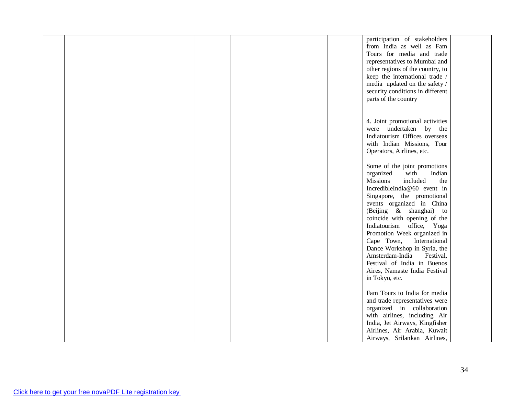|  |  |  | participation of stakeholders      |  |
|--|--|--|------------------------------------|--|
|  |  |  | from India as well as Fam          |  |
|  |  |  | Tours for media and trade          |  |
|  |  |  | representatives to Mumbai and      |  |
|  |  |  | other regions of the country, to   |  |
|  |  |  | keep the international trade /     |  |
|  |  |  | media updated on the safety /      |  |
|  |  |  |                                    |  |
|  |  |  | security conditions in different   |  |
|  |  |  | parts of the country               |  |
|  |  |  |                                    |  |
|  |  |  |                                    |  |
|  |  |  | 4. Joint promotional activities    |  |
|  |  |  | were undertaken by the             |  |
|  |  |  | Indiatourism Offices overseas      |  |
|  |  |  | with Indian Missions, Tour         |  |
|  |  |  | Operators, Airlines, etc.          |  |
|  |  |  |                                    |  |
|  |  |  | Some of the joint promotions       |  |
|  |  |  | organized<br>with<br>Indian        |  |
|  |  |  | <b>Missions</b><br>included<br>the |  |
|  |  |  | IncredibleIndia@60 event in        |  |
|  |  |  |                                    |  |
|  |  |  | Singapore, the promotional         |  |
|  |  |  | events organized in China          |  |
|  |  |  | (Beijing & shanghai) to            |  |
|  |  |  | coincide with opening of the       |  |
|  |  |  | Indiatourism office, Yoga          |  |
|  |  |  | Promotion Week organized in        |  |
|  |  |  | Cape Town,<br>International        |  |
|  |  |  | Dance Workshop in Syria, the       |  |
|  |  |  | Amsterdam-India<br>Festival,       |  |
|  |  |  | Festival of India in Buenos        |  |
|  |  |  | Aires, Namaste India Festival      |  |
|  |  |  | in Tokyo, etc.                     |  |
|  |  |  |                                    |  |
|  |  |  | Fam Tours to India for media       |  |
|  |  |  | and trade representatives were     |  |
|  |  |  | organized in collaboration         |  |
|  |  |  | with airlines, including Air       |  |
|  |  |  | India, Jet Airways, Kingfisher     |  |
|  |  |  | Airlines, Air Arabia, Kuwait       |  |
|  |  |  |                                    |  |
|  |  |  | Airways, Srilankan Airlines,       |  |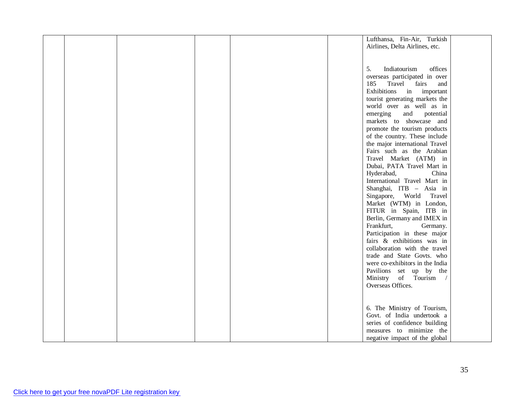|  |  |  | Lufthansa, Fin-Air, Turkish     |  |
|--|--|--|---------------------------------|--|
|  |  |  | Airlines, Delta Airlines, etc.  |  |
|  |  |  |                                 |  |
|  |  |  |                                 |  |
|  |  |  |                                 |  |
|  |  |  | 5.<br>Indiatourism<br>offices   |  |
|  |  |  | overseas participated in over   |  |
|  |  |  | 185<br>Travel<br>fairs<br>and   |  |
|  |  |  | Exhibitions in important        |  |
|  |  |  |                                 |  |
|  |  |  | tourist generating markets the  |  |
|  |  |  | world over as well as in        |  |
|  |  |  | emerging<br>and<br>potential    |  |
|  |  |  | markets to showcase and         |  |
|  |  |  |                                 |  |
|  |  |  | promote the tourism products    |  |
|  |  |  | of the country. These include   |  |
|  |  |  | the major international Travel  |  |
|  |  |  | Fairs such as the Arabian       |  |
|  |  |  | Travel Market (ATM) in          |  |
|  |  |  | Dubai, PATA Travel Mart in      |  |
|  |  |  |                                 |  |
|  |  |  | Hyderabad,<br>China             |  |
|  |  |  | International Travel Mart in    |  |
|  |  |  | Shanghai, ITB - Asia in         |  |
|  |  |  | Singapore, World Travel         |  |
|  |  |  | Market (WTM) in London,         |  |
|  |  |  |                                 |  |
|  |  |  | FITUR in Spain, ITB in          |  |
|  |  |  | Berlin, Germany and IMEX in     |  |
|  |  |  | Frankfurt,<br>Germany.          |  |
|  |  |  | Participation in these major    |  |
|  |  |  | fairs & exhibitions was in      |  |
|  |  |  |                                 |  |
|  |  |  | collaboration with the travel   |  |
|  |  |  | trade and State Govts. who      |  |
|  |  |  | were co-exhibitors in the India |  |
|  |  |  | Pavilions set up by the         |  |
|  |  |  | Ministry of Tourism /           |  |
|  |  |  | Overseas Offices.               |  |
|  |  |  |                                 |  |
|  |  |  |                                 |  |
|  |  |  |                                 |  |
|  |  |  | 6. The Ministry of Tourism,     |  |
|  |  |  | Govt. of India undertook a      |  |
|  |  |  | series of confidence building   |  |
|  |  |  |                                 |  |
|  |  |  | measures to minimize the        |  |
|  |  |  | negative impact of the global   |  |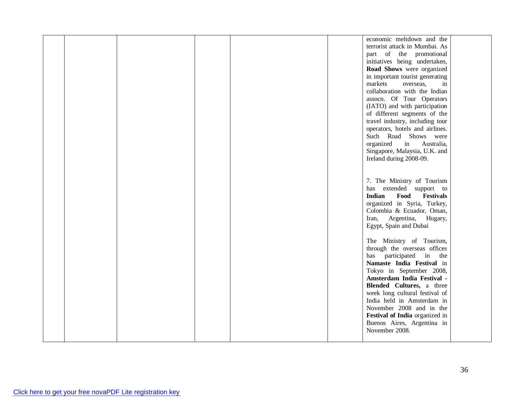|  |  |  | economic meltdown and the                 |  |
|--|--|--|-------------------------------------------|--|
|  |  |  | terrorist attack in Mumbai. As            |  |
|  |  |  | part of the promotional                   |  |
|  |  |  | initiatives being undertaken,             |  |
|  |  |  | Road Shows were organized                 |  |
|  |  |  | in important tourist generating           |  |
|  |  |  | markets<br>overseas,<br>in                |  |
|  |  |  | collaboration with the Indian             |  |
|  |  |  |                                           |  |
|  |  |  | assocn. Of Tour Operators                 |  |
|  |  |  | (IATO) and with participation             |  |
|  |  |  | of different segments of the              |  |
|  |  |  | travel industry, including tour           |  |
|  |  |  | operators, hotels and airlines.           |  |
|  |  |  | Such Road Shows were                      |  |
|  |  |  | organized in Australia,                   |  |
|  |  |  | Singapore, Malaysia, U.K. and             |  |
|  |  |  | Ireland during 2008-09.                   |  |
|  |  |  |                                           |  |
|  |  |  |                                           |  |
|  |  |  | 7. The Ministry of Tourism                |  |
|  |  |  | has extended support to                   |  |
|  |  |  | <b>Indian</b><br>Food<br><b>Festivals</b> |  |
|  |  |  |                                           |  |
|  |  |  | organized in Syria, Turkey,               |  |
|  |  |  | Colombia & Ecuador, Oman,                 |  |
|  |  |  | Iran, Argentina, Hugary,                  |  |
|  |  |  | Egypt, Spain and Dubai                    |  |
|  |  |  |                                           |  |
|  |  |  | The Ministry of Tourism,                  |  |
|  |  |  | through the overseas offices              |  |
|  |  |  | has participated in the                   |  |
|  |  |  | Namaste India Festival in                 |  |
|  |  |  | Tokyo in September 2008,                  |  |
|  |  |  | Amsterdam India Festival -                |  |
|  |  |  | Blended Cultures, a three                 |  |
|  |  |  | week long cultural festival of            |  |
|  |  |  | India held in Amsterdam in                |  |
|  |  |  | November 2008 and in the                  |  |
|  |  |  | Festival of India organized in            |  |
|  |  |  |                                           |  |
|  |  |  | Buenos Aires, Argentina in                |  |
|  |  |  | November 2008.                            |  |
|  |  |  |                                           |  |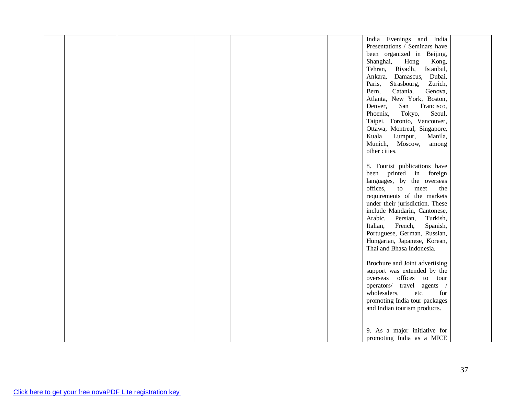|  |  |  | India Evenings and India         |  |
|--|--|--|----------------------------------|--|
|  |  |  | Presentations / Seminars have    |  |
|  |  |  | been organized in Beijing,       |  |
|  |  |  | Shanghai,<br>Hong<br>Kong,       |  |
|  |  |  | Riyadh,<br>Istanbul,<br>Tehran,  |  |
|  |  |  | Damascus,<br>Dubai,<br>Ankara,   |  |
|  |  |  | Paris,<br>Strasbourg,<br>Zurich, |  |
|  |  |  | Genova,<br>Bern,<br>Catania,     |  |
|  |  |  | Atlanta, New York, Boston,       |  |
|  |  |  |                                  |  |
|  |  |  | Denver,<br>San<br>Francisco,     |  |
|  |  |  | Phoenix,<br>Tokyo,<br>Seoul,     |  |
|  |  |  | Taipei, Toronto, Vancouver,      |  |
|  |  |  | Ottawa, Montreal, Singapore,     |  |
|  |  |  | Kuala<br>Lumpur,<br>Manila,      |  |
|  |  |  | Munich, Moscow,<br>among         |  |
|  |  |  | other cities.                    |  |
|  |  |  |                                  |  |
|  |  |  | 8. Tourist publications have     |  |
|  |  |  | been printed in foreign          |  |
|  |  |  | languages, by the overseas       |  |
|  |  |  | offices,<br>to<br>meet<br>the    |  |
|  |  |  | requirements of the markets      |  |
|  |  |  | under their jurisdiction. These  |  |
|  |  |  | include Mandarin, Cantonese,     |  |
|  |  |  | Arabic,<br>Persian,<br>Turkish,  |  |
|  |  |  | Italian,<br>French,<br>Spanish,  |  |
|  |  |  |                                  |  |
|  |  |  | Portuguese, German, Russian,     |  |
|  |  |  | Hungarian, Japanese, Korean,     |  |
|  |  |  | Thai and Bhasa Indonesia.        |  |
|  |  |  |                                  |  |
|  |  |  | Brochure and Joint advertising   |  |
|  |  |  | support was extended by the      |  |
|  |  |  | overseas offices to tour         |  |
|  |  |  | operators/ travel agents /       |  |
|  |  |  | wholesalers,<br>etc.<br>for      |  |
|  |  |  | promoting India tour packages    |  |
|  |  |  | and Indian tourism products.     |  |
|  |  |  |                                  |  |
|  |  |  |                                  |  |
|  |  |  | 9. As a major initiative for     |  |
|  |  |  | promoting India as a MICE        |  |
|  |  |  |                                  |  |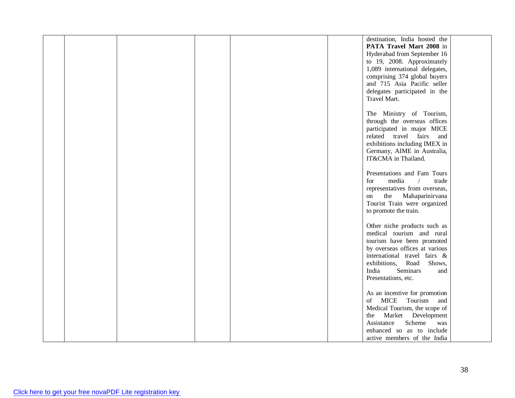|  |  |  | destination, India hosted the       |  |
|--|--|--|-------------------------------------|--|
|  |  |  | PATA Travel Mart 2008 in            |  |
|  |  |  | Hyderabad from September 16         |  |
|  |  |  | to 19, 2008. Approximately          |  |
|  |  |  |                                     |  |
|  |  |  | 1,089 international delegates,      |  |
|  |  |  | comprising 374 global buyers        |  |
|  |  |  | and 715 Asia Pacific seller         |  |
|  |  |  | delegates participated in the       |  |
|  |  |  | Travel Mart.                        |  |
|  |  |  |                                     |  |
|  |  |  | The Ministry of Tourism,            |  |
|  |  |  |                                     |  |
|  |  |  | through the overseas offices        |  |
|  |  |  | participated in major MICE          |  |
|  |  |  | related travel fairs<br>and         |  |
|  |  |  | exhibitions including IMEX in       |  |
|  |  |  | Germany, AIME in Australia,         |  |
|  |  |  | IT&CMA in Thailand.                 |  |
|  |  |  |                                     |  |
|  |  |  | Presentations and Fam Tours         |  |
|  |  |  |                                     |  |
|  |  |  | media<br>for<br>$\sqrt{2}$<br>trade |  |
|  |  |  | representatives from overseas,      |  |
|  |  |  | the<br>Mahaparinirvana<br>on        |  |
|  |  |  | Tourist Train were organized        |  |
|  |  |  | to promote the train.               |  |
|  |  |  |                                     |  |
|  |  |  | Other niche products such as        |  |
|  |  |  | medical tourism and rural           |  |
|  |  |  |                                     |  |
|  |  |  | tourism have been promoted          |  |
|  |  |  | by overseas offices at various      |  |
|  |  |  | international travel fairs &        |  |
|  |  |  | exhibitions,<br>Road<br>Shows,      |  |
|  |  |  | Seminars<br>India<br>and            |  |
|  |  |  | Presentations, etc.                 |  |
|  |  |  |                                     |  |
|  |  |  | As an incentive for promotion       |  |
|  |  |  | MICE Tourism and<br>of              |  |
|  |  |  |                                     |  |
|  |  |  | Medical Tourism, the scope of       |  |
|  |  |  | Market Development<br>the           |  |
|  |  |  | Scheme<br>Assistance<br>was         |  |
|  |  |  | enhanced so as to include           |  |
|  |  |  | active members of the India         |  |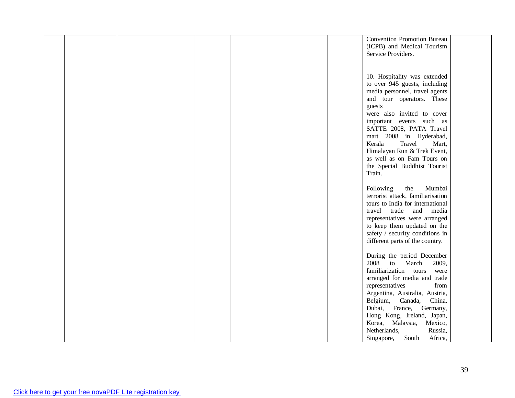|  |  |  | <b>Convention Promotion Bureau</b> |  |
|--|--|--|------------------------------------|--|
|  |  |  | (ICPB) and Medical Tourism         |  |
|  |  |  | Service Providers.                 |  |
|  |  |  |                                    |  |
|  |  |  |                                    |  |
|  |  |  |                                    |  |
|  |  |  | 10. Hospitality was extended       |  |
|  |  |  | to over 945 guests, including      |  |
|  |  |  | media personnel, travel agents     |  |
|  |  |  | and tour operators. These          |  |
|  |  |  |                                    |  |
|  |  |  | guests                             |  |
|  |  |  | were also invited to cover         |  |
|  |  |  | important events such as           |  |
|  |  |  | SATTE 2008, PATA Travel            |  |
|  |  |  | mart 2008 in Hyderabad,            |  |
|  |  |  | Kerala<br>Travel<br>Mart,          |  |
|  |  |  |                                    |  |
|  |  |  | Himalayan Run & Trek Event,        |  |
|  |  |  | as well as on Fam Tours on         |  |
|  |  |  | the Special Buddhist Tourist       |  |
|  |  |  | Train.                             |  |
|  |  |  |                                    |  |
|  |  |  | Following<br>the<br>Mumbai         |  |
|  |  |  |                                    |  |
|  |  |  | terrorist attack, familiarisation  |  |
|  |  |  | tours to India for international   |  |
|  |  |  | trade<br>travel<br>and<br>media    |  |
|  |  |  | representatives were arranged      |  |
|  |  |  | to keep them updated on the        |  |
|  |  |  | safety / security conditions in    |  |
|  |  |  |                                    |  |
|  |  |  | different parts of the country.    |  |
|  |  |  |                                    |  |
|  |  |  | During the period December         |  |
|  |  |  | 2008 to March<br>2009,             |  |
|  |  |  | familiarization tours<br>were      |  |
|  |  |  | arranged for media and trade       |  |
|  |  |  | representatives<br>from            |  |
|  |  |  |                                    |  |
|  |  |  | Argentina, Australia, Austria,     |  |
|  |  |  | Belgium,<br>Canada,<br>China,      |  |
|  |  |  | Dubai, France, Germany,            |  |
|  |  |  | Hong Kong, Ireland, Japan,         |  |
|  |  |  | Korea, Malaysia,<br>Mexico,        |  |
|  |  |  | Netherlands,<br>Russia,            |  |
|  |  |  | South<br>Africa,                   |  |
|  |  |  | Singapore,                         |  |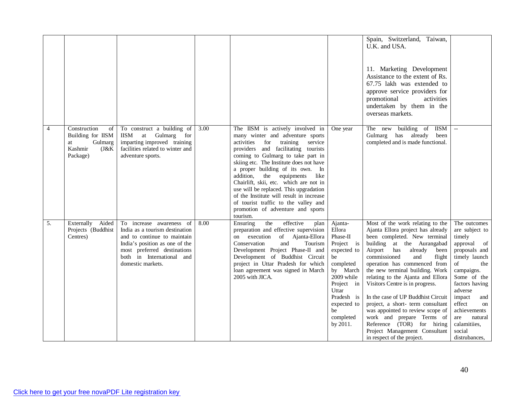|                |                                                                                        |                                                                                                                                                                                                              |      |                                                                                                                                                                                                                                                                                                                                                                                                                                                                                                                                             |                                                                                                                                                                                            | Spain, Switzerland, Taiwan,<br>U.K. and USA.<br>11. Marketing Development<br>Assistance to the extent of Rs.<br>67.75 lakh was extended to<br>approve service providers for<br>promotional<br>activities<br>undertaken by them in the<br>overseas markets.                                                                                                                                                                                                                                                                                                                                 |                                                                                                                                                                                                                                                                                        |
|----------------|----------------------------------------------------------------------------------------|--------------------------------------------------------------------------------------------------------------------------------------------------------------------------------------------------------------|------|---------------------------------------------------------------------------------------------------------------------------------------------------------------------------------------------------------------------------------------------------------------------------------------------------------------------------------------------------------------------------------------------------------------------------------------------------------------------------------------------------------------------------------------------|--------------------------------------------------------------------------------------------------------------------------------------------------------------------------------------------|--------------------------------------------------------------------------------------------------------------------------------------------------------------------------------------------------------------------------------------------------------------------------------------------------------------------------------------------------------------------------------------------------------------------------------------------------------------------------------------------------------------------------------------------------------------------------------------------|----------------------------------------------------------------------------------------------------------------------------------------------------------------------------------------------------------------------------------------------------------------------------------------|
| $\overline{4}$ | Construction<br>of<br>Building for IISM<br>Gulmarg<br>at<br>Kashmir<br>J&K<br>Package) | To construct a building of<br>Gulmarg for<br><b>IISM</b><br>at<br>imparting improved training<br>facilities related to winter and<br>adventure sports.                                                       | 3.00 | The IISM is actively involved in<br>many winter and adventure sports<br>activities<br>for<br>training<br>service<br>providers and facilitating tourists<br>coming to Gulmarg to take part in<br>skiing etc. The Institute does not have<br>a proper building of its own. In<br>addition,<br>the equipments<br>like<br>Chairlift, skii, etc. which are not in<br>use will be replaced. This upgradation<br>of the Institute will result in increase<br>of tourist traffic to the valley and<br>promotion of adventure and sports<br>tourism. | One year                                                                                                                                                                                   | The new building of IISM<br>Gulmarg has already<br>been<br>completed and is made functional.                                                                                                                                                                                                                                                                                                                                                                                                                                                                                               |                                                                                                                                                                                                                                                                                        |
| 5.             | Externally<br>Aided<br>Projects (Buddhist<br>Centres)                                  | To increase awareness of<br>India as a tourism destination<br>and to continue to maintain<br>India's position as one of the<br>most preferred destinations<br>both in International and<br>domestic markets. | 8.00 | effective<br>Ensuring<br>the<br>plan<br>preparation and effective supervision<br>on execution<br>of Ajanta-Ellora<br>Conservation<br>and<br>Tourism<br>Development Project Phase-II and<br>Development of Buddhist Circuit<br>project in Uttar Pradesh for which<br>loan agreement was signed in March<br>2005 with JICA.                                                                                                                                                                                                                   | Ajanta-<br>Ellora<br>Phase-II<br>Project is<br>expected to<br>be<br>completed<br>by March<br>2009 while<br>Project in<br>Uttar<br>Pradesh is<br>expected to<br>be<br>completed<br>by 2011. | Most of the work relating to the<br>Ajanta Ellora project has already<br>been completed. New terminal<br>building at the Aurangabad<br>Airport has<br>already<br>been<br>commissioned<br>and<br>flight<br>operation has commenced from<br>the new terminal building. Work<br>relating to the Ajanta and Ellora<br>Visitors Centre is in progress.<br>In the case of UP Buddhist Circuit<br>project, a short- term consultant<br>was appointed to review scope of<br>work and prepare Terms of<br>Reference (TOR) for hiring<br>Project Management Consultant<br>in respect of the project. | The outcomes<br>are subject to<br>timely<br>approval of<br>proposals and<br>timely launch<br>$\sigma f$<br>the<br>campaigns.<br>Some of the<br>factors having<br>adverse<br>impact<br>and<br>effect<br>on<br>achievements<br>are<br>natural<br>calamitiies,<br>social<br>distrubances, |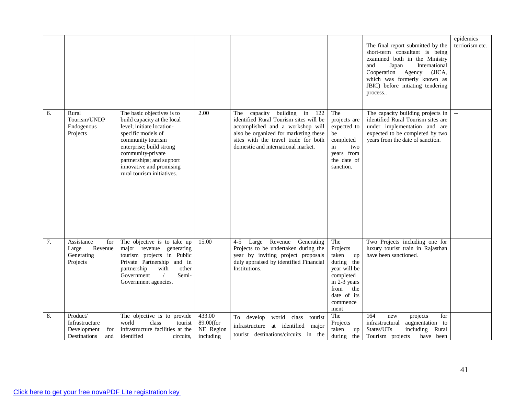|    |                                                                         |                                                                                                                                                                                                                                                                           |                                               |                                                                                                                                                                                                                                            |                                                                                                                                             | The final report submitted by the<br>short-term consultant is being<br>examined both in the Ministry<br>International<br>and<br>Japan<br>Cooperation<br>Agency (JICA,<br>which was formerly known as<br>JBIC) before intiating tendering<br>process | epidemics<br>terriorism etc. |
|----|-------------------------------------------------------------------------|---------------------------------------------------------------------------------------------------------------------------------------------------------------------------------------------------------------------------------------------------------------------------|-----------------------------------------------|--------------------------------------------------------------------------------------------------------------------------------------------------------------------------------------------------------------------------------------------|---------------------------------------------------------------------------------------------------------------------------------------------|-----------------------------------------------------------------------------------------------------------------------------------------------------------------------------------------------------------------------------------------------------|------------------------------|
| 6. | Rural<br>Tourism/UNDP<br>Endogenous<br>Projects                         | The basic objectives is to<br>build capacity at the local<br>level; initiate location-<br>specific models of<br>community tourism<br>enterprise; build strong<br>community-private<br>partnerships; and support<br>innovative and promising<br>rural tourism initiatives. | 2.00                                          | building<br>capacity<br>in 122<br>The<br>identified Rural Tourism sites will be<br>accomplished and a workshop will<br>also be organized for marketing these<br>sites with the travel trade for both<br>domestic and international market. | The<br>projects are<br>expected to<br>be<br>completed<br>in<br>two<br>years from<br>the date of<br>sanction.                                | The capacity building projects in<br>identified Rural Tourism sites are<br>under implementation and are<br>expected to be completed by two<br>years from the date of sanction.                                                                      |                              |
| 7. | Assistance<br>for<br>Revenue<br>Large<br>Generating<br>Projects         | The objective is to take up<br>major revenue<br>generating<br>tourism projects in Public<br>Private Partnership and in<br>partnership<br>with<br>other<br>Government<br>$\sqrt{2}$<br>Semi-<br>Government agencies.                                                       | 15.00                                         | Revenue<br>Generating<br>$4 - 5$<br>Large<br>Projects to be undertaken during the<br>year by inviting project proposals<br>duly appraised by identified Financial<br>Institutions.                                                         | The<br>Projects<br>taken<br>up<br>during the<br>year will be<br>completed<br>in 2-3 years<br>from<br>the<br>date of its<br>commence<br>ment | Two Projects including one for<br>luxury tourist train in Rajasthan<br>have been sanctioned.                                                                                                                                                        |                              |
| 8. | Product/<br>Infrastructure<br>Development<br>for<br>Destinations<br>and | The objective is to provide<br>world<br>class<br>tourist<br>infrastructure facilities at the<br>identified<br>circuits.                                                                                                                                                   | 433.00<br>89.00(for<br>NE Region<br>including | world class<br>To develop<br>tourist<br>infrastructure<br>at identified<br>major<br>tourist destinations/circuits in the                                                                                                                   | The<br>Projects<br>taken<br>up<br>during the                                                                                                | 164<br>for<br>projects<br>new<br>infrastructural<br>augmentation to<br>States/UTs<br>including<br>Rural<br>Tourism projects<br>have been                                                                                                            |                              |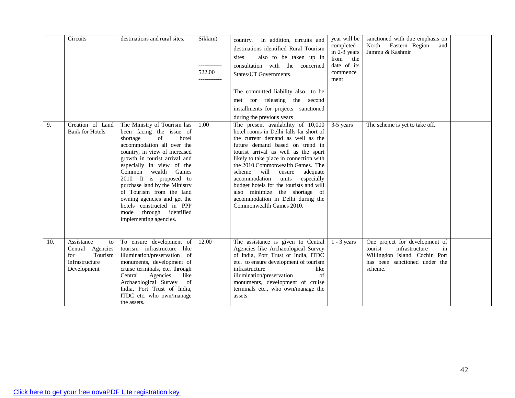|     | Circuits                                                                                | destinations and rural sites.                                                                                                                                                                                                                                                                                                                                                                                                                               | Sikkim)<br>522.00 | country. In addition, circuits and<br>destinations identified Rural Tourism<br>also to be taken up in<br>sites<br>consultation with the concerned<br>States/UT Governments.<br>The committed liability also to be<br>met for releasing the second<br>installments for projects sanctioned<br>during the previous years                                                                                                                                                                                 | year will be<br>completed<br>in 2-3 years<br>from the<br>date of its<br>commence<br>ment | sanctioned with due emphasis on<br>North<br>Eastern Region<br>and<br>Jammu & Kashmir                                                            |  |
|-----|-----------------------------------------------------------------------------------------|-------------------------------------------------------------------------------------------------------------------------------------------------------------------------------------------------------------------------------------------------------------------------------------------------------------------------------------------------------------------------------------------------------------------------------------------------------------|-------------------|--------------------------------------------------------------------------------------------------------------------------------------------------------------------------------------------------------------------------------------------------------------------------------------------------------------------------------------------------------------------------------------------------------------------------------------------------------------------------------------------------------|------------------------------------------------------------------------------------------|-------------------------------------------------------------------------------------------------------------------------------------------------|--|
| 9.  | Creation of Land<br><b>Bank for Hotels</b>                                              | The Ministry of Tourism has<br>been facing the issue of<br>of<br>hotel<br>shortage<br>accommodation all over the<br>country, in view of increased<br>growth in tourist arrival and<br>especially in view of the<br>Common<br>wealth<br>Games<br>2010. It is proposed to<br>purchase land by the Ministry<br>of Tourism from the land<br>owning agencies and get the<br>hotels constructed in PPP<br>through<br>identified<br>mode<br>implementing agencies. | 1.00              | The present availability of 10,000<br>hotel rooms in Delhi falls far short of<br>the current demand as well as the<br>future demand based on trend in<br>tourist arrival as well as the spurt<br>likely to take place in connection with<br>the 2010 Commonwealth Games. The<br>scheme will<br>ensure<br>adequate<br>accommodation<br>units<br>especially<br>budget hotels for the tourists and will<br>also minimize the shortage of<br>accommodation in Delhi during the<br>Commonwealth Games 2010. | 3-5 years                                                                                | The scheme is yet to take off.                                                                                                                  |  |
| 10. | Assistance<br>to<br>Central Agencies<br>Tourism<br>for<br>Infrastructure<br>Development | To ensure development of<br>tourism infrastructure like<br>illumination/preservation<br><sub>of</sub><br>monuments, development of<br>cruise terminals, etc. through<br>Central<br>Agencies<br>like<br>Archaeological Survey<br>of<br>India, Port Trust of India,<br>ITDC etc. who own/manage<br>the assets.                                                                                                                                                | 12.00             | The assistance is given to Central<br>Agencies like Archaeological Survey<br>of India, Port Trust of India, ITDC<br>etc. to ensure development of tourism<br>infrastructure<br>like<br>illumination/preservation<br>$\sigma$ f<br>monuments, development of cruise<br>terminals etc., who own/manage the<br>assets.                                                                                                                                                                                    | $1 - 3$ years                                                                            | One project for development of<br>in<br>tourist<br>infrastructure<br>Willingdon Island, Cochin Port<br>has been sanctioned under the<br>scheme. |  |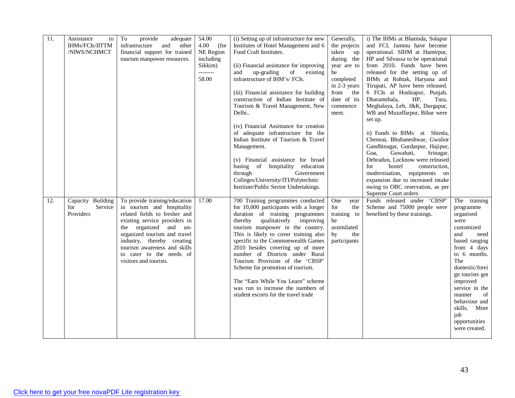| 11. | Assistance<br>to  | To<br>provide<br>adequate      | 54.00        | (i) Setting up of infrastructure for new | Generally,   | i) The IHMs at Bhatinda, Solapur                                  |                 |
|-----|-------------------|--------------------------------|--------------|------------------------------------------|--------------|-------------------------------------------------------------------|-----------------|
|     | IHMs/FCIs/IITTM   | infrastructure<br>and<br>other | 4.00<br>(for | Institutes of Hotel Management and 6     | the projects | and FCI, Jammu have become                                        |                 |
|     | /NIWS/NCHMCT      | financial support for trained  | NE Region    | Food Craft Institutes.                   | taken up     | operational. SIHM at Hamirpur,                                    |                 |
|     |                   | tourism manpower resources.    | including    |                                          | during the   | HP and Silvassa to be operational                                 |                 |
|     |                   |                                | Sikkim)      | (ii) Financial assistance for improving  | year are to  | from 2010. Funds have been                                        |                 |
|     |                   |                                | --------     | up-grading<br>of<br>and<br>existing      | be           | released for the setting up of                                    |                 |
|     |                   |                                | 58.00        | infrastructure of IHM's/FCIs.            | completed    | IHMs at Rohtak, Haryana and                                       |                 |
|     |                   |                                |              |                                          | in 2-3 years | Tirupati, AP have been released.                                  |                 |
|     |                   |                                |              | (iii) Financial assistance for building  | from the     | 6 FCIs at Hoshiapur, Punjab,                                      |                 |
|     |                   |                                |              | construction of Indian Institute of      | date of its  | Dharamshala,<br>HP,<br>Tura,                                      |                 |
|     |                   |                                |              | Tourism & Travel Management, New         | commence     | Meghalaya, Leh, J&K, Durgapur,                                    |                 |
|     |                   |                                |              | Delhi                                    | ment.        | WB and Muzaffarpur, Bihar were                                    |                 |
|     |                   |                                |              |                                          |              | set up.                                                           |                 |
|     |                   |                                |              | (iv) Financial Assistance for creation   |              |                                                                   |                 |
|     |                   |                                |              | of adequate infrastructure for the       |              | ii) Funds to IHMs at Shimla,                                      |                 |
|     |                   |                                |              | Indian Institute of Tourism & Travel     |              | Chennai, Bhubaneshwar, Gwalior                                    |                 |
|     |                   |                                |              | Management.                              |              | Gandhinagar, Gurdaspur, Hajipur,                                  |                 |
|     |                   |                                |              | (v) Financial assistance for broad       |              | Guwahati,<br>Srinagar,<br>Goa.<br>Dehradun, Lucknow were released |                 |
|     |                   |                                |              | basing of hospitality education          |              | hostel<br>for<br>construction,                                    |                 |
|     |                   |                                |              | Government<br>through                    |              | modernisation, equipments on                                      |                 |
|     |                   |                                |              | Colleges/University/ITI/Polytechnic      |              | expansion due to increased intake                                 |                 |
|     |                   |                                |              | Institute/Public Sector Undertakings.    |              | owing to OBC reservation, as per                                  |                 |
|     |                   |                                |              |                                          |              | Supreme Court orders                                              |                 |
| 12. | Capacity Building | To provide training/education  | 17.00        | 700 Training programmes conducted        | One<br>year  | Funds released under 'CBSP'                                       | The training    |
|     | Service<br>for    | in tourism and hospitality     |              | for 10,000 participants with a longer    | for<br>the   | Scheme and 75000 people were                                      | programme       |
|     | Providers         | related fields to fresher and  |              | duration of training programmes          | training to  | benefited by these trainings.                                     | organised       |
|     |                   | existing service providers in  |              | qualitatively<br>thereby<br>improving    | be           |                                                                   | were            |
|     |                   | the organized and un-          |              | tourism manpower in the country.         | assimilated  |                                                                   | customized      |
|     |                   | organized tourism and travel   |              | This is likely to cover training also    | by<br>the    |                                                                   | and<br>need     |
|     |                   | industry, thereby creating     |              | specific to the Commonwealth Games       | participants |                                                                   | based ranging   |
|     |                   | tourism awareness and skills   |              | 2010 besides covering up of more         |              |                                                                   | from 4 days     |
|     |                   | to cater to the needs of       |              | number of Districts under Rural          |              |                                                                   | to 6 months.    |
|     |                   | visitors and tourists.         |              | Tourism Provision of the 'CBSP'          |              |                                                                   | The             |
|     |                   |                                |              | Scheme for promotion of tourism.         |              |                                                                   | domestic/forei  |
|     |                   |                                |              |                                          |              |                                                                   | gn tourists got |
|     |                   |                                |              | The "Earn While You Learn" scheme        |              |                                                                   | improved        |
|     |                   |                                |              | was run to increase the numbers of       |              |                                                                   | service in the  |
|     |                   |                                |              | student escorts for the travel trade     |              |                                                                   | of<br>manner    |
|     |                   |                                |              |                                          |              |                                                                   | behaviour and   |
|     |                   |                                |              |                                          |              |                                                                   | skills. More    |
|     |                   |                                |              |                                          |              |                                                                   | job             |
|     |                   |                                |              |                                          |              |                                                                   | opportunities   |
|     |                   |                                |              |                                          |              |                                                                   | were created.   |
|     |                   |                                |              |                                          |              |                                                                   |                 |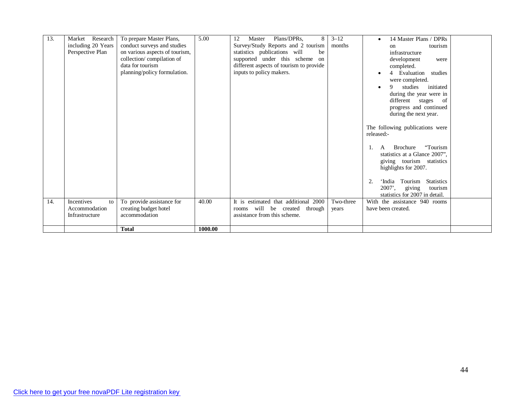| 13. | Research<br>Market<br>including 20 Years<br>Perspective Plan | To prepare Master Plans,<br>conduct surveys and studies<br>on various aspects of tourism,<br>collection/compilation of<br>data for tourism<br>planning/policy formulation. | 5.00    | Plans/DPRs,<br>8<br>Master<br>12<br>Survey/Study Reports and 2 tourism<br>statistics publications will<br>be<br>supported under this scheme<br>on<br>different aspects of tourism to provide<br>inputs to policy makers. | $3 - 12$<br>months | 14 Master Plans / DPRs<br>tourism<br>on<br>infrastructure<br>development<br>were<br>completed.<br>4 Evaluation<br>studies<br>were completed.<br>studies<br>9<br>initiated<br>during the year were in<br>different stages of<br>progress and continued<br>during the next year.<br>The following publications were<br>released:-<br>"Tourism"<br>Brochure<br>A<br>-1.<br>statistics at a Glance 2007",<br>giving tourism statistics<br>highlights for 2007.<br>Tourism<br><b>Statistics</b><br>2.<br>ʻIndia<br>giving<br>$2007'$ ,<br>tourism<br>statistics for 2007 in detail. |  |
|-----|--------------------------------------------------------------|----------------------------------------------------------------------------------------------------------------------------------------------------------------------------|---------|--------------------------------------------------------------------------------------------------------------------------------------------------------------------------------------------------------------------------|--------------------|--------------------------------------------------------------------------------------------------------------------------------------------------------------------------------------------------------------------------------------------------------------------------------------------------------------------------------------------------------------------------------------------------------------------------------------------------------------------------------------------------------------------------------------------------------------------------------|--|
| 14. | <b>Incentives</b><br>to<br>Accommodation<br>Infrastructure   | To provide assistance for<br>creating budget hotel<br>accommodation                                                                                                        | 40.00   | It is estimated that additional 2000<br>rooms will be created<br>through<br>assistance from this scheme.                                                                                                                 | Two-three<br>years | With the assistance 940 rooms<br>have been created.                                                                                                                                                                                                                                                                                                                                                                                                                                                                                                                            |  |
|     |                                                              | <b>Total</b>                                                                                                                                                               | 1000.00 |                                                                                                                                                                                                                          |                    |                                                                                                                                                                                                                                                                                                                                                                                                                                                                                                                                                                                |  |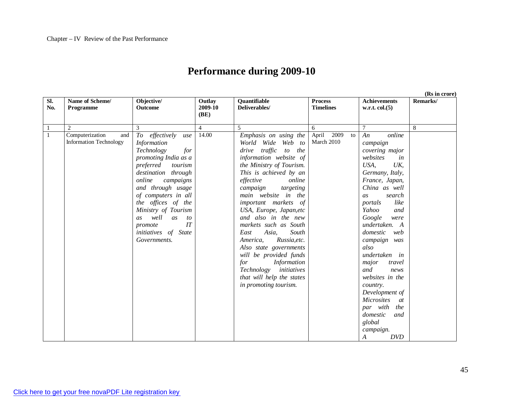## **Performance during 2009-10**

**Sl. No. Name of Scheme/ Programme Objective/ Outcome Outlay 2009-10 (BE) Quantifiable Deliverables/ Process Timelines Achievements w.r.t. col.(5) Remarks/** 1 2 3 4 5 6 7 8 1 Computerization and Information Technology *To effectively use Information Technology for promoting India as a preferred tourism destination through online campaigns and through usage of computers in all the offices of the Ministry of Tourism as well as to promote IT initiatives of State Governments.* 14.00 *Emphasis on using the World Wide Web to drive traffic to the information website of the Ministry of Tourism. This is achieved by an effective online campaign targeting main website in the important markets of USA, Europe, Japan,etc and also in the new markets such as South East Asia, South America, Russia,etc. Also state governments will be provided funds for Information Technology initiatives that will help the states in promoting tourism.* April 2009 to March 2010 *An online campaign covering major websites in USA, UK, Germany, Italy, France, Japan, China as well as search portals like Yahoo and Google were undertaken. A domestic web campaign was also undertaken in major travel and news websites in the country. Development of Microsites at par with the domestic and global campaign.*

*A DVD*

**(Rs in crore)**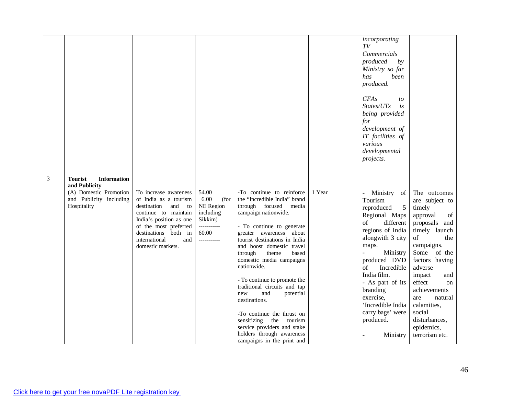| $\mathfrak{Z}$ | <b>Tourist</b><br><b>Information</b>                                              |                                                                                                                                                                                                                          |                                                                                                   |                                                                                                                                                                                                                                                                                                                                                                                                                                                                                                                                                                            |        | incorporating<br>TV<br>Commercials<br>produced<br>by<br>Ministry so far<br>has<br>been<br>produced.<br><b>CFAs</b><br>to<br>States/UTs<br>is<br>being provided<br>for<br>development of<br>IT facilities of<br>various<br>developmental<br>projects.                                                                                                                                    |                                                                                                                                                                                                                                                                                                                  |
|----------------|-----------------------------------------------------------------------------------|--------------------------------------------------------------------------------------------------------------------------------------------------------------------------------------------------------------------------|---------------------------------------------------------------------------------------------------|----------------------------------------------------------------------------------------------------------------------------------------------------------------------------------------------------------------------------------------------------------------------------------------------------------------------------------------------------------------------------------------------------------------------------------------------------------------------------------------------------------------------------------------------------------------------------|--------|-----------------------------------------------------------------------------------------------------------------------------------------------------------------------------------------------------------------------------------------------------------------------------------------------------------------------------------------------------------------------------------------|------------------------------------------------------------------------------------------------------------------------------------------------------------------------------------------------------------------------------------------------------------------------------------------------------------------|
|                | and Publicity<br>(A) Domestic Promotion<br>and Publicity including<br>Hospitality | To increase awareness<br>of India as a tourism<br>destination<br>and to<br>continue to maintain<br>India's position as one<br>of the most preferred<br>destinations both in<br>international<br>and<br>domestic markets. | 54.00<br>6.00<br>(for<br>NE Region<br>including<br>Sikkim)<br>-----------<br>60.00<br>----------- | -To continue to reinforce<br>the "Incredible India" brand<br>through focused media<br>campaign nationwide.<br>- To continue to generate<br>greater awareness about<br>tourist destinations in India<br>and boost domestic travel<br>through<br>theme<br>based<br>domestic media campaigns<br>nationwide.<br>- To continue to promote the<br>traditional circuits and tap<br>new<br>and<br>potential<br>destinations.<br>-To continue the thrust on<br>sensitizing the<br>tourism<br>service providers and stake<br>holders through awareness<br>campaigns in the print and | 1 Year | Ministry of<br>$\frac{1}{2}$<br>Tourism<br>reproduced<br>$\overline{5}$<br>Regional Maps<br>different<br>of<br>regions of India<br>alongwith 3 city<br>maps.<br>$\frac{1}{2}$<br>Ministry<br>produced DVD<br>Incredible<br>of<br>India film.<br>- As part of its<br>branding<br>exercise,<br>'Incredible India<br>carry bags' were<br>produced.<br>Ministry<br>$\overline{\phantom{a}}$ | The outcomes<br>are subject to<br>timely<br>approval<br>of<br>proposals and<br>timely launch<br>of<br>the<br>campaigns.<br>Some of the<br>factors having<br>adverse<br>impact<br>and<br>effect<br>on<br>achievements<br>natural<br>are<br>calamities,<br>social<br>disturbances,<br>epidemics,<br>terrorism etc. |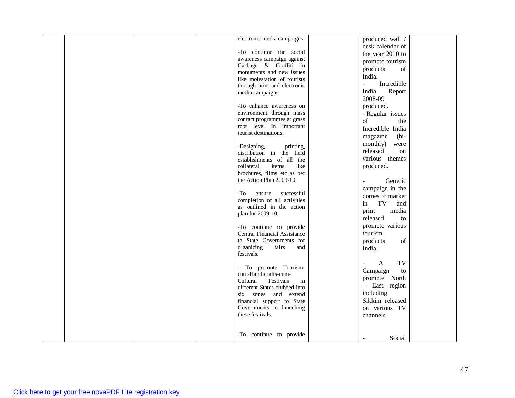|  |  | electronic media campaigns.              | produced wall /                        |  |
|--|--|------------------------------------------|----------------------------------------|--|
|  |  |                                          | desk calendar of                       |  |
|  |  | -To continue the social                  | the year 2010 to                       |  |
|  |  | awareness campaign against               | promote tourism                        |  |
|  |  | Garbage & Graffiti in                    | products<br>of                         |  |
|  |  | monuments and new issues                 | India.                                 |  |
|  |  | like molestation of tourists             | Incredible<br>$\overline{\phantom{a}}$ |  |
|  |  | through print and electronic             |                                        |  |
|  |  | media campaigns.                         | India<br>Report                        |  |
|  |  |                                          | 2008-09                                |  |
|  |  | -To enhance awareness on                 | produced.                              |  |
|  |  | environment through mass                 | - Regular issues                       |  |
|  |  | contact programmes at grass              | of<br>the                              |  |
|  |  | root level in important                  | Incredible India                       |  |
|  |  | tourist destinations.                    | magazine<br>$(bi-)$                    |  |
|  |  | -Designing,<br>printing,                 | monthly)<br>were                       |  |
|  |  | distribution in the field                | released<br>on                         |  |
|  |  | establishments of all the                | various themes                         |  |
|  |  | items<br>like<br>collateral              | produced.                              |  |
|  |  | brochures, films etc as per              |                                        |  |
|  |  | the Action Plan 2009-10.                 | Generic                                |  |
|  |  |                                          | campaign in the                        |  |
|  |  | successful<br>-To<br>ensure              | domestic market                        |  |
|  |  | completion of all activities             | TV<br>in<br>and                        |  |
|  |  | as outlined in the action                | media<br>print                         |  |
|  |  | plan for 2009-10.                        |                                        |  |
|  |  |                                          | released<br>to                         |  |
|  |  | -To continue to provide                  | promote various                        |  |
|  |  | <b>Central Financial Assistance</b>      | tourism                                |  |
|  |  | to State Governments for                 | products<br>of                         |  |
|  |  | organizing<br>fairs<br>and<br>festivals. | India.                                 |  |
|  |  |                                          |                                        |  |
|  |  | - To promote Tourism-                    | TV<br>A<br>$\overline{\phantom{a}}$    |  |
|  |  | cum-Handicrafts-cum-                     | Campaign<br>to                         |  |
|  |  | Cultural<br>Festivals<br>in              | promote North                          |  |
|  |  | different States clubbed into            | - East region                          |  |
|  |  | six zones and extend                     | including                              |  |
|  |  | financial support to State               | Sikkim released                        |  |
|  |  | Governments in launching                 | on various TV                          |  |
|  |  | these festivals.                         | channels.                              |  |
|  |  |                                          |                                        |  |
|  |  |                                          |                                        |  |
|  |  | -To continue to provide                  | Social                                 |  |
|  |  |                                          |                                        |  |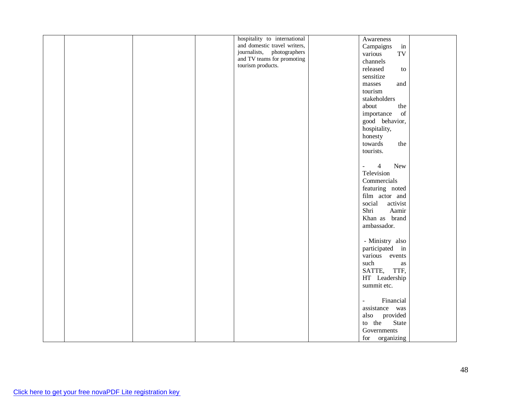|  |  | hospitality to international | Awareness                                                                                                        |  |
|--|--|------------------------------|------------------------------------------------------------------------------------------------------------------|--|
|  |  | and domestic travel writers, | Campaigns<br>$\operatorname{in}$                                                                                 |  |
|  |  | journalists, photographers   | TV<br>various                                                                                                    |  |
|  |  | and TV teams for promoting   | channels                                                                                                         |  |
|  |  | tourism products.            | released<br>to                                                                                                   |  |
|  |  |                              |                                                                                                                  |  |
|  |  |                              | sensitize                                                                                                        |  |
|  |  |                              | $\rm masses$<br>and                                                                                              |  |
|  |  |                              | tourism                                                                                                          |  |
|  |  |                              | stakeholders                                                                                                     |  |
|  |  |                              | the<br>about                                                                                                     |  |
|  |  |                              | importance<br>$% \left( \left( \mathcal{A},\mathcal{A}\right) \right) =\left( \mathcal{A},\mathcal{A}\right)$ of |  |
|  |  |                              | good behavior,                                                                                                   |  |
|  |  |                              | hospitality,                                                                                                     |  |
|  |  |                              | honesty                                                                                                          |  |
|  |  |                              | towards<br>the                                                                                                   |  |
|  |  |                              | tourists.                                                                                                        |  |
|  |  |                              |                                                                                                                  |  |
|  |  |                              |                                                                                                                  |  |
|  |  |                              | $\overline{4}$<br>New<br>$\Box$                                                                                  |  |
|  |  |                              | Television                                                                                                       |  |
|  |  |                              | Commercials                                                                                                      |  |
|  |  |                              | featuring noted                                                                                                  |  |
|  |  |                              | film actor and                                                                                                   |  |
|  |  |                              | social<br>activist                                                                                               |  |
|  |  |                              | Shri<br>Aamir                                                                                                    |  |
|  |  |                              | Khan as brand                                                                                                    |  |
|  |  |                              | ambassador.                                                                                                      |  |
|  |  |                              |                                                                                                                  |  |
|  |  |                              |                                                                                                                  |  |
|  |  |                              | - Ministry also                                                                                                  |  |
|  |  |                              | participated in                                                                                                  |  |
|  |  |                              | various events                                                                                                   |  |
|  |  |                              | such<br>as                                                                                                       |  |
|  |  |                              | SATTE, TTF,                                                                                                      |  |
|  |  |                              | HT Leadership                                                                                                    |  |
|  |  |                              | summit etc.                                                                                                      |  |
|  |  |                              |                                                                                                                  |  |
|  |  |                              | Financial<br>$\overline{\phantom{a}}$                                                                            |  |
|  |  |                              | assistance was                                                                                                   |  |
|  |  |                              | also provided                                                                                                    |  |
|  |  |                              | to the<br>State                                                                                                  |  |
|  |  |                              |                                                                                                                  |  |
|  |  |                              | Governments                                                                                                      |  |
|  |  |                              | for organizing                                                                                                   |  |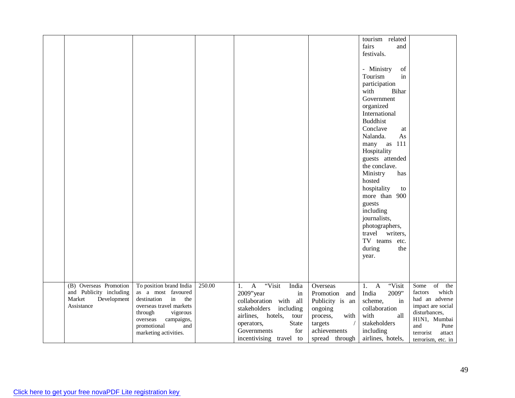|                         |                                              |        |                                |                  | tourism related<br>fairs                                                                                         |                             |
|-------------------------|----------------------------------------------|--------|--------------------------------|------------------|------------------------------------------------------------------------------------------------------------------|-----------------------------|
|                         |                                              |        |                                |                  | and<br>festivals.                                                                                                |                             |
|                         |                                              |        |                                |                  |                                                                                                                  |                             |
|                         |                                              |        |                                |                  | - Ministry<br>$% \left( \left( \mathcal{A},\mathcal{A}\right) \right) =\left( \mathcal{A},\mathcal{A}\right)$ of |                             |
|                         |                                              |        |                                |                  | Tourism<br>in                                                                                                    |                             |
|                         |                                              |        |                                |                  | participation<br>with<br>Bihar                                                                                   |                             |
|                         |                                              |        |                                |                  | Government                                                                                                       |                             |
|                         |                                              |        |                                |                  | organized                                                                                                        |                             |
|                         |                                              |        |                                |                  | International                                                                                                    |                             |
|                         |                                              |        |                                |                  | <b>Buddhist</b>                                                                                                  |                             |
|                         |                                              |        |                                |                  | Conclave<br>at                                                                                                   |                             |
|                         |                                              |        |                                |                  | Nalanda.<br>As                                                                                                   |                             |
|                         |                                              |        |                                |                  | many as 111                                                                                                      |                             |
|                         |                                              |        |                                |                  | Hospitality                                                                                                      |                             |
|                         |                                              |        |                                |                  | guests attended                                                                                                  |                             |
|                         |                                              |        |                                |                  | the conclave.                                                                                                    |                             |
|                         |                                              |        |                                |                  | Ministry<br>has                                                                                                  |                             |
|                         |                                              |        |                                |                  | hosted                                                                                                           |                             |
|                         |                                              |        |                                |                  | hospitality<br>to                                                                                                |                             |
|                         |                                              |        |                                |                  | more than 900                                                                                                    |                             |
|                         |                                              |        |                                |                  | guests<br>including                                                                                              |                             |
|                         |                                              |        |                                |                  | journalists,                                                                                                     |                             |
|                         |                                              |        |                                |                  | photographers,                                                                                                   |                             |
|                         |                                              |        |                                |                  | travel writers,                                                                                                  |                             |
|                         |                                              |        |                                |                  | TV teams etc.                                                                                                    |                             |
|                         |                                              |        |                                |                  | during<br>the                                                                                                    |                             |
|                         |                                              |        |                                |                  | year.                                                                                                            |                             |
|                         |                                              |        |                                |                  |                                                                                                                  |                             |
|                         |                                              |        |                                |                  |                                                                                                                  |                             |
| (B) Overseas Promotion  | To position brand India                      | 250.00 | "Visit<br>$\overline{A}$       | Overseas         | "Visit<br>1.<br>$\mathbf{A}$                                                                                     | $\sigma$<br>Some<br>the     |
| and Publicity including | as a most favoured                           |        | India<br>1.<br>2009"year<br>in | Promotion<br>and | 2009"<br>India                                                                                                   | which<br>factors            |
| Market<br>Development   | destination<br>in<br>the                     |        | collaboration with all         | Publicity is an  | scheme,<br>in                                                                                                    | had an adverse              |
| Assistance              | overseas travel markets                      |        | stakeholders<br>including      | ongoing          | collaboration                                                                                                    | impact are social           |
|                         | through<br>vigorous                          |        | airlines, hotels,<br>tour      | process,<br>with | with<br>all                                                                                                      | disturbances,               |
|                         | campaigns,<br>overseas<br>and<br>promotional |        | operators,<br>State            | targets          | stakeholders                                                                                                     | H1N1, Mumbai<br>and<br>Pune |
|                         | marketing activities.                        |        | for<br>Governments             | achievements     | including                                                                                                        | terrorist<br>attact         |
|                         |                                              |        | incentivising travel to        | spread through   | airlines, hotels,                                                                                                | terrorism, etc. in          |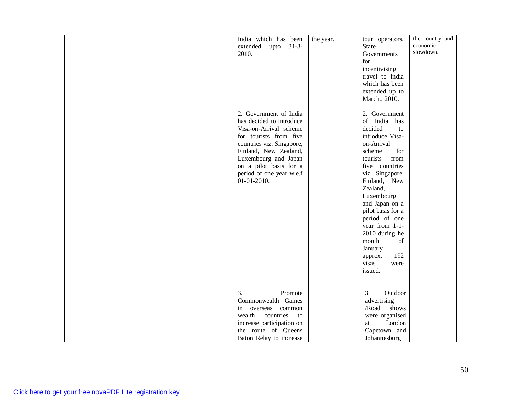|  |  | India which has been      | the year. | tour operators,   | the country and |
|--|--|---------------------------|-----------|-------------------|-----------------|
|  |  | extended upto 31-3-       |           | <b>State</b>      | economic        |
|  |  | 2010.                     |           | Governments       | slowdown.       |
|  |  |                           |           | for               |                 |
|  |  |                           |           | incentivising     |                 |
|  |  |                           |           |                   |                 |
|  |  |                           |           | travel to India   |                 |
|  |  |                           |           | which has been    |                 |
|  |  |                           |           | extended up to    |                 |
|  |  |                           |           | March., 2010.     |                 |
|  |  |                           |           |                   |                 |
|  |  | 2. Government of India    |           | 2. Government     |                 |
|  |  | has decided to introduce  |           | of India has      |                 |
|  |  | Visa-on-Arrival scheme    |           | decided<br>to     |                 |
|  |  | for tourists from five    |           | introduce Visa-   |                 |
|  |  | countries viz. Singapore, |           | on-Arrival        |                 |
|  |  | Finland, New Zealand,     |           | scheme<br>for     |                 |
|  |  | Luxembourg and Japan      |           | from<br>tourists  |                 |
|  |  | on a pilot basis for a    |           | five countries    |                 |
|  |  | period of one year w.e.f  |           | viz. Singapore,   |                 |
|  |  | $01-01-2010.$             |           | Finland, New      |                 |
|  |  |                           |           |                   |                 |
|  |  |                           |           | Zealand,          |                 |
|  |  |                           |           | Luxembourg        |                 |
|  |  |                           |           | and Japan on a    |                 |
|  |  |                           |           | pilot basis for a |                 |
|  |  |                           |           | period of one     |                 |
|  |  |                           |           | year from 1-1-    |                 |
|  |  |                           |           | 2010 during he    |                 |
|  |  |                           |           | month<br>of       |                 |
|  |  |                           |           | January           |                 |
|  |  |                           |           | 192<br>approx.    |                 |
|  |  |                           |           | visas<br>were     |                 |
|  |  |                           |           | issued.           |                 |
|  |  |                           |           |                   |                 |
|  |  |                           |           |                   |                 |
|  |  | 3.<br>Promote             |           | 3.<br>Outdoor     |                 |
|  |  |                           |           |                   |                 |
|  |  | Commonwealth Games        |           | advertising       |                 |
|  |  | overseas common<br>in     |           | /Road<br>shows    |                 |
|  |  | countries<br>wealth<br>to |           | were organised    |                 |
|  |  | increase participation on |           | London<br>at      |                 |
|  |  | the route of Queens       |           | Capetown and      |                 |
|  |  | Baton Relay to increase   |           | Johannesburg      |                 |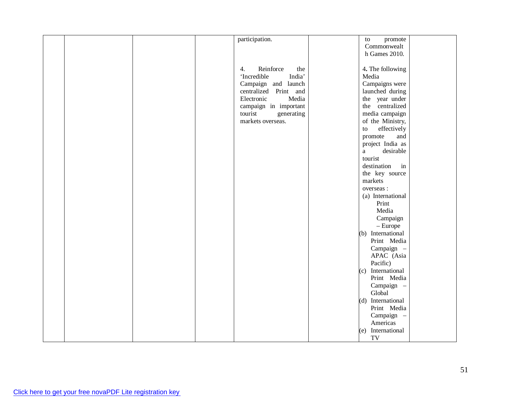|  |  | participation.         | promote<br>to             |  |
|--|--|------------------------|---------------------------|--|
|  |  |                        | Commonwealt               |  |
|  |  |                        | h Games 2010.             |  |
|  |  |                        |                           |  |
|  |  | Reinforce<br>4.<br>the | 4. The following          |  |
|  |  | 'Incredible<br>India'  | Media                     |  |
|  |  | Campaign and launch    | Campaigns were            |  |
|  |  | centralized Print and  | launched during           |  |
|  |  | Electronic<br>Media    | the year under            |  |
|  |  | campaign in important  | the centralized           |  |
|  |  | tourist<br>generating  | media campaign            |  |
|  |  | markets overseas.      | of the Ministry,          |  |
|  |  |                        | effectively<br>${\rm to}$ |  |
|  |  |                        | promote<br>and            |  |
|  |  |                        | project India as          |  |
|  |  |                        | desirable<br>$\rm{a}$     |  |
|  |  |                        | tourist                   |  |
|  |  |                        | destination<br>in         |  |
|  |  |                        | the key source            |  |
|  |  |                        | markets                   |  |
|  |  |                        | overseas :                |  |
|  |  |                        | (a) International         |  |
|  |  |                        | Print                     |  |
|  |  |                        | Media                     |  |
|  |  |                        | Campaign                  |  |
|  |  |                        | $-$ Europe                |  |
|  |  |                        | (b) International         |  |
|  |  |                        | Print Media               |  |
|  |  |                        | Campaign -                |  |
|  |  |                        | APAC (Asia                |  |
|  |  |                        | Pacific)                  |  |
|  |  |                        | (c) International         |  |
|  |  |                        | Print Media               |  |
|  |  |                        | Campaign -                |  |
|  |  |                        | Global                    |  |
|  |  |                        | (d) International         |  |
|  |  |                        | Print Media               |  |
|  |  |                        | Campaign -                |  |
|  |  |                        | Americas                  |  |
|  |  |                        | International<br>(e)      |  |
|  |  |                        | TV                        |  |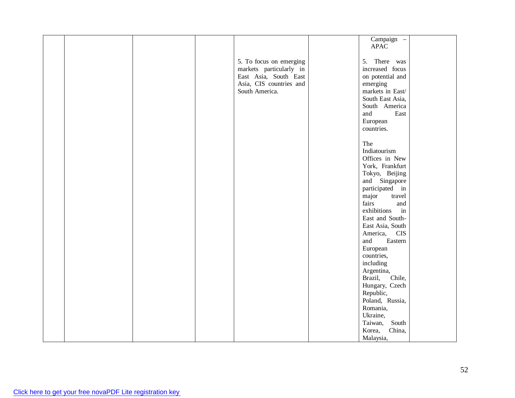|  |  |                         | Campaign -             |  |
|--|--|-------------------------|------------------------|--|
|  |  |                         | <b>APAC</b>            |  |
|  |  |                         |                        |  |
|  |  |                         |                        |  |
|  |  | 5. To focus on emerging | There was<br>5.        |  |
|  |  | markets particularly in | increased focus        |  |
|  |  | East Asia, South East   | on potential and       |  |
|  |  | Asia, CIS countries and |                        |  |
|  |  |                         | emerging               |  |
|  |  | South America.          | markets in East/       |  |
|  |  |                         | South East Asia,       |  |
|  |  |                         | South America          |  |
|  |  |                         | and<br>East            |  |
|  |  |                         | European               |  |
|  |  |                         |                        |  |
|  |  |                         | countries.             |  |
|  |  |                         |                        |  |
|  |  |                         | The                    |  |
|  |  |                         | Indiatourism           |  |
|  |  |                         | Offices in New         |  |
|  |  |                         | York, Frankfurt        |  |
|  |  |                         |                        |  |
|  |  |                         | Tokyo, Beijing         |  |
|  |  |                         | and Singapore          |  |
|  |  |                         | participated in        |  |
|  |  |                         | major<br>travel        |  |
|  |  |                         | fairs<br>and           |  |
|  |  |                         | exhibitions<br>in      |  |
|  |  |                         |                        |  |
|  |  |                         | East and South-        |  |
|  |  |                         | East Asia, South       |  |
|  |  |                         | America,<br><b>CIS</b> |  |
|  |  |                         | and<br>Eastern         |  |
|  |  |                         | European               |  |
|  |  |                         | countries,             |  |
|  |  |                         | including              |  |
|  |  |                         |                        |  |
|  |  |                         | Argentina,             |  |
|  |  |                         | Chile,<br>Brazil,      |  |
|  |  |                         | Hungary, Czech         |  |
|  |  |                         | Republic,              |  |
|  |  |                         | Poland, Russia,        |  |
|  |  |                         | Romania,               |  |
|  |  |                         |                        |  |
|  |  |                         | Ukraine,               |  |
|  |  |                         | South<br>Taiwan,       |  |
|  |  |                         | China,<br>Korea,       |  |
|  |  |                         | Malaysia,              |  |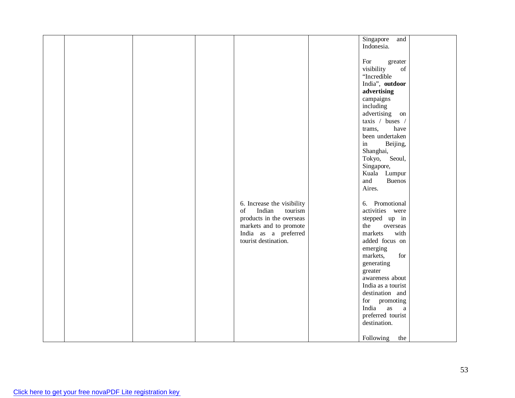|  |  |                            | Singapore<br>and                                                                                                 |  |
|--|--|----------------------------|------------------------------------------------------------------------------------------------------------------|--|
|  |  |                            |                                                                                                                  |  |
|  |  |                            | Indonesia.                                                                                                       |  |
|  |  |                            |                                                                                                                  |  |
|  |  |                            | For<br>greater                                                                                                   |  |
|  |  |                            | visibility<br>$% \left( \left( \mathcal{A},\mathcal{A}\right) \right) =\left( \mathcal{A},\mathcal{A}\right)$ of |  |
|  |  |                            | "Incredible                                                                                                      |  |
|  |  |                            |                                                                                                                  |  |
|  |  |                            | India", outdoor                                                                                                  |  |
|  |  |                            | advertising                                                                                                      |  |
|  |  |                            | campaigns                                                                                                        |  |
|  |  |                            | including                                                                                                        |  |
|  |  |                            | advertising on                                                                                                   |  |
|  |  |                            |                                                                                                                  |  |
|  |  |                            | taxis / buses /                                                                                                  |  |
|  |  |                            | have<br>trams,                                                                                                   |  |
|  |  |                            | been undertaken                                                                                                  |  |
|  |  |                            | in<br>Beijing,                                                                                                   |  |
|  |  |                            | Shanghai,                                                                                                        |  |
|  |  |                            | Seoul,<br>Tokyo,                                                                                                 |  |
|  |  |                            |                                                                                                                  |  |
|  |  |                            | Singapore,                                                                                                       |  |
|  |  |                            | Kuala Lumpur                                                                                                     |  |
|  |  |                            | Buenos<br>and                                                                                                    |  |
|  |  |                            | Aires.                                                                                                           |  |
|  |  |                            |                                                                                                                  |  |
|  |  |                            |                                                                                                                  |  |
|  |  | 6. Increase the visibility | 6. Promotional                                                                                                   |  |
|  |  | Indian<br>of<br>tourism    | activities were                                                                                                  |  |
|  |  | products in the overseas   | stepped up in                                                                                                    |  |
|  |  | markets and to promote     | the<br>overseas                                                                                                  |  |
|  |  | India as a preferred       | with<br>markets                                                                                                  |  |
|  |  | tourist destination.       | added focus on                                                                                                   |  |
|  |  |                            |                                                                                                                  |  |
|  |  |                            | emerging                                                                                                         |  |
|  |  |                            | for<br>markets,                                                                                                  |  |
|  |  |                            | generating                                                                                                       |  |
|  |  |                            | greater                                                                                                          |  |
|  |  |                            | awareness about                                                                                                  |  |
|  |  |                            | India as a tourist                                                                                               |  |
|  |  |                            | destination and                                                                                                  |  |
|  |  |                            |                                                                                                                  |  |
|  |  |                            | for promoting                                                                                                    |  |
|  |  |                            | India<br>as<br>$\mathbf{a}$                                                                                      |  |
|  |  |                            | preferred tourist                                                                                                |  |
|  |  |                            | destination.                                                                                                     |  |
|  |  |                            |                                                                                                                  |  |
|  |  |                            |                                                                                                                  |  |
|  |  |                            | Following<br>the                                                                                                 |  |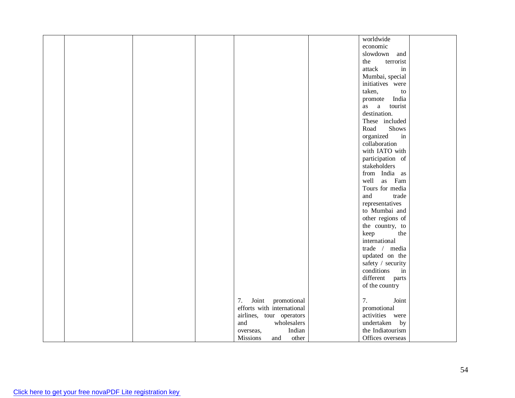|  |  |                            | worldwide         |  |
|--|--|----------------------------|-------------------|--|
|  |  |                            | economic          |  |
|  |  |                            | slowdown and      |  |
|  |  |                            | the<br>terrorist  |  |
|  |  |                            | attack<br>in      |  |
|  |  |                            | Mumbai, special   |  |
|  |  |                            | initiatives were  |  |
|  |  |                            | taken,<br>to      |  |
|  |  |                            | promote India     |  |
|  |  |                            | as a tourist      |  |
|  |  |                            | destination.      |  |
|  |  |                            | These included    |  |
|  |  |                            | Shows<br>Road     |  |
|  |  |                            | organized<br>in   |  |
|  |  |                            | collaboration     |  |
|  |  |                            | with IATO with    |  |
|  |  |                            | participation of  |  |
|  |  |                            | stakeholders      |  |
|  |  |                            | from India as     |  |
|  |  |                            | well as Fam       |  |
|  |  |                            | Tours for media   |  |
|  |  |                            | and<br>trade      |  |
|  |  |                            |                   |  |
|  |  |                            | representatives   |  |
|  |  |                            | to Mumbai and     |  |
|  |  |                            | other regions of  |  |
|  |  |                            | the country, to   |  |
|  |  |                            | keep<br>the       |  |
|  |  |                            | international     |  |
|  |  |                            | trade / media     |  |
|  |  |                            | updated on the    |  |
|  |  |                            | safety / security |  |
|  |  |                            | conditions<br>in  |  |
|  |  |                            | different parts   |  |
|  |  |                            | of the country    |  |
|  |  |                            |                   |  |
|  |  | 7.<br>Joint promotional    | Joint<br>7.       |  |
|  |  | efforts with international | promotional       |  |
|  |  | airlines, tour operators   | activities were   |  |
|  |  | and<br>wholesalers         | undertaken by     |  |
|  |  | Indian<br>overseas,        | the Indiatourism  |  |
|  |  | Missions<br>other<br>and   | Offices overseas  |  |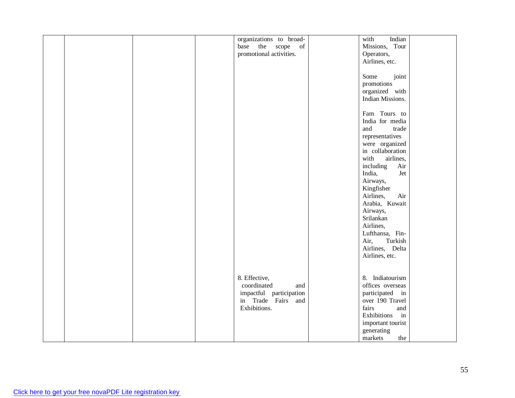|  |  | organizations to broad-                       | Indian<br>with                     |  |
|--|--|-----------------------------------------------|------------------------------------|--|
|  |  | the scope of<br>base                          | Missions, Tour                     |  |
|  |  | promotional activities.                       | Operators,                         |  |
|  |  |                                               | Airlines, etc.                     |  |
|  |  |                                               |                                    |  |
|  |  |                                               | joint<br>Some                      |  |
|  |  |                                               | promotions                         |  |
|  |  |                                               | organized with                     |  |
|  |  |                                               | Indian Missions.                   |  |
|  |  |                                               |                                    |  |
|  |  |                                               |                                    |  |
|  |  |                                               | Fam Tours to                       |  |
|  |  |                                               | India for media                    |  |
|  |  |                                               | and<br>trade                       |  |
|  |  |                                               | representatives                    |  |
|  |  |                                               | were organized                     |  |
|  |  |                                               | in collaboration                   |  |
|  |  |                                               | with<br>airlines,                  |  |
|  |  |                                               | including<br>Air                   |  |
|  |  |                                               | India,<br>Jet                      |  |
|  |  |                                               | Airways,                           |  |
|  |  |                                               | Kingfisher                         |  |
|  |  |                                               | Airlines,<br>Air                   |  |
|  |  |                                               | Arabia, Kuwait                     |  |
|  |  |                                               | Airways,                           |  |
|  |  |                                               | Srilankan                          |  |
|  |  |                                               | Airlines,                          |  |
|  |  |                                               | Lufthansa, Fin-                    |  |
|  |  |                                               | Turkish<br>Air,                    |  |
|  |  |                                               | Airlines, Delta                    |  |
|  |  |                                               | Airlines, etc.                     |  |
|  |  |                                               |                                    |  |
|  |  |                                               |                                    |  |
|  |  | 8. Effective,                                 | 8. Indiatourism                    |  |
|  |  | coordinated<br>and                            | offices overseas                   |  |
|  |  |                                               |                                    |  |
|  |  | impactful participation<br>in Trade Fairs and | participated in<br>over 190 Travel |  |
|  |  |                                               |                                    |  |
|  |  | Exhibitions.                                  | fairs<br>and                       |  |
|  |  |                                               | Exhibitions<br>in                  |  |
|  |  |                                               | important tourist                  |  |
|  |  |                                               | generating                         |  |
|  |  |                                               | markets<br>the                     |  |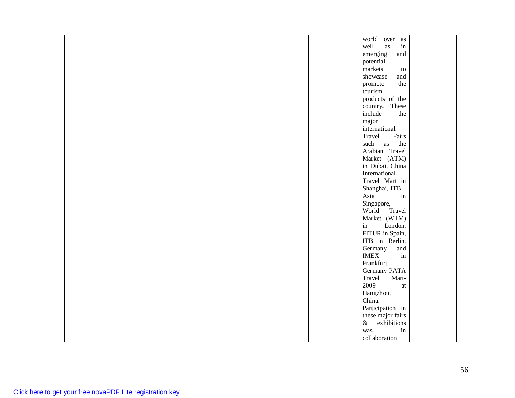|  |  |  | world over as                            |  |
|--|--|--|------------------------------------------|--|
|  |  |  | well<br>$\operatorname{in}$<br>as        |  |
|  |  |  | emerging<br>and                          |  |
|  |  |  | potential                                |  |
|  |  |  |                                          |  |
|  |  |  | markets<br>${\rm to}$                    |  |
|  |  |  | showcase<br>and                          |  |
|  |  |  | the<br>promote                           |  |
|  |  |  | tourism                                  |  |
|  |  |  | products of the                          |  |
|  |  |  | country. These                           |  |
|  |  |  | include<br>the                           |  |
|  |  |  | major                                    |  |
|  |  |  | international                            |  |
|  |  |  | Travel<br>Fairs                          |  |
|  |  |  | such<br>the<br>as                        |  |
|  |  |  | Arabian Travel                           |  |
|  |  |  | Market (ATM)                             |  |
|  |  |  | in Dubai, China                          |  |
|  |  |  | International                            |  |
|  |  |  | Travel Mart in                           |  |
|  |  |  | Shanghai, ITB -                          |  |
|  |  |  | Asia<br>in                               |  |
|  |  |  | Singapore,                               |  |
|  |  |  | World<br>Travel                          |  |
|  |  |  | Market (WTM)                             |  |
|  |  |  | $\operatorname{in}$<br>London,           |  |
|  |  |  | FITUR in Spain,                          |  |
|  |  |  | ITB in Berlin,                           |  |
|  |  |  | Germany<br>and                           |  |
|  |  |  | <b>IMEX</b><br>in                        |  |
|  |  |  | Frankfurt,                               |  |
|  |  |  | Germany PATA                             |  |
|  |  |  | Mart-<br>Travel                          |  |
|  |  |  | 2009<br>$\,$ at                          |  |
|  |  |  | Hangzhou,                                |  |
|  |  |  | China.                                   |  |
|  |  |  | Participation in                         |  |
|  |  |  |                                          |  |
|  |  |  | these major fairs<br>$\&$<br>exhibitions |  |
|  |  |  |                                          |  |
|  |  |  | $\operatorname{in}$<br>was               |  |
|  |  |  | collaboration                            |  |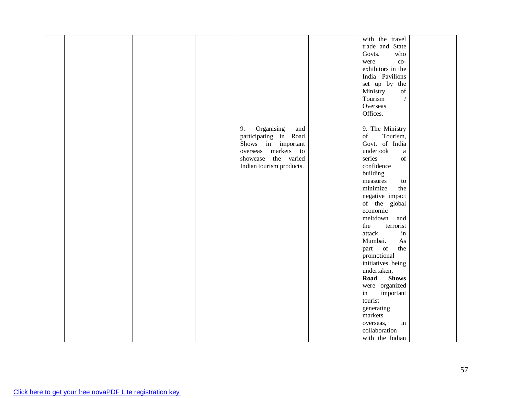|  |  |                          | with the travel                                                                                                |  |
|--|--|--------------------------|----------------------------------------------------------------------------------------------------------------|--|
|  |  |                          | trade and State                                                                                                |  |
|  |  |                          | who<br>Govts.                                                                                                  |  |
|  |  |                          | $_{\rm co-}$<br>were                                                                                           |  |
|  |  |                          | exhibitors in the                                                                                              |  |
|  |  |                          |                                                                                                                |  |
|  |  |                          | India Pavilions                                                                                                |  |
|  |  |                          | set up by the                                                                                                  |  |
|  |  |                          | Ministry<br>$% \left( \left( \mathcal{A},\mathcal{A}\right) \right) =\left( \mathcal{A},\mathcal{A}\right)$ of |  |
|  |  |                          | $\sqrt{\phantom{a}}$<br>Tourism                                                                                |  |
|  |  |                          | Overseas                                                                                                       |  |
|  |  |                          | Offices.                                                                                                       |  |
|  |  |                          |                                                                                                                |  |
|  |  | Organising<br>9.<br>and  | 9. The Ministry                                                                                                |  |
|  |  | participating in Road    | $% \left( \left( \mathcal{A},\mathcal{A}\right) \right) =\left( \mathcal{A},\mathcal{A}\right)$ of<br>Tourism, |  |
|  |  | Shows in important       | Govt. of India                                                                                                 |  |
|  |  | markets to<br>overseas   | undertook<br>$\rm{a}$                                                                                          |  |
|  |  | showcase the varied      | series<br>of                                                                                                   |  |
|  |  | Indian tourism products. | confidence                                                                                                     |  |
|  |  |                          | building                                                                                                       |  |
|  |  |                          | measures<br>to                                                                                                 |  |
|  |  |                          | minimize<br>the                                                                                                |  |
|  |  |                          | negative impact                                                                                                |  |
|  |  |                          | of the global                                                                                                  |  |
|  |  |                          | economic                                                                                                       |  |
|  |  |                          | meltdown                                                                                                       |  |
|  |  |                          | and                                                                                                            |  |
|  |  |                          | the<br>terrorist                                                                                               |  |
|  |  |                          | attack<br>$\operatorname{in}$                                                                                  |  |
|  |  |                          | Mumbai.<br>As                                                                                                  |  |
|  |  |                          | of<br>the<br>part                                                                                              |  |
|  |  |                          | promotional                                                                                                    |  |
|  |  |                          | initiatives being                                                                                              |  |
|  |  |                          | undertaken,                                                                                                    |  |
|  |  |                          | Road<br><b>Shows</b>                                                                                           |  |
|  |  |                          | were organized                                                                                                 |  |
|  |  |                          | important<br>in                                                                                                |  |
|  |  |                          | tourist                                                                                                        |  |
|  |  |                          | generating                                                                                                     |  |
|  |  |                          | $\operatorname{markets}$                                                                                       |  |
|  |  |                          | in<br>overseas,                                                                                                |  |
|  |  |                          | collaboration                                                                                                  |  |
|  |  |                          | with the Indian                                                                                                |  |
|  |  |                          |                                                                                                                |  |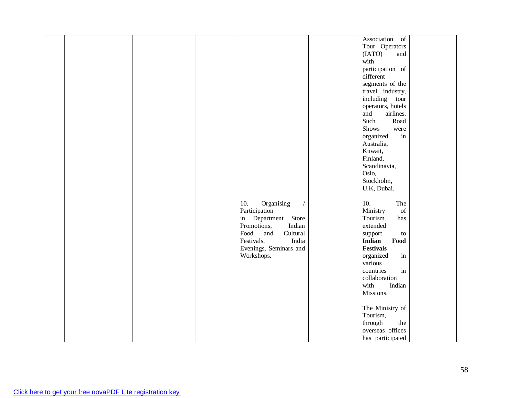|  |  |                         | Association of                                                                                                 |  |
|--|--|-------------------------|----------------------------------------------------------------------------------------------------------------|--|
|  |  |                         | Tour Operators                                                                                                 |  |
|  |  |                         |                                                                                                                |  |
|  |  |                         | (IATO)<br>and                                                                                                  |  |
|  |  |                         | with                                                                                                           |  |
|  |  |                         | participation of                                                                                               |  |
|  |  |                         | different                                                                                                      |  |
|  |  |                         | segments of the                                                                                                |  |
|  |  |                         | travel industry,                                                                                               |  |
|  |  |                         | including tour                                                                                                 |  |
|  |  |                         | operators, hotels                                                                                              |  |
|  |  |                         | and<br>airlines.                                                                                               |  |
|  |  |                         | Such<br>Road                                                                                                   |  |
|  |  |                         | Shows<br>were                                                                                                  |  |
|  |  |                         | organized<br>$\operatorname{in}$                                                                               |  |
|  |  |                         | Australia,                                                                                                     |  |
|  |  |                         | Kuwait,                                                                                                        |  |
|  |  |                         |                                                                                                                |  |
|  |  |                         | Finland,                                                                                                       |  |
|  |  |                         | Scandinavia,                                                                                                   |  |
|  |  |                         | Oslo,                                                                                                          |  |
|  |  |                         | Stockholm,                                                                                                     |  |
|  |  |                         | U.K, Dubai.                                                                                                    |  |
|  |  |                         |                                                                                                                |  |
|  |  | 10.<br>Organising       | 10.<br>The                                                                                                     |  |
|  |  | Participation           | $% \left( \left( \mathcal{A},\mathcal{A}\right) \right) =\left( \mathcal{A},\mathcal{A}\right)$ of<br>Ministry |  |
|  |  | in Department Store     | Tourism<br>has                                                                                                 |  |
|  |  | Promotions,<br>Indian   | extended                                                                                                       |  |
|  |  | Food<br>Cultural<br>and | support<br>to                                                                                                  |  |
|  |  | Festivals,<br>India     | Indian<br>Food                                                                                                 |  |
|  |  | Evenings, Seminars and  | <b>Festivals</b>                                                                                               |  |
|  |  | Workshops.              | organized<br>in                                                                                                |  |
|  |  |                         | various                                                                                                        |  |
|  |  |                         | in<br>countries                                                                                                |  |
|  |  |                         | collaboration                                                                                                  |  |
|  |  |                         | with<br>Indian                                                                                                 |  |
|  |  |                         | Missions.                                                                                                      |  |
|  |  |                         |                                                                                                                |  |
|  |  |                         |                                                                                                                |  |
|  |  |                         | The Ministry of                                                                                                |  |
|  |  |                         | Tourism,                                                                                                       |  |
|  |  |                         | the<br>through                                                                                                 |  |
|  |  |                         | overseas offices                                                                                               |  |
|  |  |                         | has participated                                                                                               |  |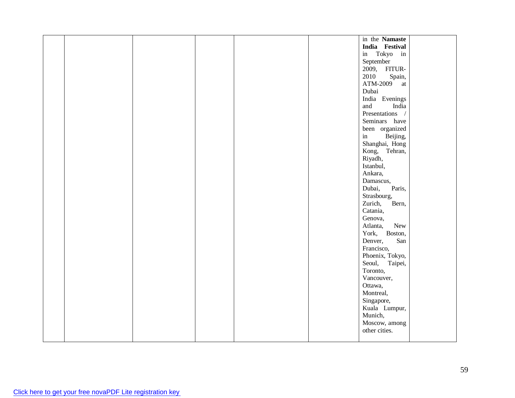|  |  |  | in the Namaste   |  |
|--|--|--|------------------|--|
|  |  |  | India Festival   |  |
|  |  |  | in Tokyo in      |  |
|  |  |  | September        |  |
|  |  |  | 2009, FITUR-     |  |
|  |  |  | 2010<br>Spain,   |  |
|  |  |  | $ATM-2009$ at    |  |
|  |  |  | Dubai            |  |
|  |  |  | India Evenings   |  |
|  |  |  | and<br>India     |  |
|  |  |  | Presentations /  |  |
|  |  |  | Seminars have    |  |
|  |  |  | been organized   |  |
|  |  |  | in<br>Beijing,   |  |
|  |  |  | Shanghai, Hong   |  |
|  |  |  | Kong, Tehran,    |  |
|  |  |  | Riyadh,          |  |
|  |  |  | Istanbul,        |  |
|  |  |  | Ankara,          |  |
|  |  |  | Damascus,        |  |
|  |  |  | Dubai,<br>Paris, |  |
|  |  |  | Strasbourg,      |  |
|  |  |  | Zurich,<br>Bern, |  |
|  |  |  | Catania,         |  |
|  |  |  | Genova,          |  |
|  |  |  | Atlanta,<br>New  |  |
|  |  |  | York, Boston,    |  |
|  |  |  | San<br>Denver,   |  |
|  |  |  | Francisco,       |  |
|  |  |  | Phoenix, Tokyo,  |  |
|  |  |  | Seoul, Taipei,   |  |
|  |  |  | Toronto,         |  |
|  |  |  | Vancouver,       |  |
|  |  |  | Ottawa,          |  |
|  |  |  | Montreal,        |  |
|  |  |  | Singapore,       |  |
|  |  |  | Kuala Lumpur,    |  |
|  |  |  | Munich,          |  |
|  |  |  | Moscow, among    |  |
|  |  |  | other cities.    |  |
|  |  |  |                  |  |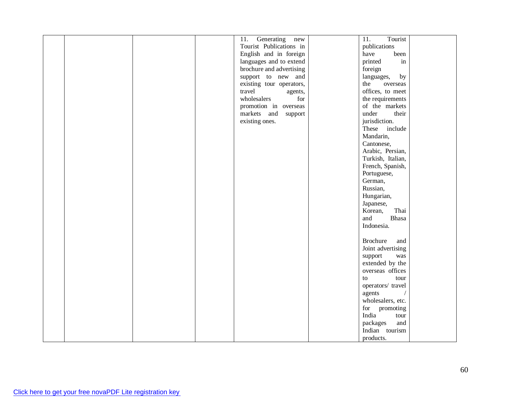|  |  | Generating<br>11.<br>new | Tourist<br>$\overline{11}$ .        |  |
|--|--|--------------------------|-------------------------------------|--|
|  |  | Tourist Publications in  | publications                        |  |
|  |  | English and in foreign   | have<br>been                        |  |
|  |  | languages and to extend  | printed<br>$\operatorname{in}$      |  |
|  |  | brochure and advertising | foreign                             |  |
|  |  | support to new and       | languages,<br>by                    |  |
|  |  | existing tour operators, | the<br>overseas                     |  |
|  |  | travel<br>agents,        | offices, to meet                    |  |
|  |  | wholesalers<br>for       | the requirements                    |  |
|  |  | promotion in overseas    | of the markets                      |  |
|  |  | markets and support      | under<br>their                      |  |
|  |  | existing ones.           | jurisdiction.                       |  |
|  |  |                          | These include                       |  |
|  |  |                          |                                     |  |
|  |  |                          | Mandarin,                           |  |
|  |  |                          | Cantonese,                          |  |
|  |  |                          | Arabic, Persian,                    |  |
|  |  |                          | Turkish, Italian,                   |  |
|  |  |                          | French, Spanish,                    |  |
|  |  |                          | Portuguese,                         |  |
|  |  |                          | German,                             |  |
|  |  |                          | Russian,                            |  |
|  |  |                          | Hungarian,                          |  |
|  |  |                          | Japanese,                           |  |
|  |  |                          | Thai<br>Korean,                     |  |
|  |  |                          | and<br>Bhasa                        |  |
|  |  |                          | Indonesia.                          |  |
|  |  |                          |                                     |  |
|  |  |                          | Brochure<br>and                     |  |
|  |  |                          | Joint advertising                   |  |
|  |  |                          | support<br>was                      |  |
|  |  |                          | extended by the                     |  |
|  |  |                          | overseas offices                    |  |
|  |  |                          | tour<br>to                          |  |
|  |  |                          | operators/ travel                   |  |
|  |  |                          | agents                              |  |
|  |  |                          | wholesalers, etc.                   |  |
|  |  |                          | for promoting                       |  |
|  |  |                          | India<br>$\ensuremath{\text{tour}}$ |  |
|  |  |                          | packages<br>and                     |  |
|  |  |                          | Indian tourism                      |  |
|  |  |                          |                                     |  |
|  |  |                          | products.                           |  |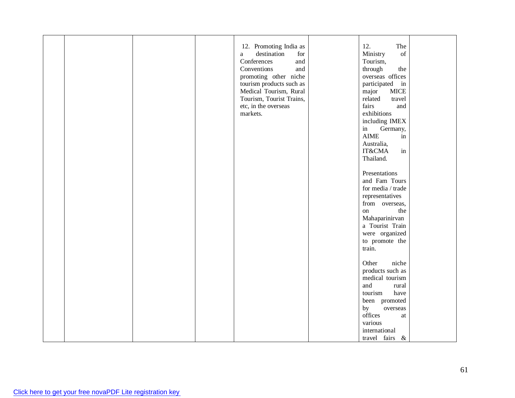|  |  | 12. Promoting India as   | 12.<br>The                                                                                         |  |
|--|--|--------------------------|----------------------------------------------------------------------------------------------------|--|
|  |  | destination              | $% \left( \left( \mathcal{A},\mathcal{A}\right) \right) =\left( \mathcal{A},\mathcal{A}\right)$ of |  |
|  |  | for<br>$\rm{a}$          | Ministry                                                                                           |  |
|  |  | Conferences<br>and       | Tourism,                                                                                           |  |
|  |  | Conventions<br>and       | through<br>the                                                                                     |  |
|  |  | promoting other niche    | overseas offices                                                                                   |  |
|  |  | tourism products such as | participated in                                                                                    |  |
|  |  | Medical Tourism, Rural   | <b>MICE</b><br>major                                                                               |  |
|  |  | Tourism, Tourist Trains, | related<br>travel                                                                                  |  |
|  |  | etc, in the overseas     | fairs<br>and                                                                                       |  |
|  |  | markets.                 | exhibitions                                                                                        |  |
|  |  |                          | including IMEX                                                                                     |  |
|  |  |                          | in<br>Germany,                                                                                     |  |
|  |  |                          | <b>AIME</b><br>in                                                                                  |  |
|  |  |                          | Australia,                                                                                         |  |
|  |  |                          | in<br><b>IT&amp;CMA</b>                                                                            |  |
|  |  |                          | Thailand.                                                                                          |  |
|  |  |                          |                                                                                                    |  |
|  |  |                          |                                                                                                    |  |
|  |  |                          | Presentations                                                                                      |  |
|  |  |                          | and Fam Tours                                                                                      |  |
|  |  |                          | for media / trade                                                                                  |  |
|  |  |                          | representatives                                                                                    |  |
|  |  |                          | from overseas,                                                                                     |  |
|  |  |                          | the<br>on                                                                                          |  |
|  |  |                          | Mahaparinirvan                                                                                     |  |
|  |  |                          | a Tourist Train                                                                                    |  |
|  |  |                          | were organized                                                                                     |  |
|  |  |                          | to promote the                                                                                     |  |
|  |  |                          | train.                                                                                             |  |
|  |  |                          |                                                                                                    |  |
|  |  |                          | Other<br>niche                                                                                     |  |
|  |  |                          | products such as                                                                                   |  |
|  |  |                          | medical tourism                                                                                    |  |
|  |  |                          | and<br>rural                                                                                       |  |
|  |  |                          | tourism<br>have                                                                                    |  |
|  |  |                          |                                                                                                    |  |
|  |  |                          | been promoted                                                                                      |  |
|  |  |                          | by<br>overseas                                                                                     |  |
|  |  |                          | offices<br>at                                                                                      |  |
|  |  |                          | various                                                                                            |  |
|  |  |                          | international                                                                                      |  |
|  |  |                          | travel fairs &                                                                                     |  |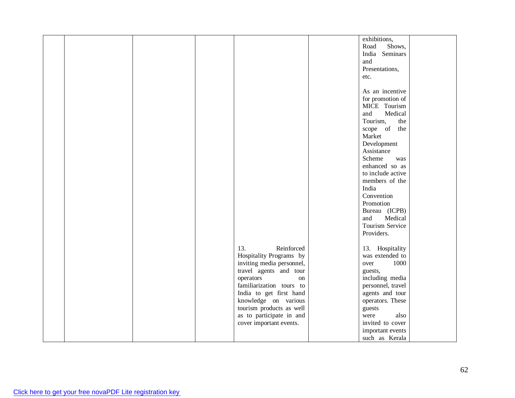|  |  |                           | exhibitions,      |  |
|--|--|---------------------------|-------------------|--|
|  |  |                           | Road<br>Shows,    |  |
|  |  |                           | India Seminars    |  |
|  |  |                           |                   |  |
|  |  |                           | and               |  |
|  |  |                           | Presentations,    |  |
|  |  |                           | etc.              |  |
|  |  |                           |                   |  |
|  |  |                           | As an incentive   |  |
|  |  |                           | for promotion of  |  |
|  |  |                           | MICE Tourism      |  |
|  |  |                           | Medical<br>and    |  |
|  |  |                           | Tourism,<br>the   |  |
|  |  |                           | scope of the      |  |
|  |  |                           | Market            |  |
|  |  |                           | Development       |  |
|  |  |                           |                   |  |
|  |  |                           | Assistance        |  |
|  |  |                           | Scheme<br>was     |  |
|  |  |                           | enhanced so as    |  |
|  |  |                           | to include active |  |
|  |  |                           | members of the    |  |
|  |  |                           | India             |  |
|  |  |                           | Convention        |  |
|  |  |                           | Promotion         |  |
|  |  |                           | Bureau (ICPB)     |  |
|  |  |                           | Medical<br>and    |  |
|  |  |                           | Tourism Service   |  |
|  |  |                           | Providers.        |  |
|  |  |                           |                   |  |
|  |  | Reinforced<br>13.         | 13. Hospitality   |  |
|  |  | Hospitality Programs by   | was extended to   |  |
|  |  | inviting media personnel, | 1000<br>over      |  |
|  |  |                           |                   |  |
|  |  | travel agents and tour    | guests,           |  |
|  |  | operators<br>on           | including media   |  |
|  |  | familiarization tours to  | personnel, travel |  |
|  |  | India to get first hand   | agents and tour   |  |
|  |  | knowledge on various      | operators. These  |  |
|  |  | tourism products as well  | guests            |  |
|  |  | as to participate in and  | also<br>were      |  |
|  |  | cover important events.   | invited to cover  |  |
|  |  |                           | important events  |  |
|  |  |                           | such as Kerala    |  |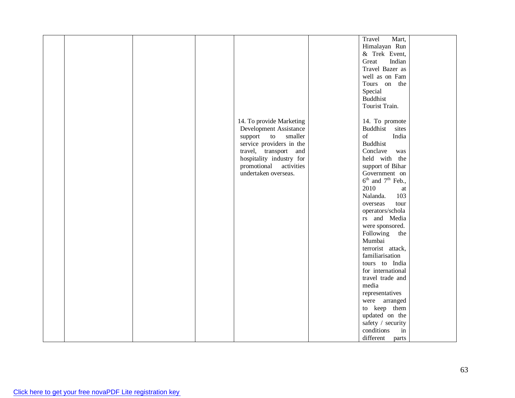|  |  |                           | Travel<br>Mart,                 |  |
|--|--|---------------------------|---------------------------------|--|
|  |  |                           | Himalayan Run                   |  |
|  |  |                           | & Trek Event,                   |  |
|  |  |                           | Great<br>Indian                 |  |
|  |  |                           | Travel Bazer as                 |  |
|  |  |                           | well as on Fam                  |  |
|  |  |                           | Tours on the                    |  |
|  |  |                           | Special                         |  |
|  |  |                           | <b>Buddhist</b>                 |  |
|  |  |                           | Tourist Train.                  |  |
|  |  |                           |                                 |  |
|  |  | 14. To provide Marketing  | 14. To promote                  |  |
|  |  | Development Assistance    | Buddhist sites                  |  |
|  |  | support to<br>smaller     | of<br>India                     |  |
|  |  | service providers in the  | Buddhist                        |  |
|  |  | travel, transport and     | Conclave<br>was                 |  |
|  |  | hospitality industry for  | held with the                   |  |
|  |  | activities<br>promotional | support of Bihar                |  |
|  |  | undertaken overseas.      | Government on                   |  |
|  |  |                           | $6^{th}$ and $7^{th}$ Feb.,     |  |
|  |  |                           | 2010<br>at                      |  |
|  |  |                           | Nalanda.<br>103                 |  |
|  |  |                           | overseas<br>tour                |  |
|  |  |                           | operators/schola                |  |
|  |  |                           | rs and Media                    |  |
|  |  |                           | were sponsored.                 |  |
|  |  |                           | Following the                   |  |
|  |  |                           | Mumbai                          |  |
|  |  |                           | terrorist attack,               |  |
|  |  |                           | familiarisation                 |  |
|  |  |                           | tours to India                  |  |
|  |  |                           | for international               |  |
|  |  |                           | travel trade and                |  |
|  |  |                           | media                           |  |
|  |  |                           | representatives                 |  |
|  |  |                           | were arranged                   |  |
|  |  |                           | to keep them                    |  |
|  |  |                           |                                 |  |
|  |  |                           | updated on the                  |  |
|  |  |                           | safety / security<br>conditions |  |
|  |  |                           | in                              |  |
|  |  |                           | different<br>parts              |  |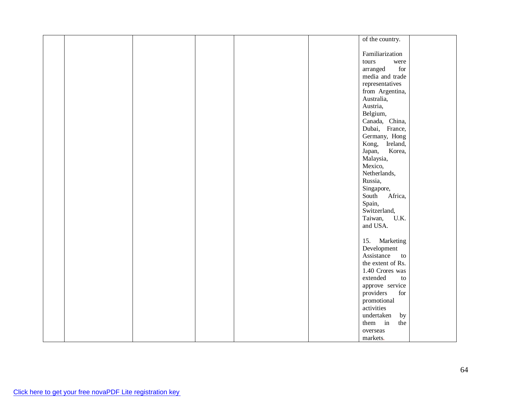| of the country.          |
|--------------------------|
|                          |
|                          |
| Familiarization          |
| tours<br>were            |
| arranged<br>${\rm for}$  |
| media and trade          |
| representatives          |
| from Argentina,          |
| Australia,               |
| Austria,                 |
| Belgium,                 |
| Canada, China,           |
| Dubai, France,           |
|                          |
| Germany, Hong            |
| Kong, Ireland,           |
| Japan,<br>Korea,         |
| Malaysia,                |
| Mexico,                  |
| Netherlands,             |
| Russia,                  |
| Singapore,               |
| South<br>Africa,         |
| Spain,                   |
| Switzerland,             |
| Taiwan, U.K.             |
| and USA.                 |
|                          |
| Marketing<br>15.         |
| Development              |
| Assistance               |
| $\mathbf{to}$            |
| the extent of Rs.        |
| 1.40 Crores was          |
| extended<br>to           |
| approve service          |
| providers<br>${\rm for}$ |
| promotional              |
| activities               |
| undertaken<br>by         |
| them in<br>the           |
| overseas                 |
| markets.                 |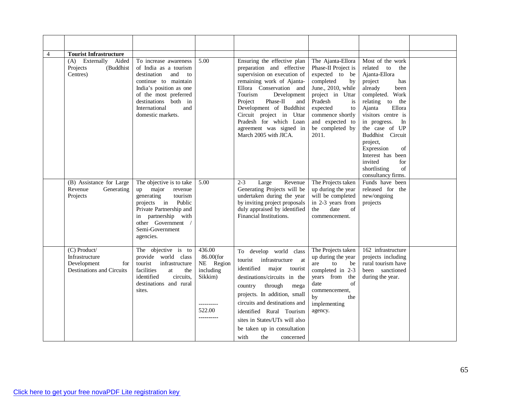| $\overline{4}$ | <b>Tourist Infrastructure</b>                                                            |                                                                                                                                                                                                                               |                                                                                                |                                                                                                                                                                                                                                                                                                                                              |                                                                                                                                                                                                                               |                                                                                                                                                                                                                                                                                                                                                               |  |
|----------------|------------------------------------------------------------------------------------------|-------------------------------------------------------------------------------------------------------------------------------------------------------------------------------------------------------------------------------|------------------------------------------------------------------------------------------------|----------------------------------------------------------------------------------------------------------------------------------------------------------------------------------------------------------------------------------------------------------------------------------------------------------------------------------------------|-------------------------------------------------------------------------------------------------------------------------------------------------------------------------------------------------------------------------------|---------------------------------------------------------------------------------------------------------------------------------------------------------------------------------------------------------------------------------------------------------------------------------------------------------------------------------------------------------------|--|
|                | Aided<br>Externally<br>(A)<br>Projects<br>(Buddhist<br>Centres)                          | To increase awareness<br>of India as a tourism<br>destination<br>and<br>to<br>continue to maintain<br>India's position as one<br>of the most preferred<br>destinations both in<br>International<br>and<br>domestic markets.   | 5.00                                                                                           | Ensuring the effective plan<br>preparation and effective<br>supervision on execution of<br>remaining work of Ajanta-<br>Ellora Conservation and<br>Tourism<br>Development<br>Phase-II<br>Project<br>and<br>Development of Buddhist<br>Circuit project in Uttar<br>Pradesh for which Loan<br>agreement was signed in<br>March 2005 with JICA. | The Ajanta-Ellora<br>Phase-II Project is<br>expected to be<br>completed<br>by<br>June., 2010, while<br>project in Uttar<br>Pradesh<br>is<br>expected<br>to<br>commence shortly<br>and expected to<br>be completed by<br>2011. | Most of the work<br>related<br>to<br>the<br>Ajanta-Ellora<br>project<br>has<br>already<br>been<br>completed. Work<br>relating to the<br>Ajanta<br>Ellora<br>visitors centre is<br>in progress.<br>In<br>the case of UP<br>Buddhist Circuit<br>project,<br>Expression<br>of<br>Interest has been<br>invited<br>for<br>shortlisting<br>of<br>consultancy firms. |  |
|                | (B) Assistance for Large<br>Revenue<br>Generating<br>Projects                            | The objective is to take<br>major<br>revenue<br>up<br>tourism<br>generating<br>$\overline{p}$ rojects in<br>Public<br>Private Partnership and<br>partnership with<br>in<br>other Government /<br>Semi-Government<br>agencies. | 5.00                                                                                           | $2 - 3$<br>Large<br>Revenue<br>Generating Projects will be<br>undertaken during the year<br>by inviting project proposals<br>duly appraised by identified<br>Financial Institutions.                                                                                                                                                         | The Projects taken<br>up during the year<br>will be completed<br>in 2-3 years from<br>date<br>the<br>of<br>commencement.                                                                                                      | Funds have been<br>released for the<br>new/ongoing<br>projects                                                                                                                                                                                                                                                                                                |  |
|                | (C) Product/<br>Infrastructure<br>Development<br>for<br><b>Destinations and Circuits</b> | The objective is to<br>provide world class<br>tourist infrastructure<br>facilities<br>at<br>the<br>identified<br>circuits.<br>destinations and rural<br>sites.                                                                | 436.00<br>86.00(for<br>NE Region<br>including<br>Sikkim)<br>----------<br>522.00<br>---------- | To develop world class<br>tourist infrastructure at<br>identified<br>major<br>tourist<br>destinations/circuits in the<br>through<br>country<br>mega<br>projects. In addition, small<br>circuits and destinations and<br>identified Rural Tourism<br>sites in States/UTs will also<br>be taken up in consultation<br>with<br>the<br>concerned | The Projects taken<br>up during the year<br>to<br>are<br>be<br>completed in 2-3<br>years from the<br>of<br>date<br>commencement,<br>by<br>the<br>implementing<br>agency.                                                      | 162 infrastructure<br>projects including<br>rural tourism have<br>been sanctioned<br>during the year.                                                                                                                                                                                                                                                         |  |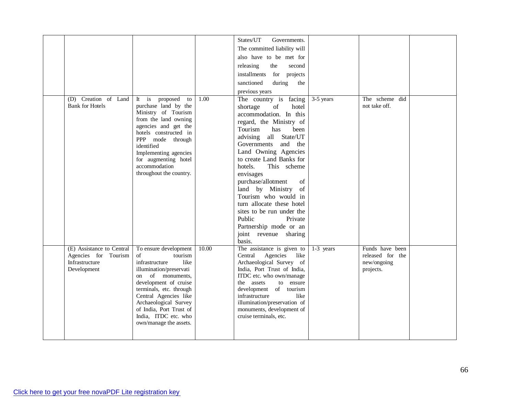|                                                                                    |                                                                                                                                                                                                                                                                                                          |       | States/UT<br>Governments.                                                                                                                                                                                                                                                                                                                                                                                                                                                                     |           |                                                                 |  |
|------------------------------------------------------------------------------------|----------------------------------------------------------------------------------------------------------------------------------------------------------------------------------------------------------------------------------------------------------------------------------------------------------|-------|-----------------------------------------------------------------------------------------------------------------------------------------------------------------------------------------------------------------------------------------------------------------------------------------------------------------------------------------------------------------------------------------------------------------------------------------------------------------------------------------------|-----------|-----------------------------------------------------------------|--|
|                                                                                    |                                                                                                                                                                                                                                                                                                          |       | The committed liability will                                                                                                                                                                                                                                                                                                                                                                                                                                                                  |           |                                                                 |  |
|                                                                                    |                                                                                                                                                                                                                                                                                                          |       | also have to be met for                                                                                                                                                                                                                                                                                                                                                                                                                                                                       |           |                                                                 |  |
|                                                                                    |                                                                                                                                                                                                                                                                                                          |       | the<br>releasing<br>second                                                                                                                                                                                                                                                                                                                                                                                                                                                                    |           |                                                                 |  |
|                                                                                    |                                                                                                                                                                                                                                                                                                          |       | installments for projects                                                                                                                                                                                                                                                                                                                                                                                                                                                                     |           |                                                                 |  |
|                                                                                    |                                                                                                                                                                                                                                                                                                          |       | sanctioned<br>during<br>the                                                                                                                                                                                                                                                                                                                                                                                                                                                                   |           |                                                                 |  |
|                                                                                    |                                                                                                                                                                                                                                                                                                          |       | previous years                                                                                                                                                                                                                                                                                                                                                                                                                                                                                |           |                                                                 |  |
| (D) Creation of Land<br><b>Bank for Hotels</b>                                     | It is<br>proposed<br>to<br>purchase land by the<br>Ministry of Tourism<br>from the land owning<br>agencies and get the<br>hotels constructed in<br>PPP mode through<br>identified<br>Implementing agencies<br>for augmenting hotel<br>accommodation<br>throughout the country.                           | 1.00  | The country is facing<br>shortage<br>of<br>hotel<br>accommodation. In this<br>regard, the Ministry of<br>Tourism<br>has<br>been<br>advising all State/UT<br>Governments<br>and the<br>Land Owning Agencies<br>to create Land Banks for<br>This scheme<br>hotels.<br>envisages<br>purchase/allotment<br>of<br>of<br>land by Ministry<br>Tourism who would in<br>turn allocate these hotel<br>sites to be run under the<br>Public<br>Private<br>Partnership mode or an<br>joint revenue sharing | 3-5 years | The scheme did<br>not take off.                                 |  |
| (E) Assistance to Central<br>Agencies for Tourism<br>Infrastructure<br>Development | To ensure development<br>$\sigma$<br>tourism<br>infrastructure<br>like<br>illumination/preservati<br>on of monuments,<br>development of cruise<br>terminals, etc. through<br>Central Agencies like<br>Archaeological Survey<br>of India, Port Trust of<br>India, ITDC etc. who<br>own/manage the assets. | 10.00 | basis.<br>The assistance is given to<br>Central<br>Agencies<br>like<br>Archaeological Survey of<br>India, Port Trust of India,<br>ITDC etc. who own/manage<br>the assets<br>to ensure<br>development of tourism<br>infrastructure<br>like<br>illumination/preservation of<br>monuments, development of<br>cruise terminals, etc.                                                                                                                                                              | 1-3 years | Funds have been<br>released for the<br>new/ongoing<br>projects. |  |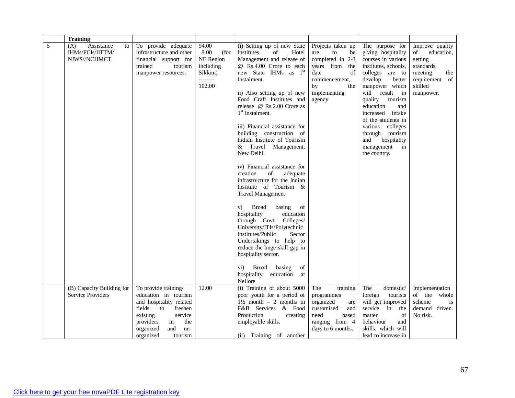|   | <b>Training</b>                                             |                                                                                                                                                                                |                                                                                  |                                                                                                                                                                                                                                                                                                                                                                                                                                                                                                                                                                                                                                                                                                                                                                                                                                                                                                               |                                                                                                                                                          |                                                                                                                                                                                                                                                                                                                                                            |                                                                                                                          |
|---|-------------------------------------------------------------|--------------------------------------------------------------------------------------------------------------------------------------------------------------------------------|----------------------------------------------------------------------------------|---------------------------------------------------------------------------------------------------------------------------------------------------------------------------------------------------------------------------------------------------------------------------------------------------------------------------------------------------------------------------------------------------------------------------------------------------------------------------------------------------------------------------------------------------------------------------------------------------------------------------------------------------------------------------------------------------------------------------------------------------------------------------------------------------------------------------------------------------------------------------------------------------------------|----------------------------------------------------------------------------------------------------------------------------------------------------------|------------------------------------------------------------------------------------------------------------------------------------------------------------------------------------------------------------------------------------------------------------------------------------------------------------------------------------------------------------|--------------------------------------------------------------------------------------------------------------------------|
| 5 | Assistance<br>(A)<br>to<br>IHMs/FCIs/IITTM/<br>NIWS//NCHMCT | To provide adequate<br>infrastructure and other<br>financial support for<br>trained<br>tourism<br>manpower resources.                                                          | 94.00<br>8.00<br>(for<br>NE Region<br>including<br>Sikkim)<br>--------<br>102.00 | (i) Setting up of new State<br>Institutes<br>of<br>Hotel<br>Management and release of<br>@ Rs.4.00 Crore to each<br>new State IHMs as 1 <sup>st</sup><br>Instalment.<br>ii) Also setting up of new<br>Food Craft Institutes and<br>release @ Rs.2.00 Crore as<br>1 <sup>st</sup> Instalment.<br>iii) Financial assistance for<br>building construction of<br>Indian Institute of Tourism<br>& Travel Management,<br>New Delhi.<br>iv) Financial assistance for<br>of<br>creation<br>adequate<br>infrastructure for the Indian<br>Institute of Tourism &<br><b>Travel Management</b><br><b>Broad</b><br>basing<br>of<br>V)<br>education<br>hospitality<br>through Govt. Colleges/<br>University/ITIs/Polytechnic<br>Institutes/Public<br>Sector<br>Undertakings to help to<br>reduce the huge skill gap in<br>hospitality sector.<br>Broad<br>basing<br>of<br>$\mathbf{vi})$<br>hospitality<br>education<br>at | Projects taken up<br>${\rm to}$<br>be<br>are<br>completed in 2-3<br>years from the<br>date<br>of<br>commencement,<br>by<br>the<br>implementing<br>agency | The purpose for<br>giving hospitality<br>courses in various<br>institutes, schools,<br>colleges are to<br>develop<br>better<br>manpower which<br>will result in<br>quality<br>tourism<br>education<br>and<br>increased<br>intake<br>of the students in<br>various colleges<br>tourism<br>through<br>hospitality<br>and<br>management<br>in<br>the country. | Improve quality<br>of<br>education,<br>setting<br>standards,<br>meeting<br>the<br>requirement of<br>skilled<br>manpower. |
|   | (B) Capacity Building for                                   | To provide training/                                                                                                                                                           | 12.00                                                                            | Nellore<br>(i) Training of about 5000                                                                                                                                                                                                                                                                                                                                                                                                                                                                                                                                                                                                                                                                                                                                                                                                                                                                         | The<br>training                                                                                                                                          | domestic/<br>The                                                                                                                                                                                                                                                                                                                                           | Implementation                                                                                                           |
|   | Service Providers                                           | education in tourism<br>and hospitality related<br>fields<br>to<br>freshen<br>existing<br>service<br>providers<br>the<br>in<br>organized<br>and<br>un-<br>organized<br>tourism |                                                                                  | poor youth for a period of<br>$1\frac{1}{2}$ month - 2 months in<br>F&B Services & Food<br>Production<br>creating<br>employable skills.<br>(ii) Training of another                                                                                                                                                                                                                                                                                                                                                                                                                                                                                                                                                                                                                                                                                                                                           | programmes<br>organized<br>are<br>customised<br>and<br>need<br>based<br>ranging from 4<br>days to 6 months.                                              | foreign<br>tourists<br>will get improved<br>service<br>in<br>the<br>of<br>matter<br>behaviour<br>and<br>skills, which will<br>lead to increase in                                                                                                                                                                                                          | of the<br>whole<br>scheme<br>is<br>demand driven.<br>No risk.                                                            |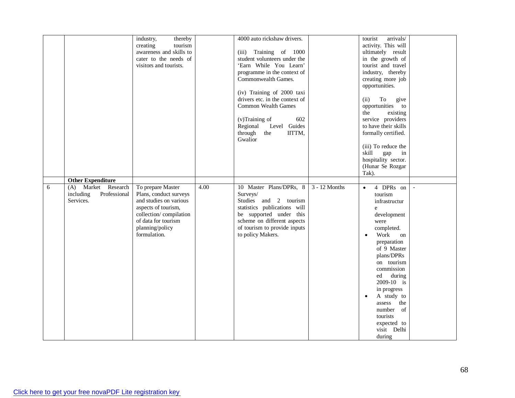|   |                                                               | thereby<br>industry,<br>tourism<br>creating<br>awareness and skills to<br>cater to the needs of<br>visitors and tourists.                                                        |      | 4000 auto rickshaw drivers.<br>(iii) Training of 1000<br>student volunteers under the<br>'Earn While You Learn'<br>programme in the context of<br>Commonwealth Games.<br>(iv) Training of 2000 taxi<br>drivers etc. in the context of<br><b>Common Wealth Games</b><br>602<br>(v)Training of<br>Level Guides<br>Regional<br>through<br>IITTM,<br>the<br>Gwalior |               | arrivals/<br>tourist<br>activity. This will<br>ultimately result<br>in the growth of<br>tourist and travel<br>industry, thereby<br>creating more job<br>opportunities.<br>To<br>(ii)<br>give<br>opportunities to<br>existing<br>the<br>service providers<br>to have their skills<br>formally certified.<br>(iii) To reduce the<br>skill<br>gap<br>in<br>hospitality sector.<br>(Hunar Se Rozgar<br>Tak). |  |
|---|---------------------------------------------------------------|----------------------------------------------------------------------------------------------------------------------------------------------------------------------------------|------|-----------------------------------------------------------------------------------------------------------------------------------------------------------------------------------------------------------------------------------------------------------------------------------------------------------------------------------------------------------------|---------------|----------------------------------------------------------------------------------------------------------------------------------------------------------------------------------------------------------------------------------------------------------------------------------------------------------------------------------------------------------------------------------------------------------|--|
|   | <b>Other Expenditure</b>                                      |                                                                                                                                                                                  |      |                                                                                                                                                                                                                                                                                                                                                                 |               |                                                                                                                                                                                                                                                                                                                                                                                                          |  |
| 6 | (A) Market Research<br>including<br>Professional<br>Services. | To prepare Master<br>Plans, conduct surveys<br>and studies on various<br>aspects of tourism,<br>collection/compilation<br>of data for tourism<br>planning/policy<br>formulation. | 4.00 | 10 Master Plans/DPRs, 8<br>Surveys/<br>Studies and 2 tourism<br>statistics publications will<br>be supported under this<br>scheme on different aspects<br>of tourism to provide inputs<br>to policy Makers.                                                                                                                                                     | 3 - 12 Months | 4 DPRs on<br>$\bullet$<br>tourism<br>infrastructur<br>e<br>development<br>were<br>completed.<br>Work<br>on<br>preparation<br>of 9 Master<br>plans/DPRs<br>on tourism<br>commission<br>during<br>ed<br>$2009-10$ is<br>in progress<br>A study to<br>assess<br>the<br>number of<br>tourists<br>expected to<br>visit Delhi<br>during                                                                        |  |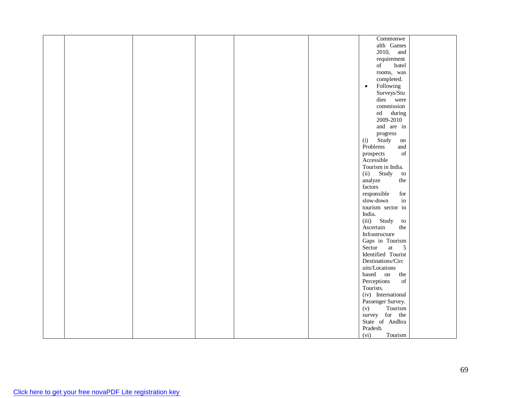|  |  |  | Commonwe                                                                                                        |  |
|--|--|--|-----------------------------------------------------------------------------------------------------------------|--|
|  |  |  | alth Games                                                                                                      |  |
|  |  |  | 2010, and                                                                                                       |  |
|  |  |  | requirement                                                                                                     |  |
|  |  |  | of<br>hotel                                                                                                     |  |
|  |  |  | rooms, was                                                                                                      |  |
|  |  |  | completed.                                                                                                      |  |
|  |  |  |                                                                                                                 |  |
|  |  |  | Following<br>$\bullet$                                                                                          |  |
|  |  |  | Surveys/Stu                                                                                                     |  |
|  |  |  | dies were                                                                                                       |  |
|  |  |  | commission                                                                                                      |  |
|  |  |  | ed during                                                                                                       |  |
|  |  |  | 2009-2010                                                                                                       |  |
|  |  |  | and are in                                                                                                      |  |
|  |  |  | progress                                                                                                        |  |
|  |  |  | Study<br>(i)<br>on                                                                                              |  |
|  |  |  | Problems<br>and                                                                                                 |  |
|  |  |  | $% \left( \left( \mathcal{A},\mathcal{A}\right) \right) =\left( \mathcal{A},\mathcal{A}\right)$ of<br>prospects |  |
|  |  |  | Accessible                                                                                                      |  |
|  |  |  | Tourism in India.                                                                                               |  |
|  |  |  | (ii)<br>Study<br>$\,$ to $\,$                                                                                   |  |
|  |  |  | analyze<br>the                                                                                                  |  |
|  |  |  | factors                                                                                                         |  |
|  |  |  | responsible<br>for                                                                                              |  |
|  |  |  | in<br>slow-down                                                                                                 |  |
|  |  |  | tourism sector in                                                                                               |  |
|  |  |  | India.                                                                                                          |  |
|  |  |  | (iii) Study<br>to                                                                                               |  |
|  |  |  | Ascertain<br>the                                                                                                |  |
|  |  |  | Infrastructure                                                                                                  |  |
|  |  |  |                                                                                                                 |  |
|  |  |  | Gaps in Tourism                                                                                                 |  |
|  |  |  | Sector<br>at<br>$\overline{5}$                                                                                  |  |
|  |  |  | Identified Tourist                                                                                              |  |
|  |  |  | Destinations/Circ                                                                                               |  |
|  |  |  | uits/Locations                                                                                                  |  |
|  |  |  | based on<br>the                                                                                                 |  |
|  |  |  | Perceptions<br>of                                                                                               |  |
|  |  |  | Tourists.                                                                                                       |  |
|  |  |  | (iv) International                                                                                              |  |
|  |  |  | Passenger Survey.                                                                                               |  |
|  |  |  | Tourism<br>(v)                                                                                                  |  |
|  |  |  | survey for the                                                                                                  |  |
|  |  |  | State of Andhra                                                                                                 |  |
|  |  |  | Pradesh.                                                                                                        |  |
|  |  |  | Tourism<br>(vi)                                                                                                 |  |
|  |  |  |                                                                                                                 |  |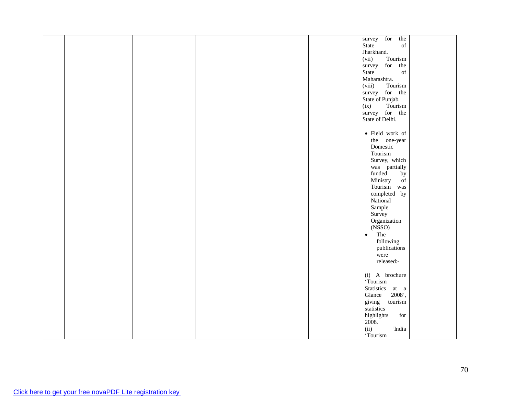|  |  |  | survey for<br>the                                                                                           |  |
|--|--|--|-------------------------------------------------------------------------------------------------------------|--|
|  |  |  | $% \left( \left( \mathcal{A},\mathcal{A}\right) \right) =\left( \mathcal{A},\mathcal{A}\right)$ of<br>State |  |
|  |  |  | Jharkhand.                                                                                                  |  |
|  |  |  |                                                                                                             |  |
|  |  |  | Tourism<br>(vii)                                                                                            |  |
|  |  |  | survey for the                                                                                              |  |
|  |  |  | State<br>$% \left( \left( \mathcal{A},\mathcal{A}\right) \right) =\left( \mathcal{A},\mathcal{A}\right)$ of |  |
|  |  |  | Maharashtra.                                                                                                |  |
|  |  |  | Tourism<br>(viii)                                                                                           |  |
|  |  |  | survey for the                                                                                              |  |
|  |  |  |                                                                                                             |  |
|  |  |  | State of Punjab.                                                                                            |  |
|  |  |  | Tourism<br>(ix)                                                                                             |  |
|  |  |  | survey for the                                                                                              |  |
|  |  |  | State of Delhi.                                                                                             |  |
|  |  |  |                                                                                                             |  |
|  |  |  | $\bullet$ Field work of                                                                                     |  |
|  |  |  |                                                                                                             |  |
|  |  |  | the one-year                                                                                                |  |
|  |  |  | Domestic                                                                                                    |  |
|  |  |  | Tourism                                                                                                     |  |
|  |  |  | Survey, which                                                                                               |  |
|  |  |  | was partially                                                                                               |  |
|  |  |  | funded<br>by                                                                                                |  |
|  |  |  |                                                                                                             |  |
|  |  |  | $\overline{\text{of}}$<br>Ministry                                                                          |  |
|  |  |  | Tourism was                                                                                                 |  |
|  |  |  | completed by                                                                                                |  |
|  |  |  | National                                                                                                    |  |
|  |  |  | Sample                                                                                                      |  |
|  |  |  | Survey                                                                                                      |  |
|  |  |  | Organization                                                                                                |  |
|  |  |  | (NSSO)                                                                                                      |  |
|  |  |  |                                                                                                             |  |
|  |  |  | The<br>$\bullet$                                                                                            |  |
|  |  |  | following                                                                                                   |  |
|  |  |  | publications                                                                                                |  |
|  |  |  | were                                                                                                        |  |
|  |  |  | released:-                                                                                                  |  |
|  |  |  |                                                                                                             |  |
|  |  |  |                                                                                                             |  |
|  |  |  | (i) A brochure                                                                                              |  |
|  |  |  | Tourism                                                                                                     |  |
|  |  |  | Statistics at a                                                                                             |  |
|  |  |  | Glance<br>2008',                                                                                            |  |
|  |  |  | giving<br>tourism                                                                                           |  |
|  |  |  | statistics                                                                                                  |  |
|  |  |  | $\operatorname{for}$                                                                                        |  |
|  |  |  | highlights                                                                                                  |  |
|  |  |  | 2008.                                                                                                       |  |
|  |  |  | (ii)<br>'India                                                                                              |  |
|  |  |  | 'Tourism                                                                                                    |  |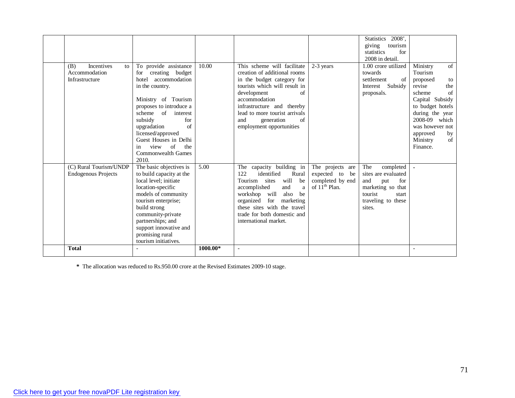| Incentives<br>(B)<br>to<br>Accommodation<br>Infrastructure | To provide assistance<br>creating budget<br>for<br>accommodation<br>hotel<br>in the country.<br>Ministry of Tourism<br>proposes to introduce a<br>of<br>scheme<br>interest<br>subsidy<br>for<br>$\sigma$ f<br>upgradation<br>licensed/approved<br>Guest Houses in Delhi<br>of<br>view<br>the<br>1n<br>Commonwealth Games<br>2010. | 10.00    | This scheme will facilitate<br>creation of additional rooms<br>in the budget category for<br>tourists which will result in<br>development<br>of<br>accommodation<br>infrastructure and thereby<br>lead to more tourist arrivals<br>$\sigma$ f<br>and<br>generation<br>employment opportunities | 2-3 years                                                                                    | $2008$ ,<br><b>Statistics</b><br>giving<br>tourism<br>statistics<br>for<br>2008 in detail.<br>1.00 crore utilized<br>towards<br>$\sigma$ f<br>settlement<br>Subsidy<br>Interest<br>proposals. | of<br>Ministry<br>Tourism<br>proposed<br>to<br>the<br>revise<br>$\sigma$ f<br>scheme<br>Capital Subsidy<br>to budget hotels<br>during the year<br>2008-09 which<br>was however not<br>approved<br>by<br>Ministry<br>of<br>Finance. |
|------------------------------------------------------------|-----------------------------------------------------------------------------------------------------------------------------------------------------------------------------------------------------------------------------------------------------------------------------------------------------------------------------------|----------|------------------------------------------------------------------------------------------------------------------------------------------------------------------------------------------------------------------------------------------------------------------------------------------------|----------------------------------------------------------------------------------------------|-----------------------------------------------------------------------------------------------------------------------------------------------------------------------------------------------|------------------------------------------------------------------------------------------------------------------------------------------------------------------------------------------------------------------------------------|
| (C) Rural Tourism/UNDP<br><b>Endogenous Projects</b>       | The basic objectives is<br>to build capacity at the<br>local level: initiate<br>location-specific<br>models of community<br>tourism enterprise;<br>build strong<br>community-private<br>partnerships; and<br>support innovative and<br>promising rural<br>tourism initiatives.                                                    | 5.00     | capacity building in<br>The<br>122<br>identified<br>Rural<br>will<br>be<br>Tourism sites<br>accomplished<br>and<br>a<br>will<br>also<br>be<br>workshop<br>organized<br>for<br>marketing<br>these sites with the travel<br>trade for both domestic and<br>international market.                 | The projects are<br>expected to<br>be<br>completed by end<br>of $1\bar{1}^{\text{th}}$ Plan. | The<br>completed<br>sites are evaluated<br>and<br>put<br>for<br>marketing so that<br>tourist<br>start<br>traveling to these<br>sites.                                                         |                                                                                                                                                                                                                                    |
| <b>Total</b>                                               |                                                                                                                                                                                                                                                                                                                                   | 1000.00* |                                                                                                                                                                                                                                                                                                |                                                                                              |                                                                                                                                                                                               |                                                                                                                                                                                                                                    |

**\*** The allocation was reduced to Rs.950.00 crore at the Revised Estimates 2009-10 stage.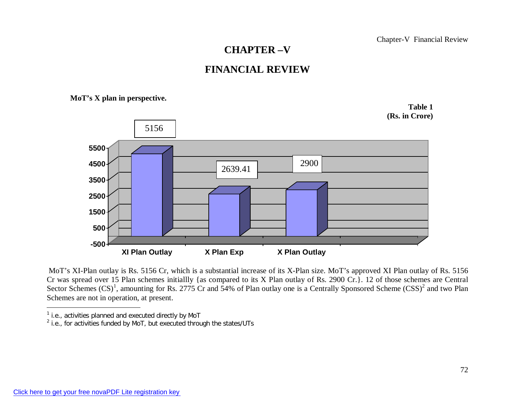## **CHAPTER –V**

## **FINANCIAL REVIEW**

**MoT's X plan in perspective.**



MoT's XI-Plan outlay is Rs. 5156 Cr, which is a substantial increase of its X-Plan size. MoT's approved XI Plan outlay of Rs. 5156 Cr was spread over 15 Plan schemes initiallly {as compared to its X Plan outlay of Rs. 2900 Cr.}. 12 of those schemes are Central Sector Schemes  $(CS)^1$ , amounting for Rs. 2775 Cr and 54% of Plan outlay one is a Centrally Sponsored Scheme  $(CSS)^2$  and two Plan Schemes are not in operation, at present.

<sup>&</sup>lt;sup>1</sup> i.e., activities planned and executed directly by MoT

 $2$  i.e., for activities funded by MoT, but executed through the states/UTs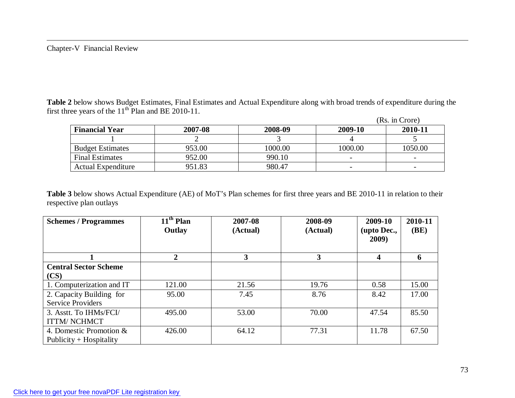**Table 2** below shows Budget Estimates, Final Estimates and Actual Expenditure along with broad trends of expenditure during the first three years of the  $11<sup>th</sup>$  Plan and BE 2010-11.

|                           |         |         |         | (Rs. in Crore) |
|---------------------------|---------|---------|---------|----------------|
| <b>Financial Year</b>     | 2007-08 | 2008-09 | 2009-10 | 2010-11        |
|                           |         |         |         |                |
| <b>Budget Estimates</b>   | 953.00  | 1000.00 | 1000.00 | 1050.00        |
| <b>Final Estimates</b>    | 952.00  | 990.10  |         |                |
| <b>Actual Expenditure</b> | 951.83  | 980.47  |         |                |

**Table 3** below shows Actual Expenditure (AE) of MoT's Plan schemes for first three years and BE 2010-11 in relation to their respective plan outlays

| <b>Schemes / Programmes</b>  | $11th$ Plan<br>Outlay | 2007-08<br>(Actual) | 2008-09<br>(Actual) | 2009-10<br>(upto Dec., | 2010-11<br>(BE) |
|------------------------------|-----------------------|---------------------|---------------------|------------------------|-----------------|
|                              |                       |                     |                     | 2009)                  |                 |
|                              | ŋ                     | 3                   | 3                   | 4                      | h               |
| <b>Central Sector Scheme</b> |                       |                     |                     |                        |                 |
| (CS)                         |                       |                     |                     |                        |                 |
| 1. Computerization and IT    | 121.00                | 21.56               | 19.76               | 0.58                   | 15.00           |
| 2. Capacity Building for     | 95.00                 | 7.45                | 8.76                | 8.42                   | 17.00           |
| <b>Service Providers</b>     |                       |                     |                     |                        |                 |
| 3. Asstt. To IHMs/FCI/       | 495.00                | 53.00               | 70.00               | 47.54                  | 85.50           |
| <b>ITTM/NCHMCT</b>           |                       |                     |                     |                        |                 |
| 4. Domestic Promotion &      | 426.00                | 64.12               | 77.31               | 11.78                  | 67.50           |
| Publicity + Hospitality      |                       |                     |                     |                        |                 |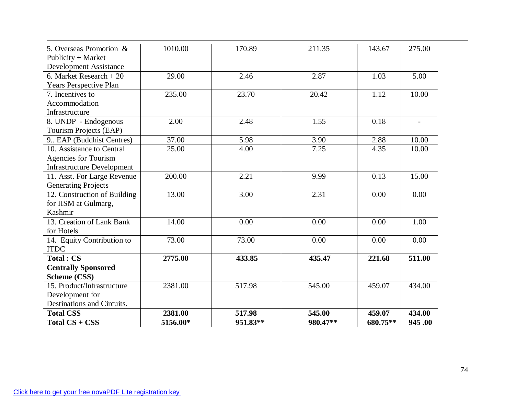| 5. Overseas Promotion &           | 1010.00  | 170.89   | 211.35   | 143.67   | 275.00 |
|-----------------------------------|----------|----------|----------|----------|--------|
| Publicity + Market                |          |          |          |          |        |
| <b>Development Assistance</b>     |          |          |          |          |        |
| 6. Market Research $+20$          | 29.00    | 2.46     | 2.87     | 1.03     | 5.00   |
| Years Perspective Plan            |          |          |          |          |        |
| 7. Incentives to                  | 235.00   | 23.70    | 20.42    | 1.12     | 10.00  |
| Accommodation                     |          |          |          |          |        |
| Infrastructure                    |          |          |          |          |        |
| $8.$ UNDP - Endogenous            | 2.00     | 2.48     | 1.55     | 0.18     |        |
| Tourism Projects (EAP)            |          |          |          |          |        |
| 9. EAP (Buddhist Centres)         | 37.00    | 5.98     | 3.90     | 2.88     | 10.00  |
| 10. Assistance to Central         | 25.00    | 4.00     | 7.25     | 4.35     | 10.00  |
| Agencies for Tourism              |          |          |          |          |        |
| <b>Infrastructure Development</b> |          |          |          |          |        |
| 11. Asst. For Large Revenue       | 200.00   | 2.21     | 9.99     | 0.13     | 15.00  |
| <b>Generating Projects</b>        |          |          |          |          |        |
| 12. Construction of Building      | 13.00    | 3.00     | 2.31     | 0.00     | 0.00   |
| for IISM at Gulmarg,              |          |          |          |          |        |
| Kashmir                           |          |          |          |          |        |
| 13. Creation of Lank Bank         | 14.00    | 0.00     | 0.00     | 0.00     | 1.00   |
| for Hotels                        |          |          |          |          |        |
| 14. Equity Contribution to        | 73.00    | 73.00    | 0.00     | 0.00     | 0.00   |
| <b>ITDC</b>                       |          |          |          |          |        |
| <b>Total: CS</b>                  | 2775.00  | 433.85   | 435.47   | 221.68   | 511.00 |
| <b>Centrally Sponsored</b>        |          |          |          |          |        |
| Scheme (CSS)                      |          |          |          |          |        |
| 15. Product/Infrastructure        | 2381.00  | 517.98   | 545.00   | 459.07   | 434.00 |
| Development for                   |          |          |          |          |        |
| Destinations and Circuits.        |          |          |          |          |        |
| <b>Total CSS</b>                  | 2381.00  | 517.98   | 545.00   | 459.07   | 434.00 |
| Total CS + CSS                    | 5156.00* | 951.83** | 980.47** | 680.75** | 945.00 |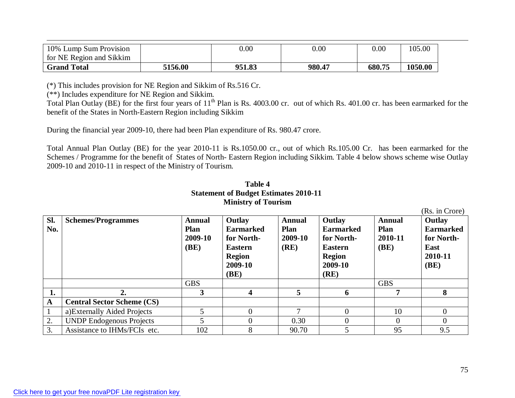| 10% Lump Sum Provision   |         | 0.00   | $0.00\,$ | 0.00   | 105.00  |
|--------------------------|---------|--------|----------|--------|---------|
| for NE Region and Sikkim |         |        |          |        |         |
| <b>Grand Total</b>       | 5156.00 | 951.83 | 980.47   | 680.75 | 1050.00 |

(\*) This includes provision for NE Region and Sikkim of Rs.516 Cr.

(\*\*) Includes expenditure for NE Region and Sikkim.

Total Plan Outlay (BE) for the first four years of 11<sup>th</sup> Plan is Rs. 4003.00 cr. out of which Rs. 401.00 cr. has been earmarked for the benefit of the States in North-Eastern Region including Sikkim

During the financial year 2009-10, there had been Plan expenditure of Rs. 980.47 crore.

Total Annual Plan Outlay (BE) for the year 2010-11 is Rs.1050.00 cr., out of which Rs.105.00 Cr. has been earmarked for the Schemes / Programme for the benefit of States of North- Eastern Region including Sikkim. Table 4 below shows scheme wise Outlay 2009-10 and 2010-11 in respect of the Ministry of Tourism.

|            | Statement of Buuget Estimates 2010-11<br><b>Ministry of Tourism</b> |                                                        |                                                                                        |                                                 |                                                                                        |                                                 |                                                                                       |  |  |  |  |
|------------|---------------------------------------------------------------------|--------------------------------------------------------|----------------------------------------------------------------------------------------|-------------------------------------------------|----------------------------------------------------------------------------------------|-------------------------------------------------|---------------------------------------------------------------------------------------|--|--|--|--|
| Sl.<br>No. | <b>Schemes/Programmes</b>                                           | <b>Annual</b><br><b>Plan</b><br>2009-10<br><b>(BE)</b> | Outlay<br><b>Earmarked</b><br>for North-<br><b>Eastern</b><br><b>Region</b><br>2009-10 | <b>Annual</b><br><b>Plan</b><br>2009-10<br>(RE) | Outlay<br><b>Earmarked</b><br>for North-<br><b>Eastern</b><br><b>Region</b><br>2009-10 | <b>Annual</b><br><b>Plan</b><br>2010-11<br>(BE) | (Rs. in Crore)<br>Outlay<br><b>Earmarked</b><br>for North-<br>East<br>2010-11<br>(BE) |  |  |  |  |
|            |                                                                     |                                                        | (BE)                                                                                   |                                                 | (RE)                                                                                   |                                                 |                                                                                       |  |  |  |  |
|            |                                                                     | <b>GBS</b>                                             |                                                                                        |                                                 |                                                                                        | <b>GBS</b>                                      |                                                                                       |  |  |  |  |
| 1.         | 2.                                                                  | 3                                                      | 4                                                                                      | $\overline{5}$                                  | 6                                                                                      | 7                                               | 8                                                                                     |  |  |  |  |
| ${\bf A}$  | <b>Central Sector Scheme (CS)</b>                                   |                                                        |                                                                                        |                                                 |                                                                                        |                                                 |                                                                                       |  |  |  |  |
|            | a) Externally Aided Projects                                        |                                                        | $\theta$                                                                               | $\mathbf{r}$                                    | $\Omega$                                                                               | 10                                              | $\Omega$                                                                              |  |  |  |  |
| 2.         | <b>UNDP Endogenous Projects</b>                                     | 5                                                      | $\Omega$                                                                               | 0.30                                            | 0                                                                                      | $\overline{0}$                                  | $\Omega$                                                                              |  |  |  |  |
| 3.         | Assistance to IHMs/FCIs etc.                                        | 102                                                    | 8                                                                                      | 90.70                                           |                                                                                        | 95                                              | 9.5                                                                                   |  |  |  |  |

# **Table 4 Statement of Budget Estimates 2010-11**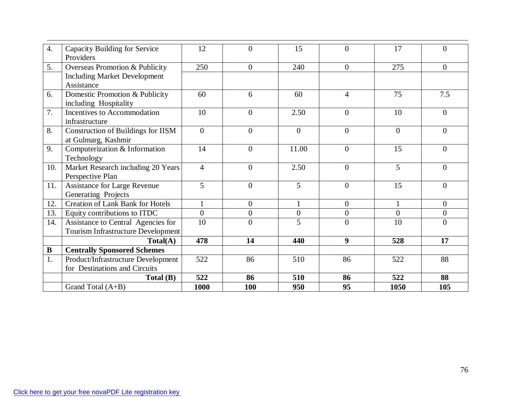| $\overline{4}$ . | Capacity Building for Service           | 12             | $\Omega$         | 15             | $\Omega$       | 17             | 0              |
|------------------|-----------------------------------------|----------------|------------------|----------------|----------------|----------------|----------------|
|                  | Providers                               |                |                  |                |                |                |                |
| 5.               | Overseas Promotion & Publicity          | 250            | $\overline{0}$   | 240            | $\theta$       | 275            | $\Omega$       |
|                  | <b>Including Market Development</b>     |                |                  |                |                |                |                |
|                  | Assistance                              |                |                  |                |                |                |                |
| 6.               | Domestic Promotion & Publicity          | 60             | 6                | 60             | 4              | 75             | 7.5            |
|                  | including Hospitality                   |                |                  |                |                |                |                |
| $\overline{7}$ . | Incentives to Accommodation             | 10             | $\overline{0}$   | 2.50           | $\overline{0}$ | 10             | $\overline{0}$ |
|                  | infrastructure                          |                |                  |                |                |                |                |
| 8.               | Construction of Buildings for IISM      | $\theta$       | $\overline{0}$   | $\theta$       | $\theta$       | $\Omega$       | $\Omega$       |
|                  | at Gulmarg, Kashmir                     |                |                  |                |                |                |                |
| 9.               | Computerization & Information           | 14             | $\overline{0}$   | 11.00          | $\overline{0}$ | 15             | $\Omega$       |
|                  | Technology                              |                |                  |                |                |                |                |
| 10.              | Market Research including 20 Years      | $\overline{4}$ | $\overline{0}$   | 2.50           | $\overline{0}$ | 5              | $\Omega$       |
|                  | Perspective Plan                        |                |                  |                |                |                |                |
| 11.              | Assistance for Large Revenue            | 5              | $\overline{0}$   | 5              | $\theta$       | 15             | $\Omega$       |
|                  | Generating Projects                     |                |                  |                |                |                |                |
| 12.              | <b>Creation of Lank Bank for Hotels</b> |                | $\theta$         | 1              | $\overline{0}$ | $\mathbf{1}$   | $\overline{0}$ |
| 13.              | Equity contributions to ITDC            | $\theta$       | $\boldsymbol{0}$ | $\overline{0}$ | $\overline{0}$ | $\overline{0}$ | $\overline{0}$ |
| 14.              | Assistance to Central Agencies for      | 10             | $\overline{0}$   | 5              | $\Omega$       | 10             | $\overline{0}$ |
|                  | Tourism Infrastructure Development      |                |                  |                |                |                |                |
|                  | Total(A)                                | 478            | 14               | 440            | 9              | 528            | 17             |
| $\bf{B}$         | <b>Centrally Sponsored Schemes</b>      |                |                  |                |                |                |                |
| 1.               | Product/Infrastructure Development      | 522            | 86               | 510            | 86             | 522            | 88             |
|                  | for Destinations and Circuits           |                |                  |                |                |                |                |
|                  | Total(B)                                | 522            | 86               | 510            | 86             | 522            | 88             |
|                  | Grand Total (A+B)                       | 1000           | 100              | 950            | 95             | 1050           | 105            |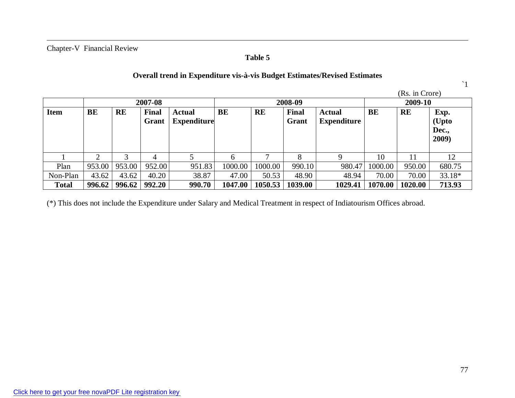# **Table 5**

### **Overall trend in Expenditure vis-à-vis Budget Estimates/Revised Estimates**

`1

|              |         |           |              |                    |         |           |         |                    |         | (Rs. in Crore) |        |
|--------------|---------|-----------|--------------|--------------------|---------|-----------|---------|--------------------|---------|----------------|--------|
|              | 2007-08 |           |              |                    | 2008-09 |           |         |                    | 2009-10 |                |        |
| <b>Item</b>  | BE      | <b>RE</b> | <b>Final</b> | <b>Actual</b>      | BE      | <b>RE</b> | Final   | <b>Actual</b>      | BE      | <b>RE</b>      | Exp.   |
|              |         |           | Grant        | <b>Expenditure</b> |         |           | Grant   | <b>Expenditure</b> |         |                | (Upto  |
|              |         |           |              |                    |         |           |         |                    |         |                | Dec.,  |
|              |         |           |              |                    |         |           |         |                    |         |                | 2009)  |
|              |         |           |              |                    |         |           |         |                    |         |                |        |
|              | 2       |           |              |                    |         |           | 8       | Q                  | 10      |                | 12     |
| Plan         | 953.00  | 953.00    | 952.00       | 951.83             | 1000.00 | 1000.00   | 990.10  | 980.47             | 1000.00 | 950.00         | 680.75 |
| Non-Plan     | 43.62   | 43.62     | 40.20        | 38.87              | 47.00   | 50.53     | 48.90   | 48.94              | 70.00   | 70.00          | 33.18* |
| <b>Total</b> | 996.62  | 996.62    | 992.20       | 990.70             | 1047.00 | 1050.53   | 1039.00 | 1029.41            | 1070.00 | 1020.00        | 713.93 |

(\*) This does not include the Expenditure under Salary and Medical Treatment in respect of Indiatourism Offices abroad.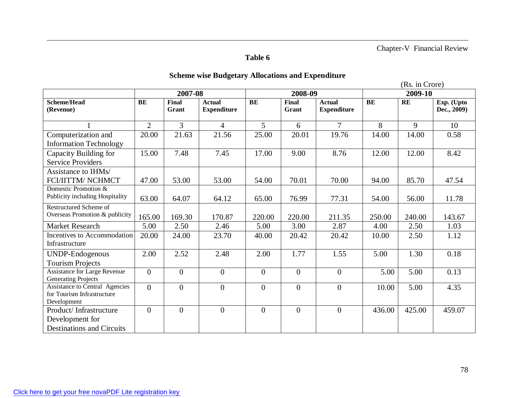# **Table 6**

# **Scheme wise Budgetary Allocations and Expenditure**

(Rs. in Crore)

|                                                                     |                | 2007-08               |                                     | 2008-09        |                |                                     | 2009-10 |           |                           |
|---------------------------------------------------------------------|----------------|-----------------------|-------------------------------------|----------------|----------------|-------------------------------------|---------|-----------|---------------------------|
| <b>Scheme/Head</b><br>(Revenue)                                     | BE             | <b>Final</b><br>Grant | <b>Actual</b><br><b>Expenditure</b> | BE             | Final<br>Grant | <b>Actual</b><br><b>Expenditure</b> | BE      | <b>RE</b> | Exp. (Upto<br>Dec., 2009) |
|                                                                     | $\overline{2}$ | 3                     | $\overline{4}$                      | 5              | 6              | $\overline{7}$                      | 8       | 9         | 10                        |
| Computerization and                                                 | 20.00          | 21.63                 | 21.56                               | 25.00          | 20.01          | 19.76                               | 14.00   | 14.00     | 0.58                      |
| <b>Information Technology</b>                                       |                |                       |                                     |                |                |                                     |         |           |                           |
| Capacity Building for                                               | 15.00          | 7.48                  | 7.45                                | 17.00          | 9.00           | 8.76                                | 12.00   | 12.00     | 8.42                      |
| <b>Service Providers</b>                                            |                |                       |                                     |                |                |                                     |         |           |                           |
| Assistance to IHMs/                                                 |                |                       |                                     |                |                |                                     |         |           |                           |
| FCI/IITTM/NCHMCT                                                    | 47.00          | 53.00                 | 53.00                               | 54.00          | 70.01          | 70.00                               | 94.00   | 85.70     | 47.54                     |
| Domestic Promotion &                                                |                |                       |                                     |                |                |                                     |         |           |                           |
| Publicity including Hospitality                                     | 63.00          | 64.07                 | 64.12                               | 65.00          | 76.99          | 77.31                               | 54.00   | 56.00     | 11.78                     |
| Restructured Scheme of                                              |                |                       |                                     |                |                |                                     |         |           |                           |
| Overseas Promotion & publicity                                      | 165.00         | 169.30                | 170.87                              | 220.00         | 220.00         | 211.35                              | 250.00  | 240.00    | 143.67                    |
| Market Research                                                     | 5.00           | 2.50                  | 2.46                                | 5.00           | 3.00           | 2.87                                | 4.00    | 2.50      | 1.03                      |
| Incentives to Accommodation                                         | 20.00          | 24.00                 | 23.70                               | 40.00          | 20.42          | 20.42                               | 10.00   | 2.50      | 1.12                      |
| Infrastructure                                                      |                |                       |                                     |                |                |                                     |         |           |                           |
| UNDP-Endogenous                                                     | 2.00           | 2.52                  | 2.48                                | 2.00           | 1.77           | 1.55                                | 5.00    | 1.30      | 0.18                      |
| <b>Tourism Projects</b>                                             |                |                       |                                     |                |                |                                     |         |           |                           |
| <b>Assistance for Large Revenue</b>                                 | $\overline{0}$ | $\Omega$              | $\overline{0}$                      | $\overline{0}$ | $\overline{0}$ | $\overline{0}$                      | 5.00    | 5.00      | 0.13                      |
| <b>Generating Projects</b>                                          |                |                       |                                     |                |                |                                     |         |           |                           |
| <b>Assistance to Central Agencies</b><br>for Tourism Infrastructure | $\overline{0}$ | $\overline{0}$        | $\overline{0}$                      | $\overline{0}$ | $\overline{0}$ | $\overline{0}$                      | 10.00   | 5.00      | 4.35                      |
| Development                                                         |                |                       |                                     |                |                |                                     |         |           |                           |
| Product/Infrastructure                                              | $\overline{0}$ | $\overline{0}$        | $\mathbf{0}$                        | $\mathbf{0}$   | $\mathbf{0}$   | $\overline{0}$                      | 436.00  | 425.00    | 459.07                    |
| Development for                                                     |                |                       |                                     |                |                |                                     |         |           |                           |
| <b>Destinations and Circuits</b>                                    |                |                       |                                     |                |                |                                     |         |           |                           |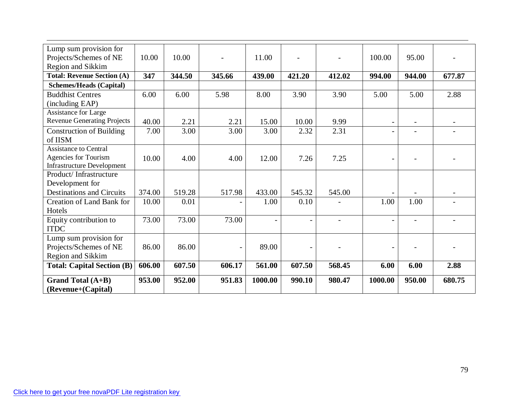| Lump sum provision for             |        |        |        |                          |                          |        |                          |        |        |
|------------------------------------|--------|--------|--------|--------------------------|--------------------------|--------|--------------------------|--------|--------|
| Projects/Schemes of NE             | 10.00  | 10.00  |        | 11.00                    |                          |        | 100.00                   | 95.00  |        |
| Region and Sikkim                  |        |        |        |                          |                          |        |                          |        |        |
| <b>Total: Revenue Section (A)</b>  | 347    | 344.50 | 345.66 | 439.00                   | 421.20                   | 412.02 | 994.00                   | 944.00 | 677.87 |
| <b>Schemes/Heads (Capital)</b>     |        |        |        |                          |                          |        |                          |        |        |
| <b>Buddhist Centres</b>            | 6.00   | 6.00   | 5.98   | 8.00                     | 3.90                     | 3.90   | 5.00                     | 5.00   | 2.88   |
| (including EAP)                    |        |        |        |                          |                          |        |                          |        |        |
| Assistance for Large               |        |        |        |                          |                          |        |                          |        |        |
| <b>Revenue Generating Projects</b> | 40.00  | 2.21   | 2.21   | 15.00                    | 10.00                    | 9.99   | $\overline{\phantom{a}}$ |        |        |
| <b>Construction of Building</b>    | 7.00   | 3.00   | 3.00   | 3.00                     | 2.32                     | 2.31   | $\overline{\phantom{a}}$ |        |        |
| of IISM                            |        |        |        |                          |                          |        |                          |        |        |
| <b>Assistance to Central</b>       |        |        |        |                          |                          |        |                          |        |        |
| Agencies for Tourism               | 10.00  | 4.00   | 4.00   | 12.00                    | 7.26                     | 7.25   | $\overline{a}$           |        |        |
| <b>Infrastructure Development</b>  |        |        |        |                          |                          |        |                          |        |        |
| Product/Infrastructure             |        |        |        |                          |                          |        |                          |        |        |
| Development for                    |        |        |        |                          |                          |        |                          |        |        |
| <b>Destinations and Circuits</b>   | 374.00 | 519.28 | 517.98 | 433.00                   | 545.32                   | 545.00 | $\overline{\phantom{a}}$ |        |        |
| <b>Creation of Land Bank for</b>   | 10.00  | 0.01   |        | 1.00                     | 0.10                     |        | 1.00                     | 1.00   |        |
| Hotels                             |        |        |        |                          |                          |        |                          |        |        |
| Equity contribution to             | 73.00  | 73.00  | 73.00  | $\overline{\phantom{a}}$ | $\overline{\phantom{a}}$ |        | $\overline{\phantom{0}}$ |        |        |
| <b>ITDC</b>                        |        |        |        |                          |                          |        |                          |        |        |
| Lump sum provision for             |        |        |        |                          |                          |        |                          |        |        |
| Projects/Schemes of NE             | 86.00  | 86.00  |        | 89.00                    |                          |        | $\overline{\phantom{0}}$ |        |        |
| Region and Sikkim                  |        |        |        |                          |                          |        |                          |        |        |
| <b>Total: Capital Section (B)</b>  | 606.00 | 607.50 | 606.17 | 561.00                   | 607.50                   | 568.45 | 6.00                     | 6.00   | 2.88   |
| <b>Grand Total (A+B)</b>           | 953.00 | 952.00 | 951.83 | 1000.00                  | 990.10                   | 980.47 | 1000.00                  | 950.00 | 680.75 |
| (Revenue+(Capital)                 |        |        |        |                          |                          |        |                          |        |        |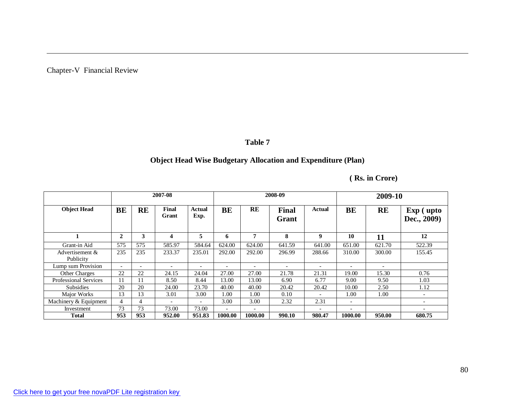### **Table 7**

# **Object Head Wise Budgetary Allocation and Expenditure (Plan)**

|  | (Rs. in Crore) |
|--|----------------|
|  |                |

|                              | 2007-08                  |                          |                |                          | 2008-09                  |                          |                       |                          | 2009-10                  |           |                                 |
|------------------------------|--------------------------|--------------------------|----------------|--------------------------|--------------------------|--------------------------|-----------------------|--------------------------|--------------------------|-----------|---------------------------------|
| <b>Object Head</b>           | BE                       | <b>RE</b>                | Final<br>Grant | Actual<br>Exp.           | BE                       | RE                       | <b>Final</b><br>Grant | Actual                   | BE                       | <b>RE</b> | <b>Exp</b> (upto<br>Dec., 2009) |
|                              | $\mathbf{2}$             | 3                        | 4              | 5                        | 6                        | 7                        | 8                     | 9                        | 10                       | 11        | 12                              |
| Grant-in Aid                 | 575                      | 575                      | 585.97         | 584.64                   | 624.00                   | 624.00                   | 641.59                | 641.00                   | 651.00                   | 621.70    | 522.39                          |
| Advertisement &<br>Publicity | 235                      | 235                      | 233.37         | 235.01                   | 292.00                   | 292.00                   | 296.99                | 288.66                   | 310.00                   | 300.00    | 155.45                          |
| Lump sum Provision           | $\overline{\phantom{0}}$ | $\overline{\phantom{a}}$ |                | $\overline{\phantom{0}}$ |                          | $\overline{\phantom{0}}$ |                       |                          | $\overline{\phantom{0}}$ |           |                                 |
| <b>Other Charges</b>         | 22                       | 22                       | 24.15          | 24.04                    | 27.00                    | 27.00                    | 21.78                 | 21.31                    | 19.00                    | 15.30     | 0.76                            |
| <b>Professional Services</b> | 11                       | 11                       | 8.50           | 8.44                     | 13.00                    | 13.00                    | 6.90                  | 6.77                     | 9.00                     | 9.50      | 1.03                            |
| <b>Subsidies</b>             | 20                       | 20                       | 24.00          | 23.70                    | 40.00                    | 40.00                    | 20.42                 | 20.42                    | 10.00                    | 2.50      | 1.12                            |
| Major Works                  | 13                       | 13                       | 3.01           | 3.00                     | 1.00                     | 1.00                     | 0.10                  | $\overline{\phantom{a}}$ | 1.00                     | 1.00      | $\overline{\phantom{a}}$        |
| Machinery & Equipment        | 4                        | $\overline{4}$           |                | $\overline{\phantom{a}}$ | 3.00                     | 3.00                     | 2.32                  | 2.31                     | $\overline{\phantom{0}}$ |           | $\overline{\phantom{0}}$        |
| Investment                   | 73                       | 73                       | 73.00          | 73.00                    | $\overline{\phantom{0}}$ | $\overline{\phantom{0}}$ |                       |                          | $\overline{\phantom{0}}$ |           | $\qquad \qquad -$               |
| Total                        | 953                      | 953                      | 952.00         | 951.83                   | 1000.00                  | 1000.00                  | 990.10                | 980.47                   | 1000.00                  | 950.00    | 680.75                          |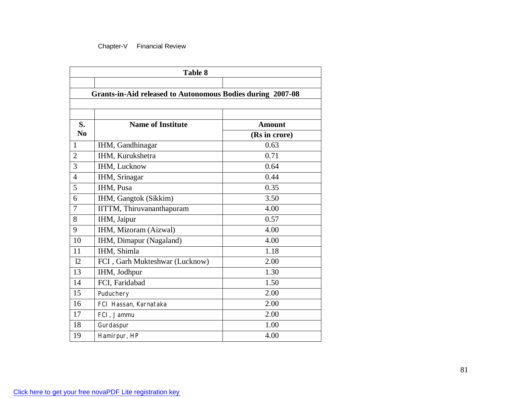| <b>Table 8</b>                                             |                                |                                |  |  |  |  |  |  |  |
|------------------------------------------------------------|--------------------------------|--------------------------------|--|--|--|--|--|--|--|
| Grants-in-Aid released to Autonomous Bodies during 2007-08 |                                |                                |  |  |  |  |  |  |  |
| S.<br>N <sub>0</sub>                                       | <b>Name of Institute</b>       | <b>Amount</b><br>(Rs in crore) |  |  |  |  |  |  |  |
| 1                                                          | IHM, Gandhinagar               | 0.63                           |  |  |  |  |  |  |  |
| $\overline{2}$                                             | IHM, Kurukshetra               | 0.71                           |  |  |  |  |  |  |  |
| 3                                                          | IHM, Lucknow                   | 0.64                           |  |  |  |  |  |  |  |
| $\overline{4}$                                             | IHM, Srinagar                  | 0.44                           |  |  |  |  |  |  |  |
| 5                                                          | IHM, Pusa                      | 0.35                           |  |  |  |  |  |  |  |
| 6                                                          | IHM, Gangtok (Sikkim)          | 3.50                           |  |  |  |  |  |  |  |
| 7                                                          | IITTM, Thiruvananthapuram      | 4.00                           |  |  |  |  |  |  |  |
| 8                                                          | IHM, Jaipur                    | 0.57                           |  |  |  |  |  |  |  |
| 9                                                          | IHM, Mizoram (Aizwal)          | 4.00                           |  |  |  |  |  |  |  |
| 10                                                         | IHM, Dimapur (Nagaland)        | 4.00                           |  |  |  |  |  |  |  |
| 11                                                         | IHM, Shimla                    | 1.18                           |  |  |  |  |  |  |  |
| 12                                                         | FCI, Garh Mukteshwar (Lucknow) | 2.00                           |  |  |  |  |  |  |  |
| 13                                                         | IHM, Jodhpur                   | 1.30                           |  |  |  |  |  |  |  |
| 14                                                         | FCI, Faridabad                 | 1.50                           |  |  |  |  |  |  |  |
| 15                                                         | Puduchery                      | 2.00                           |  |  |  |  |  |  |  |
| 16                                                         | FCI Hassan, Karnataka          | 2.00                           |  |  |  |  |  |  |  |
| 17                                                         | FCI, Jammu                     | 2.00                           |  |  |  |  |  |  |  |
| 18                                                         | Gurdaspur                      | 1.00                           |  |  |  |  |  |  |  |
| 19                                                         | Hamirpur, HP                   | 4.00                           |  |  |  |  |  |  |  |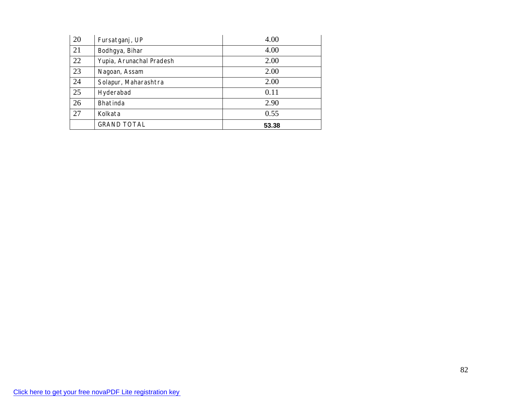| 20 | Fursatganj, UP           | 4.00  |
|----|--------------------------|-------|
| 21 | Bodhgya, Bihar           | 4.00  |
| 22 | Yupia, Arunachal Pradesh | 2.00  |
| 23 | Nagoan, Assam            | 2.00  |
| 24 | Solapur, Maharashtra     | 2.00  |
| 25 | Hyderabad                | 0.11  |
| 26 | Bhatinda                 | 2.90  |
| 27 | Kolkata                  | 0.55  |
|    | <b>GRAND TOTAL</b>       | 53.38 |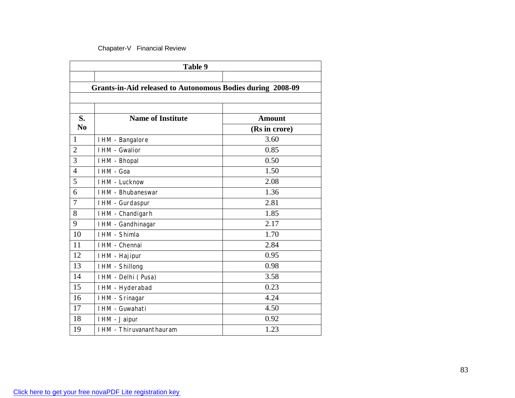| Table 9                                                    |                          |                                |  |  |  |  |  |
|------------------------------------------------------------|--------------------------|--------------------------------|--|--|--|--|--|
| Grants-in-Aid released to Autonomous Bodies during 2008-09 |                          |                                |  |  |  |  |  |
| S.<br>N <sub>0</sub>                                       | <b>Name of Institute</b> | <b>Amount</b><br>(Rs in crore) |  |  |  |  |  |
| 1                                                          | I HM - Bangalore         | 3.60                           |  |  |  |  |  |
| $\overline{2}$                                             | <b>IHM - Gwalior</b>     | 0.85                           |  |  |  |  |  |
| 3                                                          | I HM - Bhopal            | 0.50                           |  |  |  |  |  |
| $\overline{4}$                                             | I HM - Goa               | 1.50                           |  |  |  |  |  |
| 5                                                          | I HM - Lucknow           | 2.08                           |  |  |  |  |  |
| 6                                                          | I HM - Bhubaneswar       | 1.36                           |  |  |  |  |  |
| 7                                                          | I HM - Gurdaspur         | 2.81                           |  |  |  |  |  |
| 8                                                          | I HM - Chandigarh        | 1.85                           |  |  |  |  |  |
| 9                                                          | I HM - Gandhinagar       | 2.17                           |  |  |  |  |  |
| 10                                                         | I HM - Shimla            | 1.70                           |  |  |  |  |  |
| 11                                                         | I HM - Chennai           | 2.84                           |  |  |  |  |  |
| 12                                                         | I HM - Hajipur           | 0.95                           |  |  |  |  |  |
| 13                                                         | I HM - Shillong          | 0.98                           |  |  |  |  |  |
| 14                                                         | I HM - Delhi (Pusa)      | 3.58                           |  |  |  |  |  |
| 15                                                         | I HM - Hyderabad         | 0.23                           |  |  |  |  |  |
| 16                                                         | IHM - Srinagar           | 4.24                           |  |  |  |  |  |
| 17                                                         | I HM - Guwahati          | 4.50                           |  |  |  |  |  |
| 18                                                         | I HM - Jaipur            | 0.92                           |  |  |  |  |  |
| 19                                                         | I HM - Thiruvananthauram | 1.23                           |  |  |  |  |  |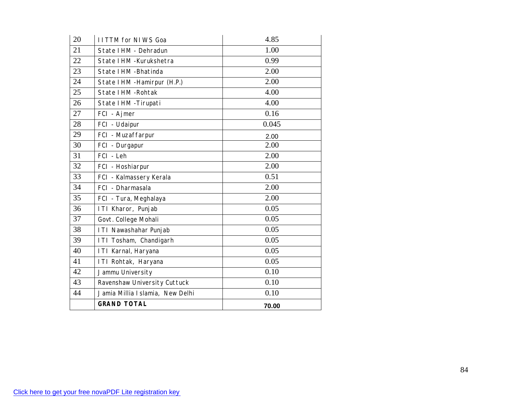| 20 | <b>IITTM for NIWS Goa</b>        | 4.85  |  |  |  |
|----|----------------------------------|-------|--|--|--|
| 21 | State I HM - Dehradun            | 1.00  |  |  |  |
| 22 | State I HM - Kurukshetra         | 0.99  |  |  |  |
| 23 | State I HM - Bhatinda            | 2.00  |  |  |  |
| 24 | State I HM - Hamirpur (H.P.)     | 2.00  |  |  |  |
| 25 | State I HM - Rohtak              | 4.00  |  |  |  |
| 26 | State IHM - Tirupati             | 4.00  |  |  |  |
| 27 | FCI - Ajmer                      | 0.16  |  |  |  |
| 28 | FCI - Udaipur                    | 0.045 |  |  |  |
| 29 | FCI - Muzaffarpur                | 2.00  |  |  |  |
| 30 | FCI - Durgapur                   | 2.00  |  |  |  |
| 31 | FCI - Leh                        | 2.00  |  |  |  |
| 32 | FCI - Hoshiarpur                 | 2.00  |  |  |  |
| 33 | FCI - Kalmassery Kerala          | 0.51  |  |  |  |
| 34 | FCI - Dharmasala                 | 2.00  |  |  |  |
| 35 | FCI - Tura, Meghalaya            | 2.00  |  |  |  |
| 36 | ITI Kharor, Punjab               | 0.05  |  |  |  |
| 37 | Govt. College Mohali             | 0.05  |  |  |  |
| 38 | ITI Nawashahar Punjab            | 0.05  |  |  |  |
| 39 | ITI Tosham, Chandigarh           | 0.05  |  |  |  |
| 40 | ITI Karnal, Haryana              | 0.05  |  |  |  |
| 41 | ITI Rohtak, Haryana              | 0.05  |  |  |  |
| 42 | Jammu University                 | 0.10  |  |  |  |
| 43 | Ravenshaw University Cuttuck     | 0.10  |  |  |  |
| 44 | Jamia Millia I slamia, New Delhi | 0.10  |  |  |  |
|    | <b>GRAND TOTAL</b>               | 70.00 |  |  |  |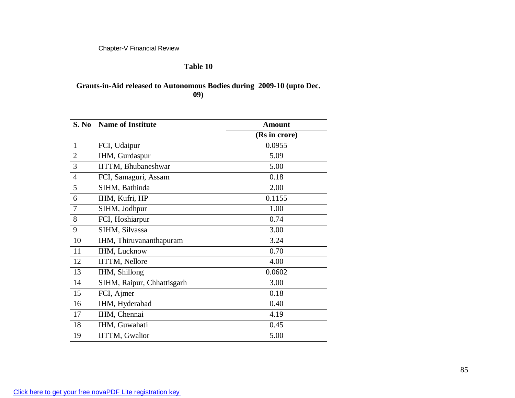#### **Table 10**

## **Grants-in-Aid released to Autonomous Bodies during 2009-10 (upto Dec. 09)**

| S. No          | <b>Name of Institute</b>   | <b>Amount</b> |
|----------------|----------------------------|---------------|
|                |                            | (Rs in crore) |
| $\mathbf{1}$   | FCI, Udaipur               | 0.0955        |
| $\overline{2}$ | IHM, Gurdaspur             | 5.09          |
| 3              | <b>IITTM, Bhubaneshwar</b> | 5.00          |
| $\overline{4}$ | FCI, Samaguri, Assam       | 0.18          |
| 5              | SIHM, Bathinda             | 2.00          |
| 6              | IHM, Kufri, HP             | 0.1155        |
| 7              | SIHM, Jodhpur              | 1.00          |
| 8              | FCI, Hoshiarpur            | 0.74          |
| 9              | SIHM, Silvassa             | 3.00          |
| 10             | IHM, Thiruvananthapuram    | 3.24          |
| 11             | IHM, Lucknow               | 0.70          |
| 12             | IITTM, Nellore             | 4.00          |
| 13             | IHM, Shillong              | 0.0602        |
| 14             | SIHM, Raipur, Chhattisgarh | 3.00          |
| 15             | FCI, Ajmer                 | 0.18          |
| 16             | IHM, Hyderabad             | 0.40          |
| 17             | IHM, Chennai               | 4.19          |
| 18             | IHM, Guwahati              | 0.45          |
| 19             | <b>IITTM, Gwalior</b>      | 5.00          |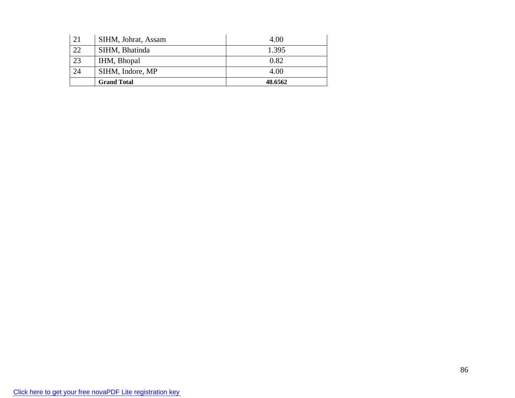| 21 | SIHM, Johrat, Assam | 4.00    |
|----|---------------------|---------|
| 22 | SIHM, Bhatinda      | 1.395   |
| 23 | IHM, Bhopal         | 0.82    |
| 24 | SIHM, Indore, MP    | 4.00    |
|    | <b>Grand Total</b>  | 48.6562 |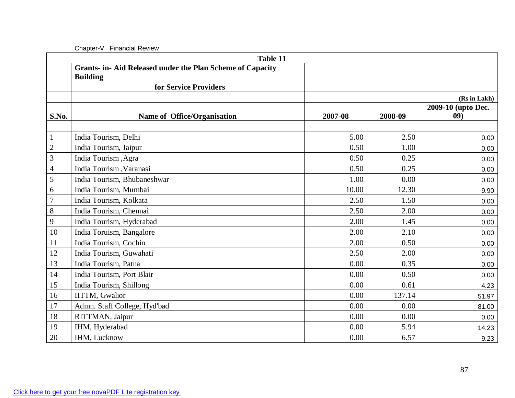|                | Table 11                                                                      |         |         |                           |  |  |  |  |
|----------------|-------------------------------------------------------------------------------|---------|---------|---------------------------|--|--|--|--|
|                | Grants- in- Aid Released under the Plan Scheme of Capacity<br><b>Building</b> |         |         |                           |  |  |  |  |
|                | for Service Providers                                                         |         |         |                           |  |  |  |  |
|                |                                                                               |         |         | (Rs in Lakh)              |  |  |  |  |
| S.No.          | Name of Office/Organisation                                                   | 2007-08 | 2008-09 | 2009-10 (upto Dec.<br>09) |  |  |  |  |
|                |                                                                               |         |         |                           |  |  |  |  |
|                | India Tourism, Delhi                                                          | 5.00    | 2.50    | 0.00                      |  |  |  |  |
| $\overline{2}$ | India Tourism, Jaipur                                                         | 0.50    | 1.00    | 0.00                      |  |  |  |  |
| 3              | India Tourism, Agra                                                           | 0.50    | 0.25    | 0.00                      |  |  |  |  |
| 4              | India Tourism, Varanasi                                                       | 0.50    | 0.25    | 0.00                      |  |  |  |  |
| 5              | India Tourism, Bhubaneshwar                                                   | 1.00    | 0.00    | 0.00                      |  |  |  |  |
| 6              | India Tourism, Mumbai                                                         | 10.00   | 12.30   | 9.90                      |  |  |  |  |
| 7              | India Tourism, Kolkata                                                        | 2.50    | 1.50    | 0.00                      |  |  |  |  |
| 8              | India Tourism, Chennai                                                        | 2.50    | 2.00    | 0.00                      |  |  |  |  |
| 9              | India Tourism, Hyderabad                                                      | 2.00    | 1.45    | 0.00                      |  |  |  |  |
| 10             | India Toruism, Bangalore                                                      | 2.00    | 2.10    | 0.00                      |  |  |  |  |
| 11             | India Tourism, Cochin                                                         | 2.00    | 0.50    | 0.00                      |  |  |  |  |
| 12             | India Tourism, Guwahati                                                       | 2.50    | 2.00    | 0.00                      |  |  |  |  |
| 13             | India Tourism, Patna                                                          | 0.00    | 0.35    | 0.00                      |  |  |  |  |
| 14             | India Tourism, Port Blair                                                     | 0.00    | 0.50    | 0.00                      |  |  |  |  |
| 15             | India Tourism, Shillong                                                       | 0.00    | 0.61    | 4.23                      |  |  |  |  |
| 16             | <b>IITTM, Gwalior</b>                                                         | 0.00    | 137.14  | 51.97                     |  |  |  |  |
| 17             | Admn. Staff College, Hyd'bad                                                  | 0.00    | 0.00    | 81.00                     |  |  |  |  |
| 18             | RITTMAN, Jaipur                                                               | 0.00    | 0.00    | 0.00                      |  |  |  |  |
| 19             | IHM, Hyderabad                                                                | 0.00    | 5.94    | 14.23                     |  |  |  |  |
| 20             | IHM, Lucknow                                                                  | 0.00    | 6.57    | 9.23                      |  |  |  |  |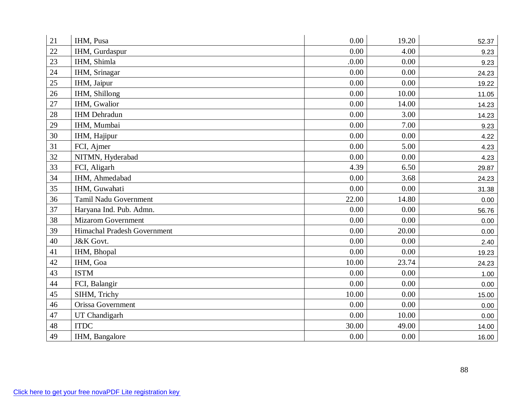| 21 | IHM, Pusa                    | 0.00     | 19.20 | 52.37 |
|----|------------------------------|----------|-------|-------|
| 22 | IHM, Gurdaspur               | 0.00     | 4.00  | 9.23  |
| 23 | IHM, Shimla                  | .0.00    | 0.00  | 9.23  |
| 24 | IHM, Srinagar                | 0.00     | 0.00  | 24.23 |
| 25 | IHM, Jaipur                  | 0.00     | 0.00  | 19.22 |
| 26 | IHM, Shillong                | 0.00     | 10.00 | 11.05 |
| 27 | IHM, Gwalior                 | 0.00     | 14.00 | 14.23 |
| 28 | <b>IHM</b> Dehradun          | 0.00     | 3.00  | 14.23 |
| 29 | IHM, Mumbai                  | 0.00     | 7.00  | 9.23  |
| 30 | IHM, Hajipur                 | $0.00\,$ | 0.00  | 4.22  |
| 31 | FCI, Ajmer                   | 0.00     | 5.00  | 4.23  |
| 32 | NITMN, Hyderabad             | 0.00     | 0.00  | 4.23  |
| 33 | FCI, Aligarh                 | 4.39     | 6.50  | 29.87 |
| 34 | IHM, Ahmedabad               | 0.00     | 3.68  | 24.23 |
| 35 | IHM, Guwahati                | 0.00     | 0.00  | 31.38 |
| 36 | <b>Tamil Nadu Government</b> | 22.00    | 14.80 | 0.00  |
| 37 | Haryana Ind. Pub. Admn.      | 0.00     | 0.00  | 56.76 |
| 38 | <b>Mizarom Government</b>    | 0.00     | 0.00  | 0.00  |
| 39 | Himachal Pradesh Government  | 0.00     | 20.00 | 0.00  |
| 40 | J&K Govt.                    | 0.00     | 0.00  | 2.40  |
| 41 | IHM, Bhopal                  | 0.00     | 0.00  | 19.23 |
| 42 | IHM, Goa                     | 10.00    | 23.74 | 24.23 |
| 43 | <b>ISTM</b>                  | 0.00     | 0.00  | 1.00  |
| 44 | FCI, Balangir                | 0.00     | 0.00  | 0.00  |
| 45 | SIHM, Trichy                 | 10.00    | 0.00  | 15.00 |
| 46 | Orissa Government            | 0.00     | 0.00  | 0.00  |
| 47 | UT Chandigarh                | 0.00     | 10.00 | 0.00  |
| 48 | <b>ITDC</b>                  | 30.00    | 49.00 | 14.00 |
| 49 | IHM, Bangalore               | 0.00     | 0.00  | 16.00 |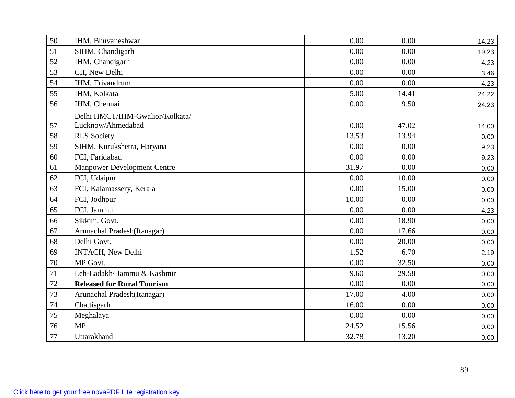| 50 | IHM, Bhuvaneshwar                  | 0.00  | 0.00  | 14.23 |
|----|------------------------------------|-------|-------|-------|
| 51 | SIHM, Chandigarh                   | 0.00  | 0.00  | 19.23 |
| 52 | IHM, Chandigarh                    | 0.00  | 0.00  | 4.23  |
| 53 | CII, New Delhi                     | 0.00  | 0.00  | 3.46  |
| 54 | IHM, Trivandrum                    | 0.00  | 0.00  | 4.23  |
| 55 | IHM, Kolkata                       | 5.00  | 14.41 | 24.22 |
| 56 | IHM, Chennai                       | 0.00  | 9.50  | 24.23 |
|    | Delhi HMCT/IHM-Gwalior/Kolkata/    |       |       |       |
| 57 | Lucknow/Ahmedabad                  | 0.00  | 47.02 | 14.00 |
| 58 | <b>RLS</b> Society                 | 13.53 | 13.94 | 0.00  |
| 59 | SIHM, Kurukshetra, Haryana         | 0.00  | 0.00  | 9.23  |
| 60 | FCI, Faridabad                     | 0.00  | 0.00  | 9.23  |
| 61 | <b>Manpower Development Centre</b> | 31.97 | 0.00  | 0.00  |
| 62 | FCI, Udaipur                       | 0.00  | 10.00 | 0.00  |
| 63 | FCI, Kalamassery, Kerala           | 0.00  | 15.00 | 0.00  |
| 64 | FCI, Jodhpur                       | 10.00 | 0.00  | 0.00  |
| 65 | FCI, Jammu                         | 0.00  | 0.00  | 4.23  |
| 66 | Sikkim, Govt.                      | 0.00  | 18.90 | 0.00  |
| 67 | Arunachal Pradesh(Itanagar)        | 0.00  | 17.66 | 0.00  |
| 68 | Delhi Govt.                        | 0.00  | 20.00 | 0.00  |
| 69 | <b>INTACH, New Delhi</b>           | 1.52  | 6.70  | 2.19  |
| 70 | MP Govt.                           | 0.00  | 32.50 | 0.00  |
| 71 | Leh-Ladakh/ Jammu & Kashmir        | 9.60  | 29.58 | 0.00  |
| 72 | <b>Released for Rural Tourism</b>  | 0.00  | 0.00  | 0.00  |
| 73 | Arunachal Pradesh(Itanagar)        | 17.00 | 4.00  | 0.00  |
| 74 | Chattisgarh                        | 16.00 | 0.00  | 0.00  |
| 75 | Meghalaya                          | 0.00  | 0.00  | 0.00  |
| 76 | MP                                 | 24.52 | 15.56 | 0.00  |
| 77 | Uttarakhand                        | 32.78 | 13.20 | 0.00  |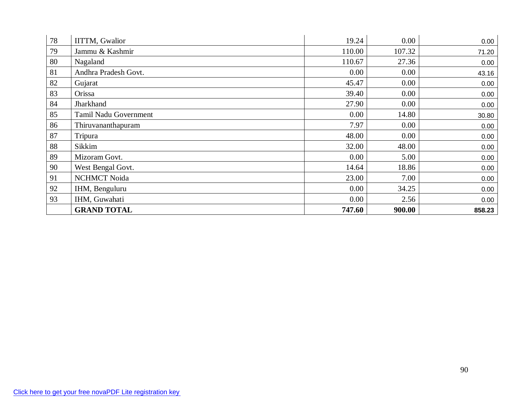| 78 | <b>IITTM, Gwalior</b>        | 19.24  | 0.00   | 0.00   |
|----|------------------------------|--------|--------|--------|
| 79 | Jammu & Kashmir              | 110.00 | 107.32 | 71.20  |
| 80 | Nagaland                     | 110.67 | 27.36  | 0.00   |
| 81 | Andhra Pradesh Govt.         | 0.00   | 0.00   | 43.16  |
| 82 | Gujarat                      | 45.47  | 0.00   | 0.00   |
| 83 | Orissa                       | 39.40  | 0.00   | 0.00   |
| 84 | Jharkhand                    | 27.90  | 0.00   | 0.00   |
| 85 | <b>Tamil Nadu Government</b> | 0.00   | 14.80  | 30.80  |
| 86 | Thiruvananthapuram           | 7.97   | 0.00   | 0.00   |
| 87 | Tripura                      | 48.00  | 0.00   | 0.00   |
| 88 | Sikkim                       | 32.00  | 48.00  | 0.00   |
| 89 | Mizoram Govt.                | 0.00   | 5.00   | 0.00   |
| 90 | West Bengal Govt.            | 14.64  | 18.86  | 0.00   |
| 91 | <b>NCHMCT Noida</b>          | 23.00  | 7.00   | 0.00   |
| 92 | IHM, Benguluru               | 0.00   | 34.25  | 0.00   |
| 93 | IHM, Guwahati                | 0.00   | 2.56   | 0.00   |
|    | <b>GRAND TOTAL</b>           | 747.60 | 900.00 | 858.23 |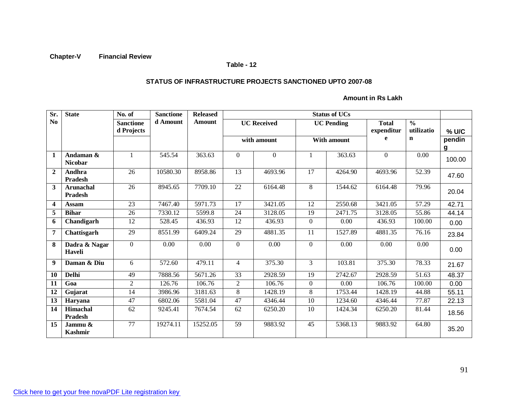#### **Table - 12**

#### **STATUS OF INFRASTRUCTURE PROJECTS SANCTIONED UPTO 2007-08**

**Amount in Rs Lakh**

| Sr.                     | <b>State</b>                       | No. of           | <b>Sanctione</b> | <b>Released</b> |                    | <b>Status of UCs</b> |                   |             |              |               |        |
|-------------------------|------------------------------------|------------------|------------------|-----------------|--------------------|----------------------|-------------------|-------------|--------------|---------------|--------|
| N <sub>0</sub>          |                                    | <b>Sanctione</b> | d Amount         | Amount          | <b>UC</b> Received |                      | <b>UC Pending</b> |             | <b>Total</b> | $\frac{0}{0}$ |        |
|                         |                                    | d Projects       |                  |                 |                    |                      |                   |             | expenditur   | utilizatio    | % U/C  |
|                         |                                    |                  |                  |                 |                    | with amount          |                   | With amount | e            | $\mathbf n$   | pendin |
|                         |                                    |                  |                  |                 |                    |                      |                   |             |              |               | g      |
| $\mathbf{1}$            | Andaman &<br><b>Nicobar</b>        |                  | 545.54           | 363.63          | $\mathbf{0}$       | $\overline{0}$       |                   | 363.63      | $\mathbf{0}$ | 0.00          | 100.00 |
| $\overline{2}$          | <b>Andhra</b><br><b>Pradesh</b>    | 26               | 10580.30         | 8958.86         | 13                 | 4693.96              | 17                | 4264.90     | 4693.96      | 52.39         | 47.60  |
| 3                       | <b>Arunachal</b><br><b>Pradesh</b> | 26               | 8945.65          | 7709.10         | 22                 | 6164.48              | 8                 | 1544.62     | 6164.48      | 79.96         | 20.04  |
| $\overline{\mathbf{4}}$ | <b>Assam</b>                       | 23               | 7467.40          | 5971.73         | 17                 | 3421.05              | 12                | 2550.68     | 3421.05      | 57.29         | 42.71  |
| 5                       | <b>Bihar</b>                       | 26               | 7330.12          | 5599.8          | 24                 | 3128.05              | 19                | 2471.75     | 3128.05      | 55.86         | 44.14  |
| 6                       | Chandigarh                         | 12               | 528.45           | 436.93          | 12                 | 436.93               | $\mathbf{0}$      | 0.00        | 436.93       | 100.00        | 0.00   |
| $\overline{7}$          | Chattisgarh                        | 29               | 8551.99          | 6409.24         | 29                 | 4881.35              | 11                | 1527.89     | 4881.35      | 76.16         | 23.84  |
| 8                       | Dadra & Nagar<br><b>Haveli</b>     | $\overline{0}$   | 0.00             | 0.00            | $\theta$           | 0.00                 | $\theta$          | 0.00        | 0.00         | $0.00\,$      | 0.00   |
| 9                       | Daman & Diu                        | 6                | 572.60           | 479.11          | $\overline{4}$     | 375.30               | 3                 | 103.81      | 375.30       | 78.33         | 21.67  |
| <b>10</b>               | <b>Delhi</b>                       | 49               | 7888.56          | 5671.26         | 33                 | 2928.59              | 19                | 2742.67     | 2928.59      | 51.63         | 48.37  |
| 11                      | Goa                                | $\overline{2}$   | 126.76           | 106.76          | $\overline{2}$     | 106.76               | $\overline{0}$    | 0.00        | 106.76       | 100.00        | 0.00   |
| 12                      | Gujarat                            | 14               | 3986.96          | 3181.63         | 8                  | 1428.19              | 8                 | 1753.44     | 1428.19      | 44.88         | 55.11  |
| 13                      | Haryana                            | 47               | 6802.06          | 5581.04         | $\overline{47}$    | 4346.44              | $\overline{10}$   | 1234.60     | 4346.44      | 77.87         | 22.13  |
| 14                      | <b>Himachal</b><br><b>Pradesh</b>  | 62               | 9245.41          | 7674.54         | 62                 | 6250.20              | 10                | 1424.34     | 6250.20      | 81.44         | 18.56  |
| 15                      | Jammu &<br><b>Kashmir</b>          | $\overline{77}$  | 19274.11         | 15252.05        | $\overline{59}$    | 9883.92              | $\overline{45}$   | 5368.13     | 9883.92      | 64.80         | 35.20  |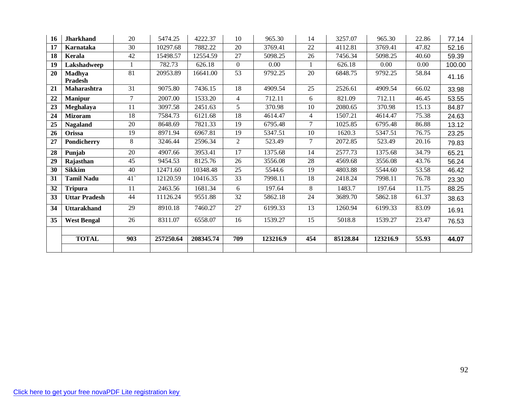| 16 | <b>Jharkhand</b>     | 20              | 5474.25   | 4222.37   | 10              | 965.30   | 14             | 3257.07  | 965.30   | 22.86    | 77.14  |
|----|----------------------|-----------------|-----------|-----------|-----------------|----------|----------------|----------|----------|----------|--------|
| 17 | Karnataka            | 30              | 10297.68  | 7882.22   | 20              | 3769.41  | 22             | 4112.81  | 3769.41  | 47.82    | 52.16  |
| 18 | Kerala               | 42              | 15498.57  | 12554.59  | 27              | 5098.25  | 26             | 7456.34  | 5098.25  | 40.60    | 59.39  |
| 19 | Lakshadweep          |                 | 782.73    | 626.18    | $\Omega$        | 0.00     |                | 626.18   | 0.00     | $0.00\,$ | 100.00 |
| 20 | Madhya               | 81              | 20953.89  | 16641.00  | 53              | 9792.25  | 20             | 6848.75  | 9792.25  | 58.84    | 41.16  |
|    | <b>Pradesh</b>       |                 |           |           |                 |          |                |          |          |          |        |
| 21 | Maharashtra          | 31              | 9075.80   | 7436.15   | 18              | 4909.54  | 25             | 2526.61  | 4909.54  | 66.02    | 33.98  |
| 22 | <b>Manipur</b>       | $\tau$          | 2007.00   | 1533.20   | $\overline{4}$  | 712.11   | 6              | 821.09   | 712.11   | 46.45    | 53.55  |
| 23 | Meghalaya            | 11              | 3097.58   | 2451.63   | 5               | 370.98   | 10             | 2080.65  | 370.98   | 15.13    | 84.87  |
| 24 | <b>Mizoram</b>       | $\overline{18}$ | 7584.73   | 6121.68   | $\overline{18}$ | 4614.47  | $\overline{4}$ | 1507.21  | 4614.47  | 75.38    | 24.63  |
| 25 | <b>Nagaland</b>      | 20              | 8648.69   | 7821.33   | 19              | 6795.48  | $\overline{7}$ | 1025.85  | 6795.48  | 86.88    | 13.12  |
| 26 | Orissa               | 19              | 8971.94   | 6967.81   | 19              | 5347.51  | 10             | 1620.3   | 5347.51  | 76.75    | 23.25  |
| 27 | Pondicherry          | 8               | 3246.44   | 2596.34   | $\overline{2}$  | 523.49   | $\overline{7}$ | 2072.85  | 523.49   | 20.16    | 79.83  |
| 28 | Punjab               | 20              | 4907.66   | 3953.41   | 17              | 1375.68  | 14             | 2577.73  | 1375.68  | 34.79    | 65.21  |
| 29 | Rajasthan            | 45              | 9454.53   | 8125.76   | 26              | 3556.08  | 28             | 4569.68  | 3556.08  | 43.76    | 56.24  |
| 30 | <b>Sikkim</b>        | 40              | 12471.60  | 10348.48  | 25              | 5544.6   | 19             | 4803.88  | 5544.60  | 53.58    | 46.42  |
| 31 | <b>Tamil Nadu</b>    | 41              | 12120.59  | 10416.35  | 33              | 7998.11  | 18             | 2418.24  | 7998.11  | 76.78    | 23.30  |
| 32 | <b>Tripura</b>       | 11              | 2463.56   | 1681.34   | 6               | 197.64   | 8              | 1483.7   | 197.64   | 11.75    | 88.25  |
| 33 | <b>Uttar Pradesh</b> | 44              | 11126.24  | 9551.88   | 32              | 5862.18  | 24             | 3689.70  | 5862.18  | 61.37    | 38.63  |
| 34 | <b>Uttarakhand</b>   | 29              | 8910.18   | 7460.27   | 27              | 6199.33  | 13             | 1260.94  | 6199.33  | 83.09    | 16.91  |
| 35 | <b>West Bengal</b>   | 26              | 8311.07   | 6558.07   | 16              | 1539.27  | 15             | 5018.8   | 1539.27  | 23.47    | 76.53  |
|    |                      |                 |           |           |                 |          |                |          |          |          |        |
|    | <b>TOTAL</b>         | 903             | 257250.64 | 208345.74 | 709             | 123216.9 | 454            | 85128.84 | 123216.9 | 55.93    | 44.07  |
|    |                      |                 |           |           |                 |          |                |          |          |          |        |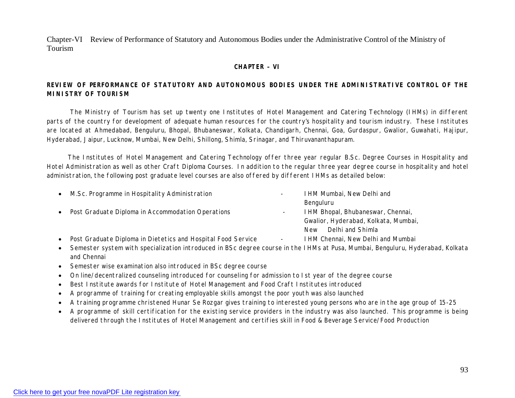Chapter-VI Review of Performance of Statutory and Autonomous Bodies under the Administrative Control of the Ministry of Tourism

#### **CHAPTER – VI**

#### **REVIEW OF PERFORMANCE OF STATUTORY AND AUTONOMOUS BODIES UNDER THE ADMINISTRATIVE CONTROL OF THE MINISTRY OF TOURISM**

The Ministry of Tourism has set up twenty one Institutes of Hotel Management and Catering Technology (IHMs) in different parts of the country for development of adequate human resources for the country's hospitality and tourism industry. These Institutes are located at Ahmedabad, Benguluru, Bhopal, Bhubaneswar, Kolkata, Chandigarh, Chennai, Goa, Gurdaspur, Gwalior, Guwahati, Hajipur, Hyderabad, Jaipur, Lucknow, Mumbai, New Delhi, Shillong, Shimla, Srinagar, and Thiruvananthapuram.

The Institutes of Hotel Management and Catering Technology offer three year regular B.Sc. Degree Courses in Hospitality and Hotel Administration as well as other Craft Diploma Courses. In addition to the regular three year degree course in hospitality and hotel administration, the following post graduate level courses are also offered by different IHMs as detailed below:

| $\bullet$ | M.Sc. Programme in Hospitality Administration                | $\overline{\phantom{a}}$ | I HM Mumbai, New Delhi and           |
|-----------|--------------------------------------------------------------|--------------------------|--------------------------------------|
|           |                                                              |                          | Benguluru                            |
| $\bullet$ | Post Graduate Diploma in Accommodation Operations            |                          | I HM Bhopal, Bhubaneswar, Chennai,   |
|           |                                                              |                          | Gwalior, Hyderabad, Kolkata, Mumbai, |
|           |                                                              |                          | Delhi and Shimla<br><b>New</b>       |
| $\bullet$ | Post Graduate Diploma in Dietetics and Hospital Food Service | $\blacksquare$           | I HM Chennai, New Delhi and Mumbai   |
|           |                                                              |                          |                                      |

- Semester system with specialization introduced in BSc degree course in the IHMs at Pusa, Mumbai, Benguluru, Hyderabad, Kolkata and Chennai
- Semester wise examination also introduced in BSc degree course
- On line/decentralized counseling introduced for counseling for admission to Ist year of the degree course
- Best Institute awards for Institute of Hotel Management and Food Craft Institutes introduced
- A programme of training for creating employable skills amongst the poor youth was also launched
- A training programme christened Hunar Se Rozgar gives training to interested young persons who are in the age group of 15-25
- A programme of skill certification for the existing service providers in the industry was also launched. This programme is being delivered through the Institutes of Hotel Management and certifies skill in Food & Beverage Service/Food Production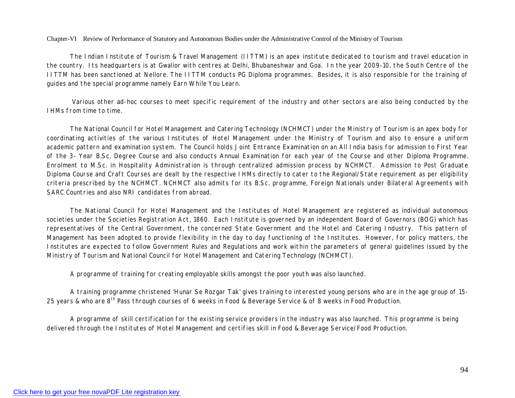Chapter-VI Review of Performance of Statutory and Autonomous Bodies under the Administrative Control of the Ministry of Tourism

The Indian Institute of Tourism & Travel Management (IITTM) is an apex institute dedicated to tourism and travel education in the country. Its headquarters is at Gwalior with centres at Delhi, Bhubaneshwar and Goa. In the year 2009-10, the South Centre of the IITTM has been sanctioned at Nellore. The IITTM conducts PG Diploma programmes. Besides, it is also responsible for the training of guides and the special programme namely Earn While You Learn.

Various other ad-hoc courses to meet specific requirement of the industry and other sectors are also being conducted by the IHMs from time to time.

The National Council for Hotel Management and Catering Technology (NCHMCT) under the Ministry of Tourism is an apex body for coordinating activities of the various Institutes of Hotel Management under the Ministry of Tourism and also to ensure a uniform academic pattern and examination system. The Council holds Joint Entrance Examination on an All India basis for admission to First Year of the 3- Year B.Sc. Degree Course and also conducts Annual Examination for each year of the Course and other Diploma Programme. Enrolment to M.Sc. in Hospitality Administration is through centralized admission process by NCHMCT. Admission to Post Graduate Diploma Course and Craft Courses are dealt by the respective IHMs directly to cater to the Regional/State requirement as per eligibility criteria prescribed by the NCHMCT. NCHMCT also admits for its B.Sc. programme, Foreign Nationals under Bilateral Agreements with SARC Countries and also NRI candidates from abroad.

The National Council for Hotel Management and the Institutes of Hotel Management are registered as individual autonomous societies under the Societies Registration Act, 1860. Each Institute is governed by an independent Board of Governors (BOG) which has representatives of the Central Government, the concerned State Government and the Hotel and Catering Industry. This pattern of Management has been adopted to provide flexibility in the day to day functioning of the Institutes. However, for policy matters, the Institutes are expected to follow Government Rules and Regulations and work within the parameters of general guidelines issued by the Ministry of Tourism and National Council for Hotel Management and Catering Technology (NCHMCT).

A programme of training for creating employable skills amongst the poor youth was also launched.

A training programme christened 'Hunar Se Rozgar Tak' gives training to interested young persons who are in the age group of 15- 25 years & who are 8<sup>th</sup> Pass through courses of 6 weeks in Food & Beverage Service & of 8 weeks in Food Production.

A programme of skill certification for the existing service providers in the industry was also launched. This programme is being delivered through the Institutes of Hotel Management and certifies skill in Food & Beverage Service/Food Production.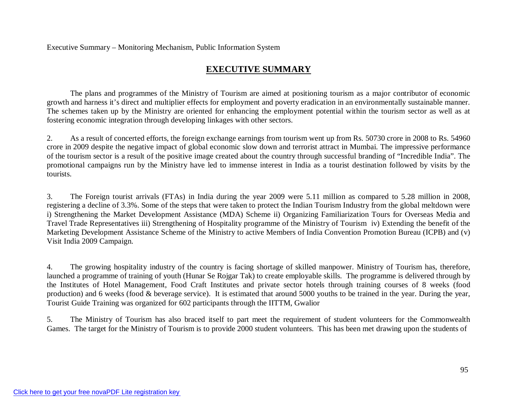Executive Summary – Monitoring Mechanism, Public Information System

# **EXECUTIVE SUMMARY**

The plans and programmes of the Ministry of Tourism are aimed at positioning tourism as a major contributor of economic growth and harness it's direct and multiplier effects for employment and poverty eradication in an environmentally sustainable manner. The schemes taken up by the Ministry are oriented for enhancing the employment potential within the tourism sector as well as at fostering economic integration through developing linkages with other sectors.

2. As a result of concerted efforts, the foreign exchange earnings from tourism went up from Rs. 50730 crore in 2008 to Rs. 54960 crore in 2009 despite the negative impact of global economic slow down and terrorist attract in Mumbai. The impressive performance of the tourism sector is a result of the positive image created about the country through successful branding of "Incredible India". The promotional campaigns run by the Ministry have led to immense interest in India as a tourist destination followed by visits by the tourists.

3. The Foreign tourist arrivals (FTAs) in India during the year 2009 were 5.11 million as compared to 5.28 million in 2008, registering a decline of 3.3%. Some of the steps that were taken to protect the Indian Tourism Industry from the global meltdown were i) Strengthening the Market Development Assistance (MDA) Scheme ii) Organizing Familiarization Tours for Overseas Media and Travel Trade Representatives iii) Strengthening of Hospitality programme of the Ministry of Tourism iv) Extending the benefit of the Marketing Development Assistance Scheme of the Ministry to active Members of India Convention Promotion Bureau (ICPB) and (v) Visit India 2009 Campaign.

4. The growing hospitality industry of the country is facing shortage of skilled manpower. Ministry of Tourism has, therefore, launched a programme of training of youth (Hunar Se Rojgar Tak) to create employable skills. The programme is delivered through by the Institutes of Hotel Management, Food Craft Institutes and private sector hotels through training courses of 8 weeks (food production) and 6 weeks (food & beverage service). It is estimated that around 5000 youths to be trained in the year. During the year, Tourist Guide Training was organized for 602 participants through the IITTM, Gwalior

5. The Ministry of Tourism has also braced itself to part meet the requirement of student volunteers for the Commonwealth Games. The target for the Ministry of Tourism is to provide 2000 student volunteers. This has been met drawing upon the students of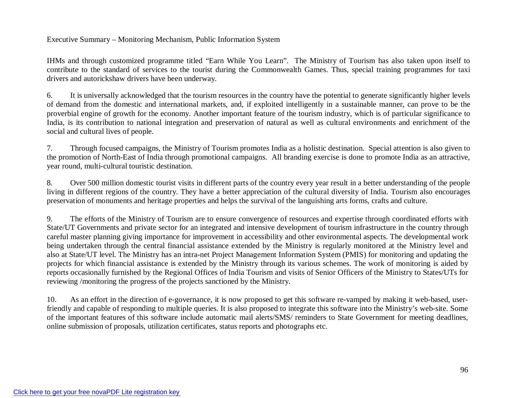#### Executive Summary – Monitoring Mechanism, Public Information System

IHMs and through customized programme titled "Earn While You Learn". The Ministry of Tourism has also taken upon itself to contribute to the standard of services to the tourist during the Commonwealth Games. Thus, special training programmes for taxi drivers and autorickshaw drivers have been underway.

6. It is universally acknowledged that the tourism resources in the country have the potential to generate significantly higher levels of demand from the domestic and international markets, and, if exploited intelligently in a sustainable manner, can prove to be the proverbial engine of growth for the economy. Another important feature of the tourism industry, which is of particular significance to India, is its contribution to national integration and preservation of natural as well as cultural environments and enrichment of the social and cultural lives of people.

7. Through focused campaigns, the Ministry of Tourism promotes India as a holistic destination. Special attention is also given to the promotion of North-East of India through promotional campaigns. All branding exercise is done to promote India as an attractive, year round, multi-cultural touristic destination.

8. Over 500 million domestic tourist visits in different parts of the country every year result in a better understanding of the people living in different regions of the country. They have a better appreciation of the cultural diversity of India. Tourism also encourages preservation of monuments and heritage properties and helps the survival of the languishing arts forms, crafts and culture.

9. The efforts of the Ministry of Tourism are to ensure convergence of resources and expertise through coordinated efforts with State/UT Governments and private sector for an integrated and intensive development of tourism infrastructure in the country through careful master planning giving importance for improvement in accessibility and other environmental aspects. The developmental work being undertaken through the central financial assistance extended by the Ministry is regularly monitored at the Ministry level and also at State/UT level. The Ministry has an intra-net Project Management Information System (PMIS) for monitoring and updating the projects for which financial assistance is extended by the Ministry through its various schemes. The work of monitoring is aided by reports occasionally furnished by the Regional Offices of India Tourism and visits of Senior Officers of the Ministry to States/UTs for reviewing /monitoring the progress of the projects sanctioned by the Ministry.

10. As an effort in the direction of e-governance, it is now proposed to get this software re-vamped by making it web-based, userfriendly and capable of responding to multiple queries. It is also proposed to integrate this software into the Ministry's web-site. Some of the important features of this software include automatic mail alerts/SMS/ reminders to State Government for meeting deadlines, online submission of proposals, utilization certificates, status reports and photographs etc.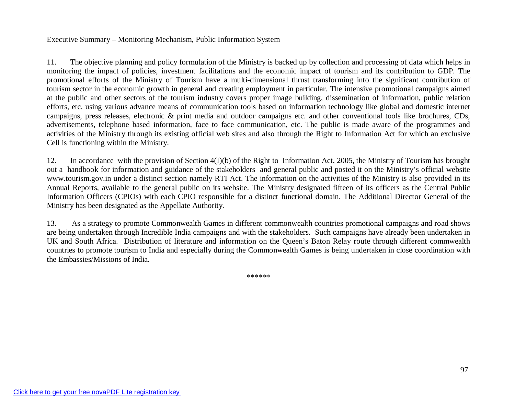#### Executive Summary – Monitoring Mechanism, Public Information System

11. The objective planning and policy formulation of the Ministry is backed up by collection and processing of data which helps in monitoring the impact of policies, investment facilitations and the economic impact of tourism and its contribution to GDP. The promotional efforts of the Ministry of Tourism have a multi-dimensional thrust transforming into the significant contribution of tourism sector in the economic growth in general and creating employment in particular. The intensive promotional campaigns aimed at the public and other sectors of the tourism industry covers proper image building, dissemination of information, public relation efforts, etc. using various advance means of communication tools based on information technology like global and domestic internet campaigns, press releases, electronic & print media and outdoor campaigns etc. and other conventional tools like brochures, CDs, advertisements, telephone based information, face to face communication, etc. The public is made aware of the programmes and activities of the Ministry through its existing official web sites and also through the Right to Information Act for which an exclusive Cell is functioning within the Ministry.

12. In accordance with the provision of Section 4(I)(b) of the Right to Information Act, 2005, the Ministry of Tourism has brought out a handbook for information and guidance of the stakeholders and general public and posted it on the Ministry's official website www.tourism.gov.in under a distinct section namely RTI Act. The information on the activities of the Ministry is also provided in its Annual Reports, available to the general public on its website. The Ministry designated fifteen of its officers as the Central Public Information Officers (CPIOs) with each CPIO responsible for a distinct functional domain. The Additional Director General of the Ministry has been designated as the Appellate Authority.

13. As a strategy to promote Commonwealth Games in different commonwealth countries promotional campaigns and road shows are being undertaken through Incredible India campaigns and with the stakeholders. Such campaigns have already been undertaken in UK and South Africa. Distribution of literature and information on the Queen's Baton Relay route through different commwealth countries to promote tourism to India and especially during the Commonwealth Games is being undertaken in close coordination with the Embassies/Missions of India.

\*\*\*\*\*\*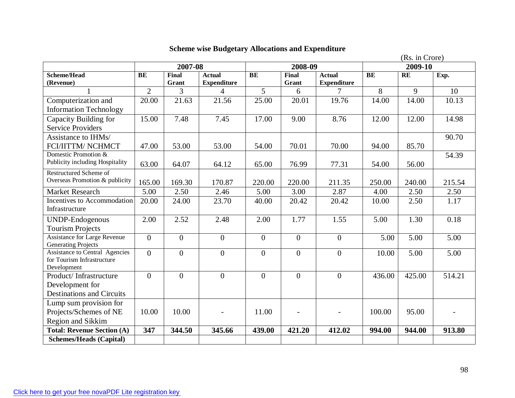|                                                                     | (Rs. in Crore) |                |                    |                |                   |                    |           |        |        |
|---------------------------------------------------------------------|----------------|----------------|--------------------|----------------|-------------------|--------------------|-----------|--------|--------|
|                                                                     | 2007-08        |                |                    | 2008-09        |                   |                    | 2009-10   |        |        |
| <b>Scheme/Head</b>                                                  | <b>BE</b>      | <b>Final</b>   | <b>Actual</b>      | BE             | <b>Final</b>      | <b>Actual</b>      | <b>BE</b> | RE     | Exp.   |
| (Revenue)                                                           |                | Grant          | <b>Expenditure</b> |                | Grant             | <b>Expenditure</b> |           |        |        |
|                                                                     | $\overline{2}$ | 3              | 4                  | $\overline{5}$ | 6                 | 7                  | 8         | 9      | 10     |
| Computerization and                                                 | 20.00          | 21.63          | 21.56              | 25.00          | 20.01             | 19.76              | 14.00     | 14.00  | 10.13  |
| <b>Information Technology</b>                                       |                |                |                    |                |                   |                    |           |        |        |
| Capacity Building for                                               | 15.00          | 7.48           | 7.45               | 17.00          | 9.00              | 8.76               | 12.00     | 12.00  | 14.98  |
| <b>Service Providers</b>                                            |                |                |                    |                |                   |                    |           |        |        |
| Assistance to IHMs/                                                 |                |                |                    |                |                   |                    |           |        | 90.70  |
| FCI/IITTM/ NCHMCT                                                   | 47.00          | 53.00          | 53.00              | 54.00          | 70.01             | 70.00              | 94.00     | 85.70  |        |
| Domestic Promotion &                                                |                |                |                    |                |                   |                    |           |        | 54.39  |
| Publicity including Hospitality                                     | 63.00          | 64.07          | 64.12              | 65.00          | 76.99             | 77.31              | 54.00     | 56.00  |        |
| <b>Restructured Scheme of</b>                                       |                |                |                    |                |                   |                    |           |        |        |
| Overseas Promotion & publicity                                      | 165.00         | 169.30         | 170.87             | 220.00         | 220.00            | 211.35             | 250.00    | 240.00 | 215.54 |
| Market Research                                                     | 5.00           | 2.50           | 2.46               | 5.00           | $\overline{3.00}$ | 2.87               | 4.00      | 2.50   | 2.50   |
| Incentives to Accommodation                                         | 20.00          | 24.00          | 23.70              | 40.00          | 20.42             | 20.42              | 10.00     | 2.50   | 1.17   |
| Infrastructure                                                      |                |                |                    |                |                   |                    |           |        |        |
| <b>UNDP-Endogenous</b>                                              | 2.00           | 2.52           | 2.48               | 2.00           | 1.77              | 1.55               | 5.00      | 1.30   | 0.18   |
| <b>Tourism Projects</b>                                             |                |                |                    |                |                   |                    |           |        |        |
| <b>Assistance for Large Revenue</b>                                 | $\overline{0}$ | $\overline{0}$ | $\overline{0}$     | $\mathbf{0}$   | $\overline{0}$    | $\mathbf{0}$       | 5.00      | 5.00   | 5.00   |
| <b>Generating Projects</b>                                          |                |                |                    |                |                   |                    |           |        |        |
| <b>Assistance to Central Agencies</b><br>for Tourism Infrastructure | $\overline{0}$ | $\overline{0}$ | $\boldsymbol{0}$   | $\overline{0}$ | $\overline{0}$    | $\mathbf{0}$       | 10.00     | 5.00   | 5.00   |
| Development                                                         |                |                |                    |                |                   |                    |           |        |        |
| Product/Infrastructure                                              | $\overline{0}$ | $\Omega$       | $\Omega$           | $\theta$       | $\overline{0}$    | $\Omega$           | 436.00    | 425.00 | 514.21 |
| Development for                                                     |                |                |                    |                |                   |                    |           |        |        |
| <b>Destinations and Circuits</b>                                    |                |                |                    |                |                   |                    |           |        |        |
| Lump sum provision for                                              |                |                |                    |                |                   |                    |           |        |        |
| Projects/Schemes of NE                                              | 10.00          | 10.00          |                    | 11.00          |                   |                    | 100.00    | 95.00  |        |
| Region and Sikkim                                                   |                |                |                    |                |                   |                    |           |        |        |
| <b>Total: Revenue Section (A)</b>                                   | 347            | 344.50         | 345.66             | 439.00         | 421.20            | 412.02             | 994.00    | 944.00 | 913.80 |
| <b>Schemes/Heads (Capital)</b>                                      |                |                |                    |                |                   |                    |           |        |        |

# **Scheme wise Budgetary Allocations and Expenditure**